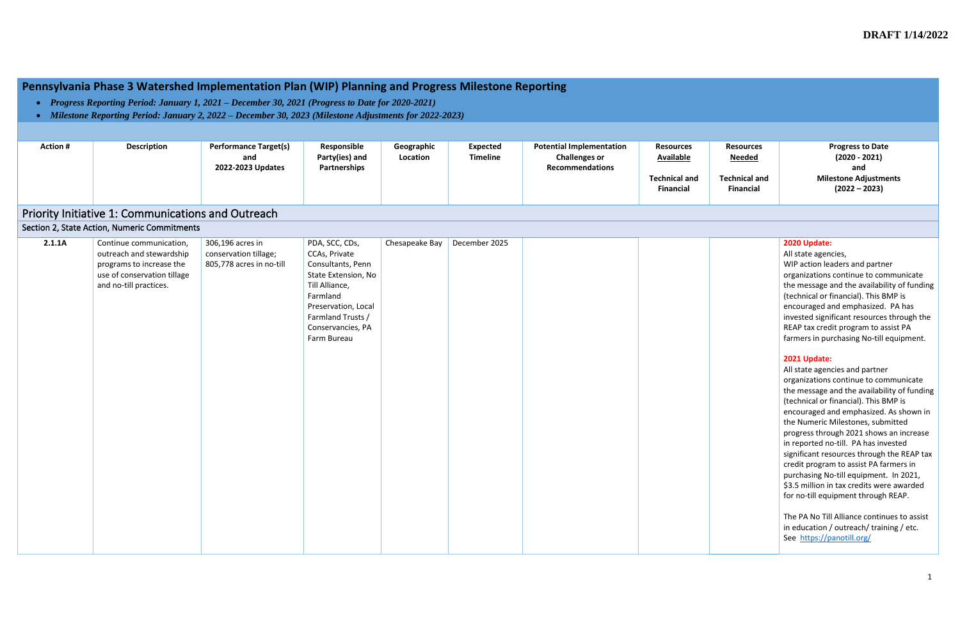# **Pennsylvania Phase 3 Watershed Implementation Plan (WIP) Planning and Progress Milestone Reporting**

- *Progress Reporting Period: January 1, 2021 – December 30, 2021 (Progress to Date for 2020-2021)*
- *Milestone Reporting Period: January 2, 2022 – December 30, 2023 (Milestone Adjustments for 2022-2023)*

**Progress to Date (2020 - 2021) and Milestone Adjustments (2022 – 2023)**

| <b>Action#</b> | <b>Description</b>                                                                                                                       | <b>Performance Target(s)</b><br>and<br>2022-2023 Updates              | Responsible<br>Party(ies) and<br>Partnerships                                                                                                                                             | Geographic<br>Location | <b>Expected</b><br><b>Timeline</b> | <b>Potential Implementation</b><br><b>Challenges or</b><br><b>Recommendations</b> | <b>Resources</b><br><b>Available</b><br><b>Technical and</b><br><b>Financial</b> | <b>Resources</b><br><u>Needed</u><br><b>Technical and</b><br><b>Financial</b> | Mile                                                                                                                                                                                                                                                                                                                                                                                                                                                                                    |
|----------------|------------------------------------------------------------------------------------------------------------------------------------------|-----------------------------------------------------------------------|-------------------------------------------------------------------------------------------------------------------------------------------------------------------------------------------|------------------------|------------------------------------|-----------------------------------------------------------------------------------|----------------------------------------------------------------------------------|-------------------------------------------------------------------------------|-----------------------------------------------------------------------------------------------------------------------------------------------------------------------------------------------------------------------------------------------------------------------------------------------------------------------------------------------------------------------------------------------------------------------------------------------------------------------------------------|
|                | Priority Initiative 1: Communications and Outreach                                                                                       |                                                                       |                                                                                                                                                                                           |                        |                                    |                                                                                   |                                                                                  |                                                                               |                                                                                                                                                                                                                                                                                                                                                                                                                                                                                         |
|                | Section 2, State Action, Numeric Commitments                                                                                             |                                                                       |                                                                                                                                                                                           |                        |                                    |                                                                                   |                                                                                  |                                                                               |                                                                                                                                                                                                                                                                                                                                                                                                                                                                                         |
| 2.1.1A         | Continue communication,<br>outreach and stewardship<br>programs to increase the<br>use of conservation tillage<br>and no-till practices. | 306,196 acres in<br>conservation tillage;<br>805,778 acres in no-till | PDA, SCC, CDs,<br>CCAs, Private<br>Consultants, Penn<br>State Extension, No<br>Till Alliance,<br>Farmland<br>Preservation, Local<br>Farmland Trusts /<br>Conservancies, PA<br>Farm Bureau | Chesapeake Bay         | December 2025                      |                                                                                   |                                                                                  |                                                                               | 2020 Update:<br>All state agen<br>WIP action lea<br>organizations<br>the message a<br>(technical or f<br>encouraged a<br>invested signi<br>REAP tax cred<br>farmers in put<br>2021 Update:<br>All state agen<br>organizations<br>the message a<br>(technical or f<br>encouraged a<br>the Numeric I<br>progress thro<br>in reported no<br>significant res<br>credit prograr<br>purchasing No<br>\$3.5 million in<br>for no-till equ<br>The PA No Till<br>in education /<br>See https://p |

All state agencies, WIP action leaders and partner organizations continue to communicate the message and the availability of funding (technical or financial). This BMP is encouraged and emphasized. PA has invested significant resources through the REAP tax credit program to assist PA farmers in purchasing No-till equipment.

#### **2021 Update:**

All state agencies and partner organizations continue to communicate the message and the availability of funding (technical or financial). This BMP is encouraged and emphasized. As shown in the Numeric Milestones, submitted progress through 2021 shows an increase in reported no-till. PA has invested significant resources through the REAP tax credit program to assist PA farmers in purchasing No-till equipment. In 2021, \$3.5 million in tax credits were awarded for no-till equipment through REAP.

The PA No Till Alliance continues to assist in education / outreach/ training / etc. See <https://panotill.org/>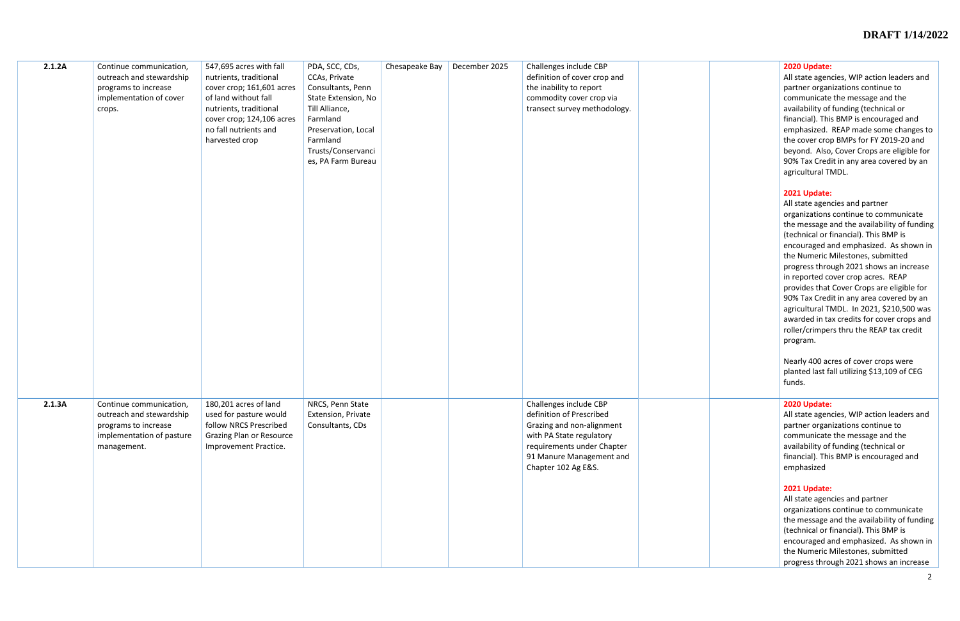#### **2020 Update:**

All state agencies, WIP action leaders and partner organizations continue to communicate the message and the availability of funding (technical or financial). This BMP is encouraged and emphasized. REAP made some changes to the cover crop BMPs for FY 2019-20 and beyond. Also, Cover Crops are eligible for 90% Tax Credit in any area covered by an agricultural TMDL.

## **2021 Update:**

| 2.1.2A | Continue communication,<br>outreach and stewardship<br>programs to increase<br>implementation of cover<br>crops.        | 547,695 acres with fall<br>nutrients, traditional<br>cover crop; 161,601 acres<br>of land without fall<br>nutrients, traditional<br>cover crop; 124,106 acres<br>no fall nutrients and<br>harvested crop | PDA, SCC, CDs,<br>CCAs, Private<br>Consultants, Penn<br>State Extension, No<br>Till Alliance,<br>Farmland<br>Preservation, Local<br>Farmland<br>Trusts/Conservanci<br>es, PA Farm Bureau | Chesapeake Bay | December 2025 | Challenges include CBP<br>definition of cover crop and<br>the inability to report<br>commodity cover crop via<br>transect survey methodology.                                                |  |
|--------|-------------------------------------------------------------------------------------------------------------------------|----------------------------------------------------------------------------------------------------------------------------------------------------------------------------------------------------------|------------------------------------------------------------------------------------------------------------------------------------------------------------------------------------------|----------------|---------------|----------------------------------------------------------------------------------------------------------------------------------------------------------------------------------------------|--|
| 2.1.3A | Continue communication,<br>outreach and stewardship<br>programs to increase<br>implementation of pasture<br>management. | 180,201 acres of land<br>used for pasture would<br>follow NRCS Prescribed<br><b>Grazing Plan or Resource</b><br>Improvement Practice.                                                                    | NRCS, Penn State<br>Extension, Private<br>Consultants, CDs                                                                                                                               |                |               | Challenges include CBP<br>definition of Prescribed<br>Grazing and non-alignment<br>with PA State regulatory<br>requirements under Chapter<br>91 Manure Management and<br>Chapter 102 Ag E&S. |  |

All state agencies and partner organizations continue to communicate the message and the availability of funding (technical or financial). This BMP is encouraged and emphasized. As shown in the Numeric Milestones, submitted progress through 2021 shows an increase in reported cover crop acres. REAP provides that Cover Crops are eligible for 90% Tax Credit in any area covered by an agricultural TMDL. In 2021, \$210,500 was awarded in tax credits for cover crops and roller/crimpers thru the REAP tax credit program.

Nearly 400 acres of cover crops were planted last fall utilizing \$13,109 of CEG funds.

#### **2020 Update:**

All state agencies, WIP action leaders and partner organizations continue to communicate the message and the availability of funding (technical or financial). This BMP is encouraged and emphasized

#### **2021 Update:**

All state agencies and partner organizations continue to communicate the message and the availability of funding (technical or financial). This BMP is encouraged and emphasized. As shown in the Numeric Milestones, submitted progress through 2021 shows an increase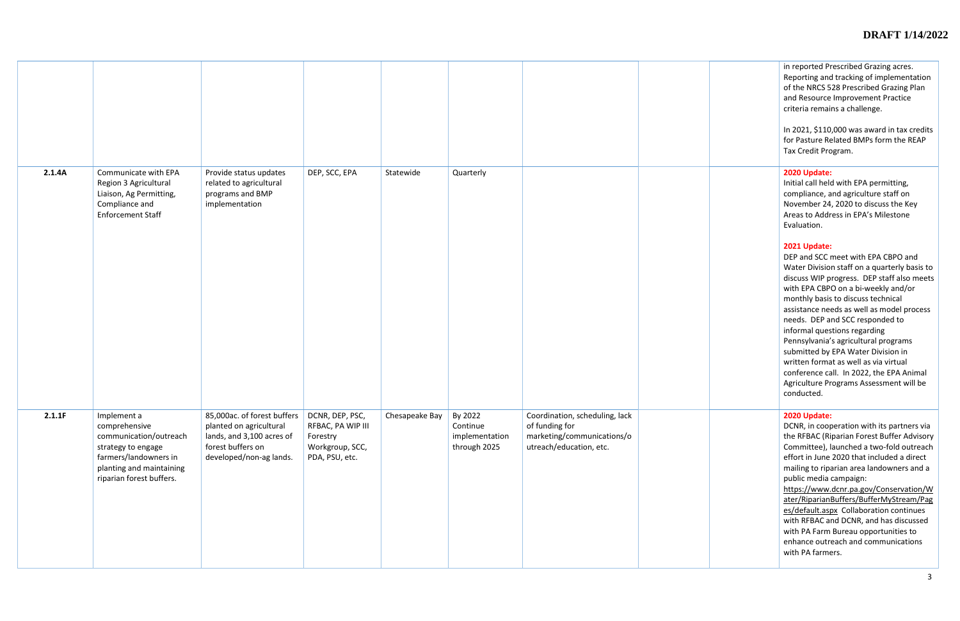|        |                                                                                                                                                               |                                                                                                                                     |                                                                                       |                |                                                       |                                                                                                           | in reported Pr<br>Reporting and<br>of the NRCS 5<br>and Resource<br>criteria remai<br>In 2021, \$110<br>for Pasture Re<br><b>Tax Credit Pro</b>                                                                                                                                                                                                                 |
|--------|---------------------------------------------------------------------------------------------------------------------------------------------------------------|-------------------------------------------------------------------------------------------------------------------------------------|---------------------------------------------------------------------------------------|----------------|-------------------------------------------------------|-----------------------------------------------------------------------------------------------------------|-----------------------------------------------------------------------------------------------------------------------------------------------------------------------------------------------------------------------------------------------------------------------------------------------------------------------------------------------------------------|
| 2.1.4A | Communicate with EPA<br>Region 3 Agricultural<br>Liaison, Ag Permitting,<br>Compliance and<br><b>Enforcement Staff</b>                                        | Provide status updates<br>related to agricultural<br>programs and BMP<br>implementation                                             | DEP, SCC, EPA                                                                         | Statewide      | Quarterly                                             |                                                                                                           | 2020 Update:<br>Initial call held<br>compliance, a<br>November 24<br>Areas to Addr<br>Evaluation.<br>2021 Update:<br>DEP and SCC<br><b>Water Divisio</b><br>discuss WIP p<br>with EPA CBP<br>monthly basis<br>assistance ne<br>needs. DEP a<br>informal ques<br>Pennsylvania'<br>submitted by<br>written forma<br>conference ca<br>Agriculture Pr<br>conducted. |
| 2.1.1F | Implement a<br>comprehensive<br>communication/outreach<br>strategy to engage<br>farmers/landowners in<br>planting and maintaining<br>riparian forest buffers. | 85,000ac. of forest buffers<br>planted on agricultural<br>lands, and 3,100 acres of<br>forest buffers on<br>developed/non-ag lands. | DCNR, DEP, PSC,<br>RFBAC, PA WIP III<br>Forestry<br>Workgroup, SCC,<br>PDA, PSU, etc. | Chesapeake Bay | By 2022<br>Continue<br>implementation<br>through 2025 | Coordination, scheduling, lack<br>of funding for<br>marketing/communications/o<br>utreach/education, etc. | 2020 Update:<br>DCNR, in coop<br>the RFBAC (Ri<br>Committee), I<br>effort in June<br>mailing to ripa<br>public media<br>https://www.<br>ater/Riparian<br>es/default.asp<br>with RFBAC a<br>with PA Farm<br>enhance outre<br>with PA farme                                                                                                                       |

| in reported Prescribed Grazing acres.<br>Reporting and tracking of implementation<br>of the NRCS 528 Prescribed Grazing Plan<br>and Resource Improvement Practice<br>criteria remains a challenge.<br>In 2021, \$110,000 was award in tax credits<br>for Pasture Related BMPs form the REAP<br>Tax Credit Program.                                                                                                                                                                                                                                                        |
|---------------------------------------------------------------------------------------------------------------------------------------------------------------------------------------------------------------------------------------------------------------------------------------------------------------------------------------------------------------------------------------------------------------------------------------------------------------------------------------------------------------------------------------------------------------------------|
| 2020 Update:<br>Initial call held with EPA permitting,<br>compliance, and agriculture staff on<br>November 24, 2020 to discuss the Key<br>Areas to Address in EPA's Milestone<br>Evaluation.                                                                                                                                                                                                                                                                                                                                                                              |
| 2021 Update:<br>DEP and SCC meet with EPA CBPO and<br>Water Division staff on a quarterly basis to<br>discuss WIP progress. DEP staff also meets<br>with EPA CBPO on a bi-weekly and/or<br>monthly basis to discuss technical<br>assistance needs as well as model process<br>needs. DEP and SCC responded to<br>informal questions regarding<br>Pennsylvania's agricultural programs<br>submitted by EPA Water Division in<br>written format as well as via virtual<br>conference call. In 2022, the EPA Animal<br>Agriculture Programs Assessment will be<br>conducted. |
| 2020 Update:<br>DCNR, in cooperation with its partners via<br>the RFBAC (Riparian Forest Buffer Advisory<br>Committee), launched a two-fold outreach<br>effort in June 2020 that included a direct<br>mailing to riparian area landowners and a<br>public media campaign:<br>https://www.dcnr.pa.gov/Conservation/W<br>ater/RiparianBuffers/BufferMyStream/Pag<br>es/default.aspx Collaboration continues<br>with RFBAC and DCNR, and has discussed<br>with PA Farm Bureau opportunities to<br>enhance outreach and communications<br>with PA farmers.                    |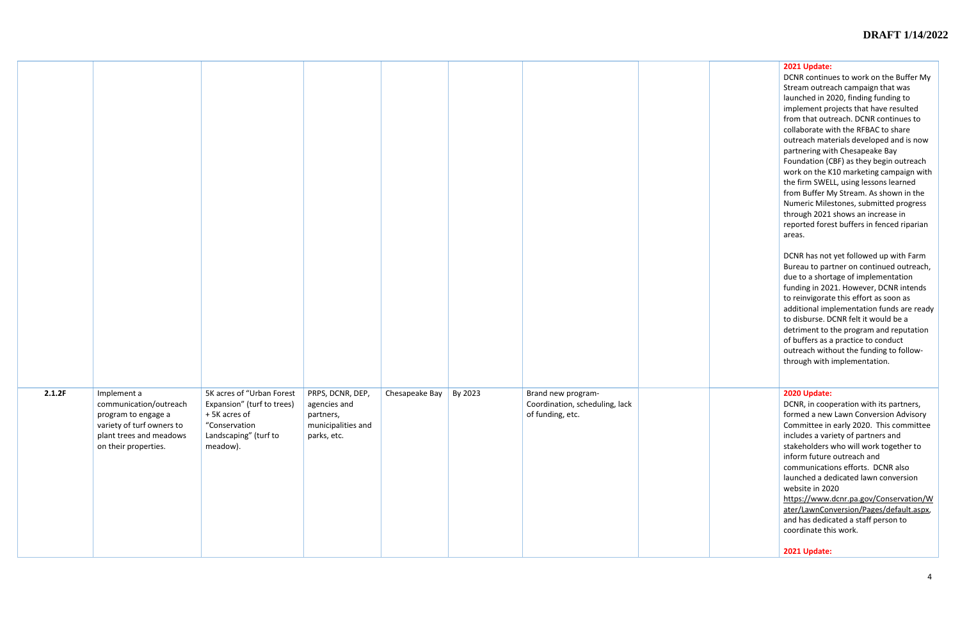DCNR continues to work on the Buffer My Stream outreach campaign that was launched in 2020, finding funding to implement projects that have resulted from that outreach. DCNR continues to collaborate with the RFBAC to share outreach materials developed and is now partnering with Chesapeake Bay Foundation (CBF) as they begin outreach work on the K10 marketing campaign with the firm SWELL, using lessons learned from Buffer My Stream. As shown in the Numeric Milestones, submitted progress through 2021 shows an increase in reported forest buffers in fenced riparian areas.

DCNR has not yet followed up with Farm Bureau to partner on continued outreach, due to a shortage of implementation funding in 2021. However, DCNR intends to reinvigorate this effort as soon as additional implementation funds are ready to disburse. DCNR felt it would be a detriment to the program and reputation of buffers as a practice to conduct outreach without the funding to followthrough with implementation.

| 2.1.2F | Implement a<br>communication/outreach<br>program to engage a<br>variety of turf owners to<br>plant trees and meadows<br>on their properties. | 5K acres of "Urban Forest<br>Expansion" (turf to trees)<br>+5K acres of<br>"Conservation<br>Landscaping" (turf to<br>meadow). | PRPS, DCNR, DEP,<br>agencies and<br>partners,<br>municipalities and<br>parks, etc. | Chesapeake Bay | By 2023 | Brand new program-<br>Coordination, scheduling, lack<br>of funding, etc. |  |
|--------|----------------------------------------------------------------------------------------------------------------------------------------------|-------------------------------------------------------------------------------------------------------------------------------|------------------------------------------------------------------------------------|----------------|---------|--------------------------------------------------------------------------|--|

# **2020 Update:**

DCNR, in cooperation with its partners, formed a new Lawn Conversion Advisory Committee in early 2020. This committee includes a variety of partners and stakeholders who will work together to inform future outreach and communications efforts. DCNR also launched a dedicated lawn conversion website in 2020 [https://www.dcnr.pa.gov/Conservation/W](https://www.dcnr.pa.gov/Conservation/Water/LawnConversion/Pages/default.aspx)

[ater/LawnConversion/Pages/default.aspx,](https://www.dcnr.pa.gov/Conservation/Water/LawnConversion/Pages/default.aspx) and has dedicated a staff person to coordinate this work.

**2021 Update:**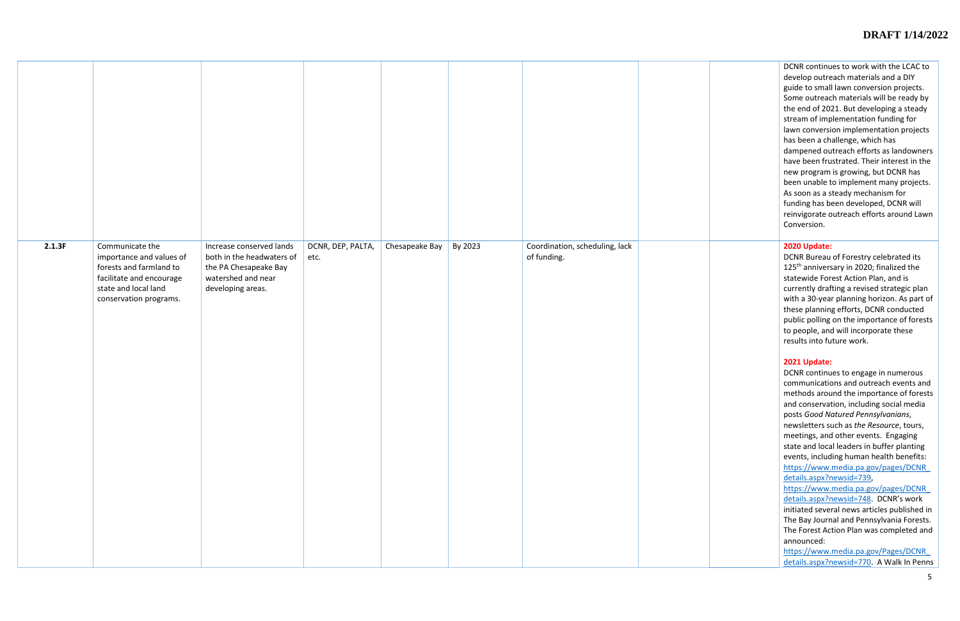DCNR continues to work with the LCAC to develop outreach materials and a DIY guide to small lawn conversion projects. Some outreach materials will be ready by the end of 2021. But developing a steady stream of implementation funding for lawn conversion implementation projects has been a challenge, which has dampened outreach efforts as landowners have been frustrated. Their interest in the new program is growing, but DCNR has been unable to implement many projects. As soon as a steady mechanism for funding has been developed, DCNR will reinvigorate outreach efforts around Lawn Conversion.

| 2.1.3F | Communicate the<br>importance and values of<br>forests and farmland to<br>facilitate and encourage<br>state and local land<br>conservation programs. | Increase conserved lands<br>both in the headwaters of<br>the PA Chesapeake Bay<br>watershed and near<br>developing areas. | DCNR, DEP, PALTA,<br>etc. | Chesapeake Bay | By 2023 | Coordination, scheduling, lack<br>of funding. |  |
|--------|------------------------------------------------------------------------------------------------------------------------------------------------------|---------------------------------------------------------------------------------------------------------------------------|---------------------------|----------------|---------|-----------------------------------------------|--|

# **2020 Update:**

DCNR Bureau of Forestry celebrated its 125 th anniversary in 2020; finalized the statewide Forest Action Plan, and is currently drafting a revised strategic plan with a 30-year planning horizon. As part of these planning efforts, DCNR conducted public polling on the importance of forests to people, and will incorporate these results into future work.

## **2021 Update:**

DCNR continues to engage in numerous communications and outreach events and methods around the importance of forests and conservation, including social media posts *Good Natured Pennsylvanians*, newsletters such as *the Resource*, tours, meetings, and other events. Engaging state and local leaders in buffer planting events, including human health benefits: [https://www.media.pa.gov/pages/DCNR\\_](https://www.media.pa.gov/pages/DCNR_details.aspx?newsid=739) [details.aspx?newsid=739,](https://www.media.pa.gov/pages/DCNR_details.aspx?newsid=739)

[https://www.media.pa.gov/pages/DCNR\\_](https://www.media.pa.gov/pages/DCNR_details.aspx?newsid=748) [details.aspx?newsid=748](https://www.media.pa.gov/pages/DCNR_details.aspx?newsid=748). DCNR's work initiated several news articles published in The Bay Journal and Pennsylvania Forests. The Forest Action Plan was completed and announced:

[https://www.media.pa.gov/Pages/DCNR\\_](https://www.media.pa.gov/Pages/DCNR_details.aspx?newsid=770) [details.aspx?newsid=770.](https://www.media.pa.gov/Pages/DCNR_details.aspx?newsid=770) A Walk In Penns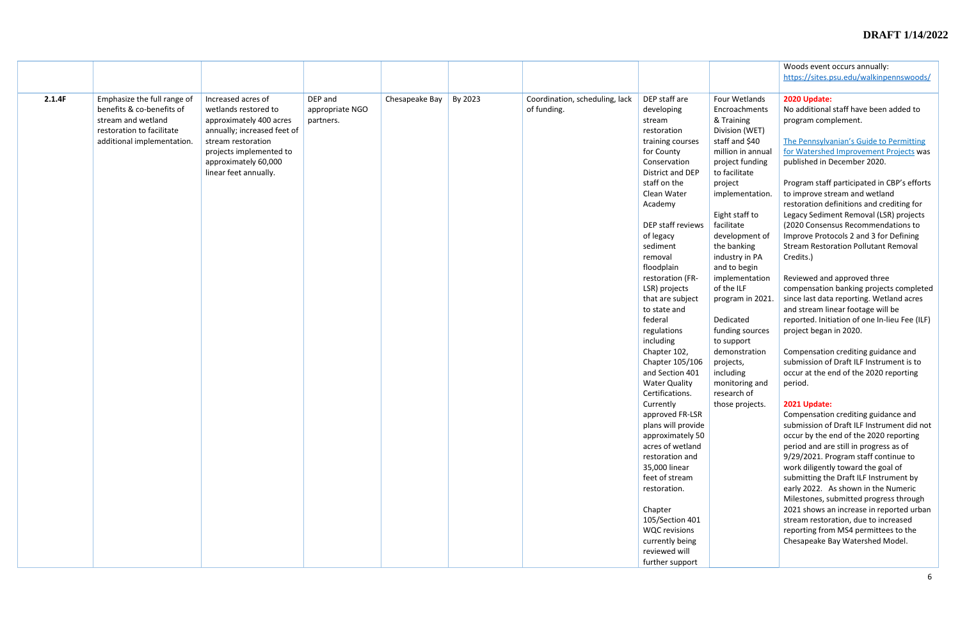| Woods event occurs annually:<br>https://sites.psu.edu/walkinpennswoods/<br>2020 Update:<br>2.1.4F<br>Emphasize the full range of<br>Increased acres of<br>DEP and<br>Chesapeake Bay<br>Coordination, scheduling, lack<br>DEP staff are<br>Four Wetlands<br>By 2023<br>benefits & co-benefits of<br>wetlands restored to<br>of funding.<br>No additional staff have been added to<br>appropriate NGO<br>developing<br>Encroachments<br>stream and wetland<br>approximately 400 acres<br>& Training<br>partners.<br>program complement.<br>stream<br>restoration to facilitate<br>annually; increased feet of<br>Division (WET)<br>restoration<br>staff and \$40<br>The Pennsylvanian's Guide to Permitting<br>additional implementation.<br>stream restoration<br>training courses<br>projects implemented to<br>million in annual<br>for Watershed Improvement Projects was<br>for County<br>approximately 60,000<br>Conservation<br>project funding<br>published in December 2020.<br>linear feet annually.<br>District and DEP<br>to facilitate<br>staff on the<br>Program staff participated in CBP's efforts<br>project<br>Clean Water<br>to improve stream and wetland<br>implementation.<br>Academy<br>restoration definitions and crediting for<br>Eight staff to<br>Legacy Sediment Removal (LSR) projects |
|--------------------------------------------------------------------------------------------------------------------------------------------------------------------------------------------------------------------------------------------------------------------------------------------------------------------------------------------------------------------------------------------------------------------------------------------------------------------------------------------------------------------------------------------------------------------------------------------------------------------------------------------------------------------------------------------------------------------------------------------------------------------------------------------------------------------------------------------------------------------------------------------------------------------------------------------------------------------------------------------------------------------------------------------------------------------------------------------------------------------------------------------------------------------------------------------------------------------------------------------------------------------------------------------------------------------|
|                                                                                                                                                                                                                                                                                                                                                                                                                                                                                                                                                                                                                                                                                                                                                                                                                                                                                                                                                                                                                                                                                                                                                                                                                                                                                                                    |
|                                                                                                                                                                                                                                                                                                                                                                                                                                                                                                                                                                                                                                                                                                                                                                                                                                                                                                                                                                                                                                                                                                                                                                                                                                                                                                                    |
|                                                                                                                                                                                                                                                                                                                                                                                                                                                                                                                                                                                                                                                                                                                                                                                                                                                                                                                                                                                                                                                                                                                                                                                                                                                                                                                    |
|                                                                                                                                                                                                                                                                                                                                                                                                                                                                                                                                                                                                                                                                                                                                                                                                                                                                                                                                                                                                                                                                                                                                                                                                                                                                                                                    |
|                                                                                                                                                                                                                                                                                                                                                                                                                                                                                                                                                                                                                                                                                                                                                                                                                                                                                                                                                                                                                                                                                                                                                                                                                                                                                                                    |
|                                                                                                                                                                                                                                                                                                                                                                                                                                                                                                                                                                                                                                                                                                                                                                                                                                                                                                                                                                                                                                                                                                                                                                                                                                                                                                                    |
|                                                                                                                                                                                                                                                                                                                                                                                                                                                                                                                                                                                                                                                                                                                                                                                                                                                                                                                                                                                                                                                                                                                                                                                                                                                                                                                    |
|                                                                                                                                                                                                                                                                                                                                                                                                                                                                                                                                                                                                                                                                                                                                                                                                                                                                                                                                                                                                                                                                                                                                                                                                                                                                                                                    |
|                                                                                                                                                                                                                                                                                                                                                                                                                                                                                                                                                                                                                                                                                                                                                                                                                                                                                                                                                                                                                                                                                                                                                                                                                                                                                                                    |
|                                                                                                                                                                                                                                                                                                                                                                                                                                                                                                                                                                                                                                                                                                                                                                                                                                                                                                                                                                                                                                                                                                                                                                                                                                                                                                                    |
|                                                                                                                                                                                                                                                                                                                                                                                                                                                                                                                                                                                                                                                                                                                                                                                                                                                                                                                                                                                                                                                                                                                                                                                                                                                                                                                    |
|                                                                                                                                                                                                                                                                                                                                                                                                                                                                                                                                                                                                                                                                                                                                                                                                                                                                                                                                                                                                                                                                                                                                                                                                                                                                                                                    |
|                                                                                                                                                                                                                                                                                                                                                                                                                                                                                                                                                                                                                                                                                                                                                                                                                                                                                                                                                                                                                                                                                                                                                                                                                                                                                                                    |
|                                                                                                                                                                                                                                                                                                                                                                                                                                                                                                                                                                                                                                                                                                                                                                                                                                                                                                                                                                                                                                                                                                                                                                                                                                                                                                                    |
|                                                                                                                                                                                                                                                                                                                                                                                                                                                                                                                                                                                                                                                                                                                                                                                                                                                                                                                                                                                                                                                                                                                                                                                                                                                                                                                    |
| DEP staff reviews<br>facilitate<br>(2020 Consensus Recommendations to                                                                                                                                                                                                                                                                                                                                                                                                                                                                                                                                                                                                                                                                                                                                                                                                                                                                                                                                                                                                                                                                                                                                                                                                                                              |
| Improve Protocols 2 and 3 for Defining<br>development of<br>of legacy                                                                                                                                                                                                                                                                                                                                                                                                                                                                                                                                                                                                                                                                                                                                                                                                                                                                                                                                                                                                                                                                                                                                                                                                                                              |
| <b>Stream Restoration Pollutant Removal</b><br>sediment<br>the banking                                                                                                                                                                                                                                                                                                                                                                                                                                                                                                                                                                                                                                                                                                                                                                                                                                                                                                                                                                                                                                                                                                                                                                                                                                             |
| industry in PA<br>Credits.)<br>removal                                                                                                                                                                                                                                                                                                                                                                                                                                                                                                                                                                                                                                                                                                                                                                                                                                                                                                                                                                                                                                                                                                                                                                                                                                                                             |
| floodplain<br>and to begin                                                                                                                                                                                                                                                                                                                                                                                                                                                                                                                                                                                                                                                                                                                                                                                                                                                                                                                                                                                                                                                                                                                                                                                                                                                                                         |
| implementation<br>Reviewed and approved three<br>restoration (FR-                                                                                                                                                                                                                                                                                                                                                                                                                                                                                                                                                                                                                                                                                                                                                                                                                                                                                                                                                                                                                                                                                                                                                                                                                                                  |
| of the ILF<br>compensation banking projects completed<br>LSR) projects                                                                                                                                                                                                                                                                                                                                                                                                                                                                                                                                                                                                                                                                                                                                                                                                                                                                                                                                                                                                                                                                                                                                                                                                                                             |
| that are subject<br>since last data reporting. Wetland acres<br>program in 2021.                                                                                                                                                                                                                                                                                                                                                                                                                                                                                                                                                                                                                                                                                                                                                                                                                                                                                                                                                                                                                                                                                                                                                                                                                                   |
| and stream linear footage will be<br>to state and                                                                                                                                                                                                                                                                                                                                                                                                                                                                                                                                                                                                                                                                                                                                                                                                                                                                                                                                                                                                                                                                                                                                                                                                                                                                  |
| federal<br>Dedicated<br>reported. Initiation of one In-lieu Fee (ILF)                                                                                                                                                                                                                                                                                                                                                                                                                                                                                                                                                                                                                                                                                                                                                                                                                                                                                                                                                                                                                                                                                                                                                                                                                                              |
|                                                                                                                                                                                                                                                                                                                                                                                                                                                                                                                                                                                                                                                                                                                                                                                                                                                                                                                                                                                                                                                                                                                                                                                                                                                                                                                    |
| regulations<br>funding sources<br>project began in 2020.                                                                                                                                                                                                                                                                                                                                                                                                                                                                                                                                                                                                                                                                                                                                                                                                                                                                                                                                                                                                                                                                                                                                                                                                                                                           |
| including<br>to support                                                                                                                                                                                                                                                                                                                                                                                                                                                                                                                                                                                                                                                                                                                                                                                                                                                                                                                                                                                                                                                                                                                                                                                                                                                                                            |
| Compensation crediting guidance and<br>Chapter 102,<br>demonstration                                                                                                                                                                                                                                                                                                                                                                                                                                                                                                                                                                                                                                                                                                                                                                                                                                                                                                                                                                                                                                                                                                                                                                                                                                               |
| submission of Draft ILF Instrument is to<br>Chapter 105/106<br>projects,                                                                                                                                                                                                                                                                                                                                                                                                                                                                                                                                                                                                                                                                                                                                                                                                                                                                                                                                                                                                                                                                                                                                                                                                                                           |
| and Section 401<br>occur at the end of the 2020 reporting<br>including                                                                                                                                                                                                                                                                                                                                                                                                                                                                                                                                                                                                                                                                                                                                                                                                                                                                                                                                                                                                                                                                                                                                                                                                                                             |
| <b>Water Quality</b><br>monitoring and<br>period.                                                                                                                                                                                                                                                                                                                                                                                                                                                                                                                                                                                                                                                                                                                                                                                                                                                                                                                                                                                                                                                                                                                                                                                                                                                                  |
| Certifications.<br>research of                                                                                                                                                                                                                                                                                                                                                                                                                                                                                                                                                                                                                                                                                                                                                                                                                                                                                                                                                                                                                                                                                                                                                                                                                                                                                     |
| Currently<br>2021 Update:<br>those projects.                                                                                                                                                                                                                                                                                                                                                                                                                                                                                                                                                                                                                                                                                                                                                                                                                                                                                                                                                                                                                                                                                                                                                                                                                                                                       |
| approved FR-LSR<br>Compensation crediting guidance and                                                                                                                                                                                                                                                                                                                                                                                                                                                                                                                                                                                                                                                                                                                                                                                                                                                                                                                                                                                                                                                                                                                                                                                                                                                             |
| plans will provide<br>submission of Draft ILF Instrument did not                                                                                                                                                                                                                                                                                                                                                                                                                                                                                                                                                                                                                                                                                                                                                                                                                                                                                                                                                                                                                                                                                                                                                                                                                                                   |
| occur by the end of the 2020 reporting<br>approximately 50                                                                                                                                                                                                                                                                                                                                                                                                                                                                                                                                                                                                                                                                                                                                                                                                                                                                                                                                                                                                                                                                                                                                                                                                                                                         |
| acres of wetland<br>period and are still in progress as of                                                                                                                                                                                                                                                                                                                                                                                                                                                                                                                                                                                                                                                                                                                                                                                                                                                                                                                                                                                                                                                                                                                                                                                                                                                         |
| 9/29/2021. Program staff continue to<br>restoration and                                                                                                                                                                                                                                                                                                                                                                                                                                                                                                                                                                                                                                                                                                                                                                                                                                                                                                                                                                                                                                                                                                                                                                                                                                                            |
| work diligently toward the goal of<br>35,000 linear                                                                                                                                                                                                                                                                                                                                                                                                                                                                                                                                                                                                                                                                                                                                                                                                                                                                                                                                                                                                                                                                                                                                                                                                                                                                |
| feet of stream<br>submitting the Draft ILF Instrument by                                                                                                                                                                                                                                                                                                                                                                                                                                                                                                                                                                                                                                                                                                                                                                                                                                                                                                                                                                                                                                                                                                                                                                                                                                                           |
| early 2022. As shown in the Numeric<br>restoration.                                                                                                                                                                                                                                                                                                                                                                                                                                                                                                                                                                                                                                                                                                                                                                                                                                                                                                                                                                                                                                                                                                                                                                                                                                                                |
| Milestones, submitted progress through                                                                                                                                                                                                                                                                                                                                                                                                                                                                                                                                                                                                                                                                                                                                                                                                                                                                                                                                                                                                                                                                                                                                                                                                                                                                             |
| 2021 shows an increase in reported urban<br>Chapter                                                                                                                                                                                                                                                                                                                                                                                                                                                                                                                                                                                                                                                                                                                                                                                                                                                                                                                                                                                                                                                                                                                                                                                                                                                                |
| 105/Section 401<br>stream restoration, due to increased                                                                                                                                                                                                                                                                                                                                                                                                                                                                                                                                                                                                                                                                                                                                                                                                                                                                                                                                                                                                                                                                                                                                                                                                                                                            |
| <b>WQC</b> revisions<br>reporting from MS4 permittees to the                                                                                                                                                                                                                                                                                                                                                                                                                                                                                                                                                                                                                                                                                                                                                                                                                                                                                                                                                                                                                                                                                                                                                                                                                                                       |
| currently being<br>Chesapeake Bay Watershed Model.                                                                                                                                                                                                                                                                                                                                                                                                                                                                                                                                                                                                                                                                                                                                                                                                                                                                                                                                                                                                                                                                                                                                                                                                                                                                 |
| reviewed will                                                                                                                                                                                                                                                                                                                                                                                                                                                                                                                                                                                                                                                                                                                                                                                                                                                                                                                                                                                                                                                                                                                                                                                                                                                                                                      |
| further support                                                                                                                                                                                                                                                                                                                                                                                                                                                                                                                                                                                                                                                                                                                                                                                                                                                                                                                                                                                                                                                                                                                                                                                                                                                                                                    |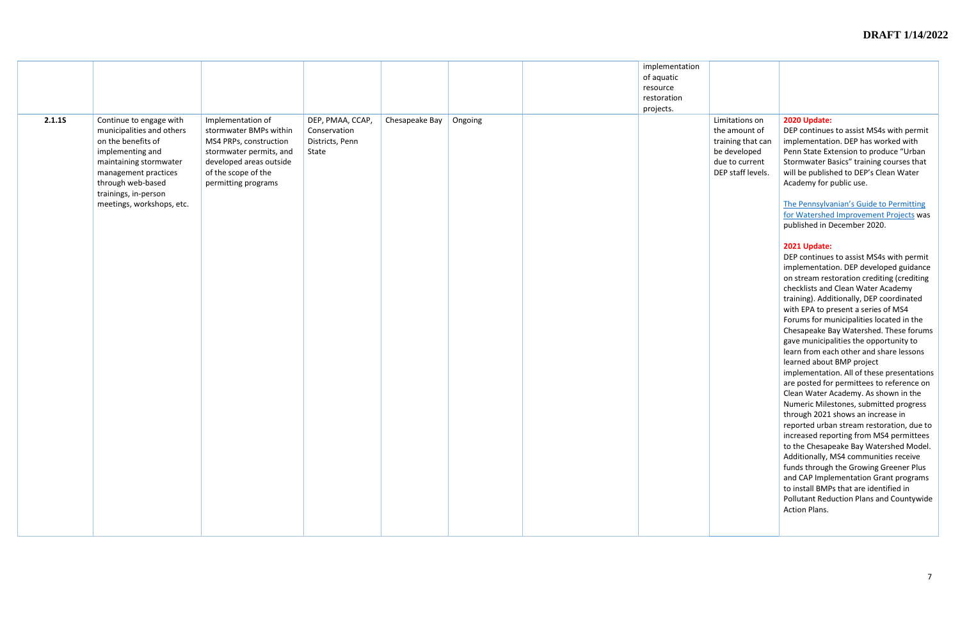|        |                                                                                                                                                                                                                            |                                                                                                                                                                           |                                                              |                |         | implementation<br>of aquatic<br>resource<br>restoration |
|--------|----------------------------------------------------------------------------------------------------------------------------------------------------------------------------------------------------------------------------|---------------------------------------------------------------------------------------------------------------------------------------------------------------------------|--------------------------------------------------------------|----------------|---------|---------------------------------------------------------|
| 2.1.15 | Continue to engage with<br>municipalities and others<br>on the benefits of<br>implementing and<br>maintaining stormwater<br>management practices<br>through web-based<br>trainings, in-person<br>meetings, workshops, etc. | Implementation of<br>stormwater BMPs within<br>MS4 PRPs, construction<br>stormwater permits, and<br>developed areas outside<br>of the scope of the<br>permitting programs | DEP, PMAA, CCAP,<br>Conservation<br>Districts, Penn<br>State | Chesapeake Bay | Ongoing | projects.                                               |
|        |                                                                                                                                                                                                                            |                                                                                                                                                                           |                                                              |                |         |                                                         |

Limitations on the amount of training that can be developed due to current DEP staff levels.

#### **2020 Update:**

DEP continues to assist MS4s with permit implementation. DEP has worked with Penn State Extension to produce "Urban Stormwater Basics" training courses that will be published to DEP's Clean Water Academy for public use.

[The Pennsylvanian's Guide to Permitting](http://www.depgreenport.state.pa.us/elibrary/GetDocument?docId=3471486&DocName=PENNSYLVANIAN%26%2339%3bS%20GUIDE%20TO%20PERMITTING%20WATERSHED%20IMPROVEMENT%20PROJECTS.PDF%20%20%3cspan%20style%3D%22color:green%3b%22%3e%3c/span%3e%20%3cspan%20style%3D%22color:blue%3b%22%3e%28NEW%29%3c/span%3e%2012/7/2022)  [for Watershed Improvement Projects](http://www.depgreenport.state.pa.us/elibrary/GetDocument?docId=3471486&DocName=PENNSYLVANIAN%26%2339%3bS%20GUIDE%20TO%20PERMITTING%20WATERSHED%20IMPROVEMENT%20PROJECTS.PDF%20%20%3cspan%20style%3D%22color:green%3b%22%3e%3c/span%3e%20%3cspan%20style%3D%22color:blue%3b%22%3e%28NEW%29%3c/span%3e%2012/7/2022) was published in December 2020.

# **2021 Update:**

DEP continues to assist MS4s with permit implementation. DEP developed guidance on stream restoration crediting (crediting checklists and Clean Water Academy training). Additionally, DEP coordinated with EPA to present a series of MS4 Forums for municipalities located in the Chesapeake Bay Watershed. These forums gave municipalities the opportunity to learn from each other and share lessons learned about BMP project implementation. All of these presentations are posted for permittees to reference on Clean Water Academy. As shown in the Numeric Milestones, submitted progress through 2021 shows an increase in reported urban stream restoration, due to increased reporting from MS4 permittees to the Chesapeake Bay Watershed Model. Additionally, MS4 communities receive funds through the Growing Greener Plus and CAP Implementation Grant programs to install BMPs that are identified in Pollutant Reduction Plans and Countywide Action Plans.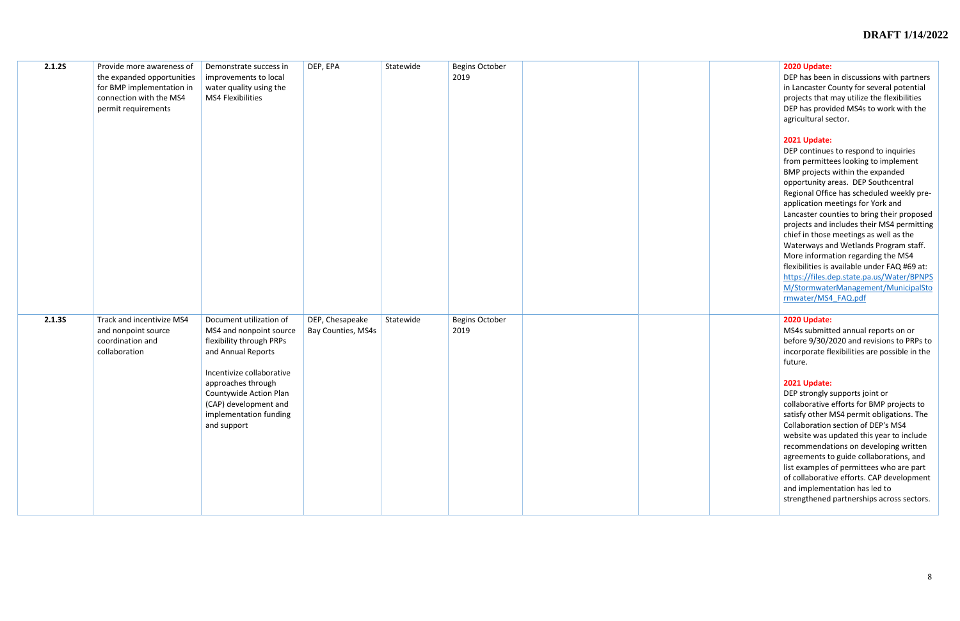#### **2020 Update:**

DEP has been in discussions with partners in Lancaster County for several potential projects that may utilize the flexibilities DEP has provided MS4s to work with the agricultural sector.

#### **2021 Update:**

| 2.1.25 | Provide more awareness of<br>the expanded opportunities<br>for BMP implementation in<br>connection with the MS4<br>permit requirements | Demonstrate success in<br>improvements to local<br>water quality using the<br>MS4 Flexibilities                                                                                                                                                     | DEP, EPA                              | Statewide | Begins October<br>2019 |  |
|--------|----------------------------------------------------------------------------------------------------------------------------------------|-----------------------------------------------------------------------------------------------------------------------------------------------------------------------------------------------------------------------------------------------------|---------------------------------------|-----------|------------------------|--|
| 2.1.35 | Track and incentivize MS4<br>and nonpoint source<br>coordination and<br>collaboration                                                  | Document utilization of<br>MS4 and nonpoint source<br>flexibility through PRPs<br>and Annual Reports<br>Incentivize collaborative<br>approaches through<br>Countywide Action Plan<br>(CAP) development and<br>implementation funding<br>and support | DEP, Chesapeake<br>Bay Counties, MS4s | Statewide | Begins October<br>2019 |  |

DEP continues to respond to inquiries from permittees looking to implement BMP projects within the expanded opportunity areas. DEP Southcentral Regional Office has scheduled weekly preapplication meetings for York and Lancaster counties to bring their proposed projects and includes their MS4 permitting chief in those meetings as well as the Waterways and Wetlands Program staff. More information regarding the MS4 flexibilities is available under FAQ #69 at: [https://files.dep.state.pa.us/Water/BPNPS](https://files.dep.state.pa.us/Water/BPNPSM/StormwaterManagement/MunicipalStormwater/MS4_FAQ.pdf) [M/StormwaterManagement/MunicipalSto](https://files.dep.state.pa.us/Water/BPNPSM/StormwaterManagement/MunicipalStormwater/MS4_FAQ.pdf) [rmwater/MS4\\_FAQ.pdf](https://files.dep.state.pa.us/Water/BPNPSM/StormwaterManagement/MunicipalStormwater/MS4_FAQ.pdf)

# **2020 Update:**

MS4s submitted annual reports on or before 9/30/2020 and revisions to PRPs to incorporate flexibilities are possible in the future.

#### **2021 Update:**

DEP strongly supports joint or collaborative efforts for BMP projects to satisfy other MS4 permit obligations. The Collaboration section of DEP's MS4 website was updated this year to include recommendations on developing written agreements to guide collaborations, and list examples of permittees who are part of collaborative efforts. CAP development and implementation has led to strengthened partnerships across sectors.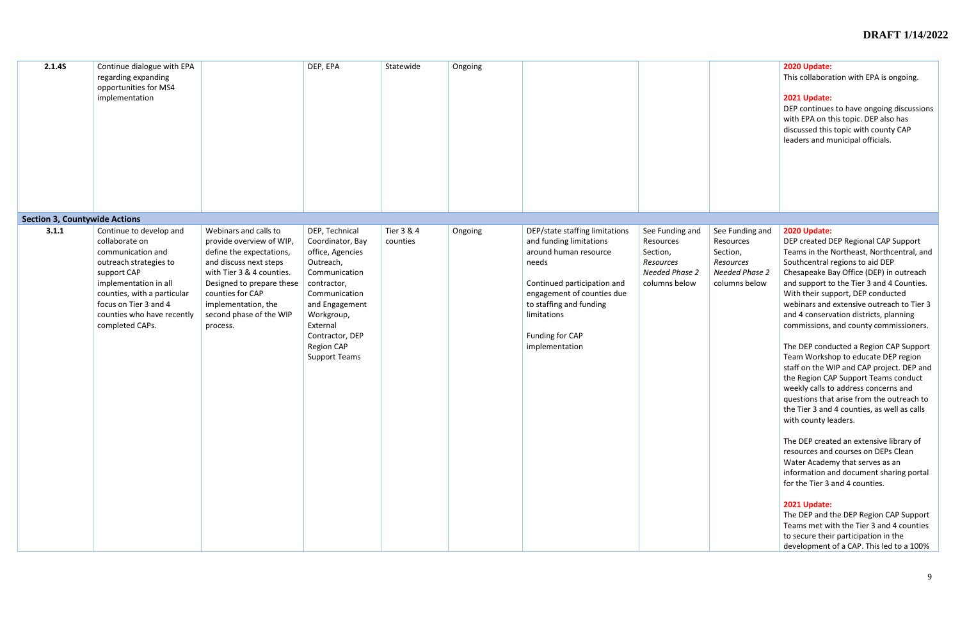| 2.1.45                               | Continue dialogue with EPA<br>regarding expanding<br>opportunities for MS4<br>implementation                                                                                                                                              |                                                                                                                                                                                                                                                     | DEP, EPA                                                                                                                                                                                                                  | Statewide              | Ongoing |                                                                                                                                                                                                                                         |                                                                                                 |                                                                                                 | 2020 Update:<br>This collabora<br>2021 Update:<br>DEP continue:<br>with EPA on tl<br>discussed this<br>leaders and m                                                                                                                                                                                                                                                                                                                                                              |
|--------------------------------------|-------------------------------------------------------------------------------------------------------------------------------------------------------------------------------------------------------------------------------------------|-----------------------------------------------------------------------------------------------------------------------------------------------------------------------------------------------------------------------------------------------------|---------------------------------------------------------------------------------------------------------------------------------------------------------------------------------------------------------------------------|------------------------|---------|-----------------------------------------------------------------------------------------------------------------------------------------------------------------------------------------------------------------------------------------|-------------------------------------------------------------------------------------------------|-------------------------------------------------------------------------------------------------|-----------------------------------------------------------------------------------------------------------------------------------------------------------------------------------------------------------------------------------------------------------------------------------------------------------------------------------------------------------------------------------------------------------------------------------------------------------------------------------|
| <b>Section 3, Countywide Actions</b> |                                                                                                                                                                                                                                           |                                                                                                                                                                                                                                                     |                                                                                                                                                                                                                           |                        |         |                                                                                                                                                                                                                                         |                                                                                                 |                                                                                                 |                                                                                                                                                                                                                                                                                                                                                                                                                                                                                   |
| 3.1.1                                | Continue to develop and<br>collaborate on<br>communication and<br>outreach strategies to<br>support CAP<br>implementation in all<br>counties, with a particular<br>focus on Tier 3 and 4<br>counties who have recently<br>completed CAPs. | Webinars and calls to<br>provide overview of WIP,<br>define the expectations,<br>and discuss next steps<br>with Tier 3 & 4 counties.<br>Designed to prepare these<br>counties for CAP<br>implementation, the<br>second phase of the WIP<br>process. | DEP, Technical<br>Coordinator, Bay<br>office, Agencies<br>Outreach,<br>Communication<br>contractor,<br>Communication<br>and Engagement<br>Workgroup,<br>External<br>Contractor, DEP<br>Region CAP<br><b>Support Teams</b> | Tier 3 & 4<br>counties | Ongoing | DEP/state staffing limitations<br>and funding limitations<br>around human resource<br>needs<br>Continued participation and<br>engagement of counties due<br>to staffing and funding<br>limitations<br>Funding for CAP<br>implementation | See Funding and<br>Resources<br>Section,<br>Resources<br><b>Needed Phase 2</b><br>columns below | See Funding and<br>Resources<br>Section,<br>Resources<br><b>Needed Phase 2</b><br>columns below | 2020 Update:<br>DEP created D<br>Teams in the<br>Southcentral<br>Chesapeake B<br>and support t<br>With their sup<br>webinars and<br>and 4 conserv<br>commissions,<br>The DEP cond<br>Team Worksh<br>staff on the W<br>the Region CA<br>weekly calls to<br>questions tha<br>the Tier 3 and<br>with county le<br>The DEP creat<br>resources and<br>Water Acader<br>information a<br>for the Tier 3<br>2021 Update:<br>The DEP and t<br>Teams met w<br>to secure thei<br>development |

|                       | 2020 Update:                                                                  |
|-----------------------|-------------------------------------------------------------------------------|
|                       | This collaboration with EPA is ongoing.                                       |
|                       | 2021 Update:                                                                  |
|                       | DEP continues to have ongoing discussions                                     |
|                       | with EPA on this topic. DEP also has                                          |
|                       | discussed this topic with county CAP                                          |
|                       | leaders and municipal officials.                                              |
|                       |                                                                               |
|                       |                                                                               |
|                       |                                                                               |
|                       |                                                                               |
|                       |                                                                               |
|                       |                                                                               |
| See Funding and       | 2020 Update:                                                                  |
| Resources             | DEP created DEP Regional CAP Support                                          |
| Section,              | Teams in the Northeast, Northcentral, and                                     |
| <b>Resources</b>      | Southcentral regions to aid DEP                                               |
| <b>Needed Phase 2</b> | Chesapeake Bay Office (DEP) in outreach                                       |
| columns below         | and support to the Tier 3 and 4 Counties.                                     |
|                       | With their support, DEP conducted                                             |
|                       | webinars and extensive outreach to Tier 3                                     |
|                       | and 4 conservation districts, planning                                        |
|                       | commissions, and county commissioners.                                        |
|                       |                                                                               |
|                       | The DEP conducted a Region CAP Support<br>Team Workshop to educate DEP region |
|                       | staff on the WIP and CAP project. DEP and                                     |
|                       | the Region CAP Support Teams conduct                                          |
|                       | weekly calls to address concerns and                                          |
|                       | questions that arise from the outreach to                                     |
|                       | the Tier 3 and 4 counties, as well as calls                                   |
|                       | with county leaders.                                                          |
|                       |                                                                               |
|                       | The DEP created an extensive library of                                       |
|                       | resources and courses on DEPs Clean                                           |
|                       | Water Academy that serves as an                                               |
|                       | information and document sharing portal<br>for the Tier 3 and 4 counties.     |
|                       |                                                                               |
|                       | 2021 Update:                                                                  |
|                       | The DEP and the DEP Region CAP Support                                        |
|                       | Teams met with the Tier 3 and 4 counties                                      |
|                       | to secure their participation in the                                          |
|                       | development of a CAP. This led to a 100%                                      |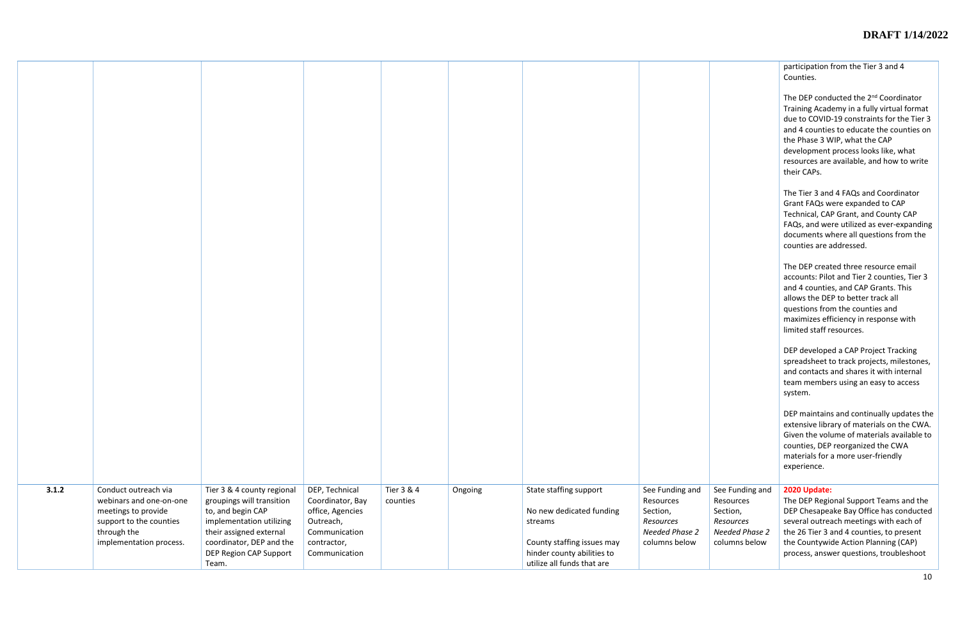|                                                                                          | participation from the Tier 3 and 4<br>Counties.                                                                                                                                                                                                                                                                                |
|------------------------------------------------------------------------------------------|---------------------------------------------------------------------------------------------------------------------------------------------------------------------------------------------------------------------------------------------------------------------------------------------------------------------------------|
|                                                                                          | The DEP conducted the 2 <sup>nd</sup> Coordinator<br>Training Academy in a fully virtual format<br>due to COVID-19 constraints for the Tier 3<br>and 4 counties to educate the counties on<br>the Phase 3 WIP, what the CAP<br>development process looks like, what<br>resources are available, and how to write<br>their CAPs. |
|                                                                                          | The Tier 3 and 4 FAQs and Coordinator<br>Grant FAQs were expanded to CAP<br>Technical, CAP Grant, and County CAP<br>FAQs, and were utilized as ever-expanding<br>documents where all questions from the<br>counties are addressed.                                                                                              |
|                                                                                          | The DEP created three resource email<br>accounts: Pilot and Tier 2 counties, Tier 3<br>and 4 counties, and CAP Grants. This<br>allows the DEP to better track all<br>questions from the counties and<br>maximizes efficiency in response with<br>limited staff resources.                                                       |
|                                                                                          | DEP developed a CAP Project Tracking<br>spreadsheet to track projects, milestones,<br>and contacts and shares it with internal<br>team members using an easy to access<br>system.                                                                                                                                               |
|                                                                                          | DEP maintains and continually updates the<br>extensive library of materials on the CWA.<br>Given the volume of materials available to<br>counties, DEP reorganized the CWA<br>materials for a more user-friendly<br>experience.                                                                                                 |
| See Funding and<br>Resources<br>Section,<br>Resources<br>Needed Phase 2<br>columns below | 2020 Update:<br>The DEP Regional Support Teams and the<br>DEP Chesapeake Bay Office has conducted<br>several outreach meetings with each of<br>the 26 Tier 3 and 4 counties, to present<br>the Countywide Action Planning (CAP)<br>process, answer questions, troubleshoot                                                      |

| 3.1.2 | Conduct outreach via    | Tier 3 & 4 county regional | DEP, Technical   | Tier 3 & 4 | Ongoing | State staffing support     | See Funding and       |
|-------|-------------------------|----------------------------|------------------|------------|---------|----------------------------|-----------------------|
|       | webinars and one-on-one |                            |                  | counties   |         |                            | Resources             |
|       |                         | groupings will transition  | Coordinator, Bay |            |         |                            |                       |
|       | meetings to provide     | to, and begin CAP          | office, Agencies |            |         | No new dedicated funding   | Section,              |
|       | support to the counties | implementation utilizing   | Outreach,        |            |         | streams                    | Resources             |
|       | through the             | their assigned external    | Communication    |            |         |                            | <b>Needed Phase 2</b> |
|       | implementation process. | coordinator, DEP and the   | contractor,      |            |         | County staffing issues may | columns below         |
|       |                         |                            |                  |            |         |                            |                       |
|       |                         | DEP Region CAP Support     | Communication    |            |         | hinder county abilities to |                       |
|       |                         | Team.                      |                  |            |         | utilize all funds that are |                       |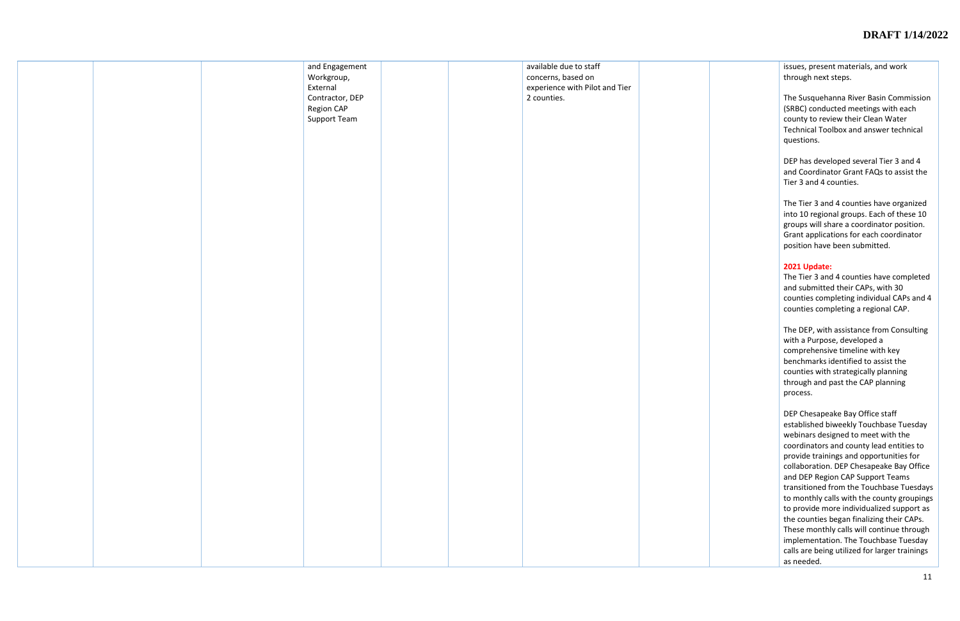|  | and Engagement<br>Workgroup,<br>External<br>Contractor, DEP<br>Region CAP<br><b>Support Team</b> |  | available due to staff<br>concerns, based on<br>experience with Pilot and Tier<br>2 counties. |  |
|--|--------------------------------------------------------------------------------------------------|--|-----------------------------------------------------------------------------------------------|--|
|  |                                                                                                  |  |                                                                                               |  |
|  |                                                                                                  |  |                                                                                               |  |
|  |                                                                                                  |  |                                                                                               |  |
|  |                                                                                                  |  |                                                                                               |  |
|  |                                                                                                  |  |                                                                                               |  |
|  |                                                                                                  |  |                                                                                               |  |

issues, present materials, and work through next steps.

The Susquehanna River Basin Commission (SRBC) conducted meetings with each county to review their Clean Water Technical Toolbox and answer technical questions.

DEP has developed several Tier 3 and 4 and Coordinator Grant FAQs to assist the Tier 3 and 4 counties.

The Tier 3 and 4 counties have organized into 10 regional groups. Each of these 10 groups will share a coordinator position. Grant applications for each coordinator position have been submitted.

## **2021 Update:**

The Tier 3 and 4 counties have completed and submitted their CAPs, with 30 counties completing individual CAPs and 4 counties completing a regional CAP.

The DEP, with assistance from Consulting with a Purpose, developed a comprehensive timeline with key benchmarks identified to assist the counties with strategically planning through and past the CAP planning process.

DEP Chesapeake Bay Office staff established biweekly Touchbase Tuesday webinars designed to meet with the coordinators and county lead entities to provide trainings and opportunities for collaboration. DEP Chesapeake Bay Office and DEP Region CAP Support Teams transitioned from the Touchbase Tuesdays to monthly calls with the county groupings to provide more individualized support as the counties began finalizing their CAPs. These monthly calls will continue through implementation. The Touchbase Tuesday calls are being utilized for larger trainings as needed.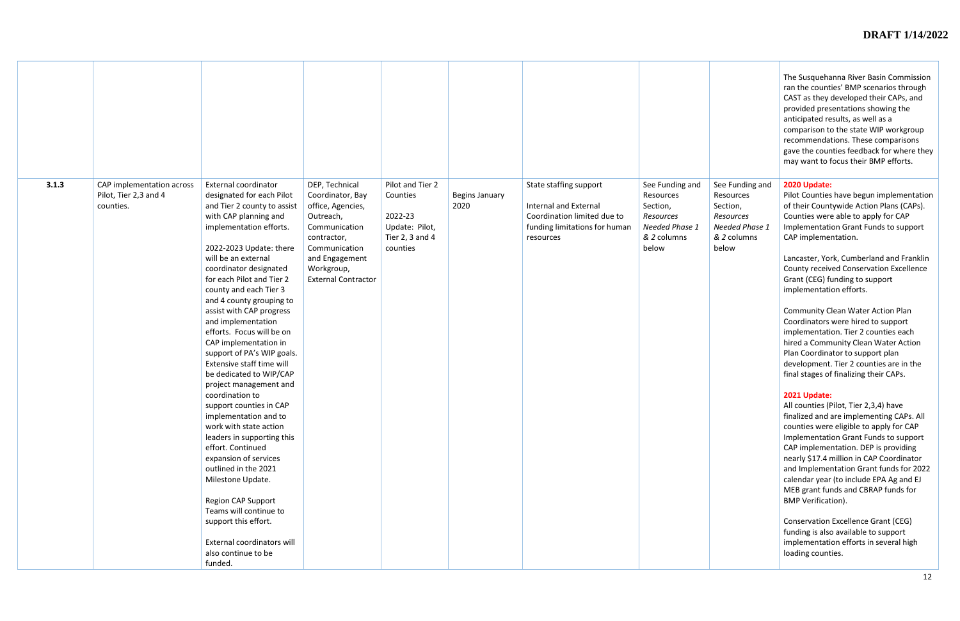|                                                                          |                                                                                                                                                                                                                                                                                                                                                                                                                                                                                                                                                                                                                                                                                                                                                                                                                                                                                                             |                                                                                                                                                                                     |                                                                                          |                        |                                                                                                                                     |                                                                                                 |                                                                                                 | The Susquehanna River Basin Commission<br>ran the counties' BMP scenarios through<br>CAST as they developed their CAPs, and<br>provided presentations showing the<br>anticipated results, as well as a<br>comparison to the state WIP workgroup<br>recommendations. These comparisons<br>gave the counties feedback for where they<br>may want to focus their BMP efforts.                                                                                                                                                                                                                                                                                                                                                                                                                                                                                                                                                                                                                                                                                                                                                                                                                                                                                    |
|--------------------------------------------------------------------------|-------------------------------------------------------------------------------------------------------------------------------------------------------------------------------------------------------------------------------------------------------------------------------------------------------------------------------------------------------------------------------------------------------------------------------------------------------------------------------------------------------------------------------------------------------------------------------------------------------------------------------------------------------------------------------------------------------------------------------------------------------------------------------------------------------------------------------------------------------------------------------------------------------------|-------------------------------------------------------------------------------------------------------------------------------------------------------------------------------------|------------------------------------------------------------------------------------------|------------------------|-------------------------------------------------------------------------------------------------------------------------------------|-------------------------------------------------------------------------------------------------|-------------------------------------------------------------------------------------------------|---------------------------------------------------------------------------------------------------------------------------------------------------------------------------------------------------------------------------------------------------------------------------------------------------------------------------------------------------------------------------------------------------------------------------------------------------------------------------------------------------------------------------------------------------------------------------------------------------------------------------------------------------------------------------------------------------------------------------------------------------------------------------------------------------------------------------------------------------------------------------------------------------------------------------------------------------------------------------------------------------------------------------------------------------------------------------------------------------------------------------------------------------------------------------------------------------------------------------------------------------------------|
| 3.1.3<br>CAP implementation across<br>Pilot, Tier 2,3 and 4<br>counties. | <b>External coordinator</b><br>designated for each Pilot<br>and Tier 2 county to assist<br>with CAP planning and<br>implementation efforts.<br>2022-2023 Update: there<br>will be an external<br>coordinator designated<br>for each Pilot and Tier 2<br>county and each Tier 3<br>and 4 county grouping to<br>assist with CAP progress<br>and implementation<br>efforts. Focus will be on<br>CAP implementation in<br>support of PA's WIP goals.<br>Extensive staff time will<br>be dedicated to WIP/CAP<br>project management and<br>coordination to<br>support counties in CAP<br>implementation and to<br>work with state action<br>leaders in supporting this<br>effort. Continued<br>expansion of services<br>outlined in the 2021<br>Milestone Update.<br><b>Region CAP Support</b><br>Teams will continue to<br>support this effort.<br>External coordinators will<br>also continue to be<br>funded. | DEP, Technical<br>Coordinator, Bay<br>office, Agencies,<br>Outreach,<br>Communication<br>contractor,<br>Communication<br>and Engagement<br>Workgroup,<br><b>External Contractor</b> | Pilot and Tier 2<br>Counties<br>2022-23<br>Update: Pilot,<br>Tier 2, 3 and 4<br>counties | Begins January<br>2020 | State staffing support<br><b>Internal and External</b><br>Coordination limited due to<br>funding limitations for human<br>resources | See Funding and<br>Resources<br>Section,<br>Resources<br>Needed Phase 1<br>& 2 columns<br>below | See Funding and<br>Resources<br>Section,<br>Resources<br>Needed Phase 1<br>& 2 columns<br>below | 2020 Update:<br>Pilot Counties have begun implementation<br>of their Countywide Action Plans (CAPs).<br>Counties were able to apply for CAP<br>Implementation Grant Funds to support<br>CAP implementation.<br>Lancaster, York, Cumberland and Franklin<br><b>County received Conservation Excellence</b><br>Grant (CEG) funding to support<br>implementation efforts.<br><b>Community Clean Water Action Plan</b><br>Coordinators were hired to support<br>implementation. Tier 2 counties each<br>hired a Community Clean Water Action<br>Plan Coordinator to support plan<br>development. Tier 2 counties are in the<br>final stages of finalizing their CAPs.<br>2021 Update:<br>All counties (Pilot, Tier 2,3,4) have<br>finalized and are implementing CAPs. All<br>counties were eligible to apply for CAP<br>Implementation Grant Funds to support<br>CAP implementation. DEP is providing<br>nearly \$17.4 million in CAP Coordinator<br>and Implementation Grant funds for 2022<br>calendar year (to include EPA Ag and EJ<br>MEB grant funds and CBRAP funds for<br><b>BMP Verification).</b><br><b>Conservation Excellence Grant (CEG)</b><br>funding is also available to support<br>implementation efforts in several high<br>loading counties. |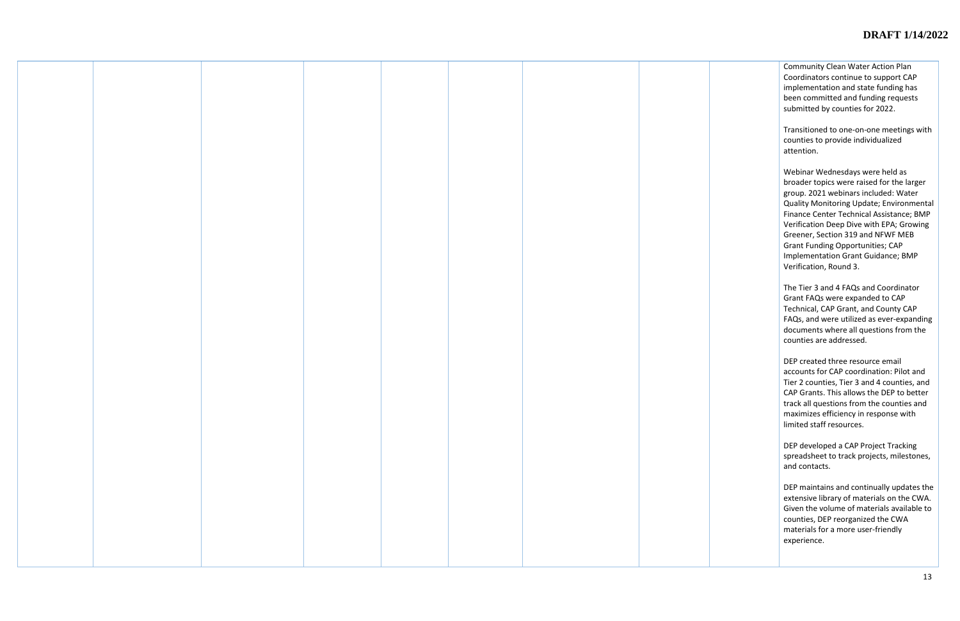Community Clean Water Action Plan Coordinators continue to support CAP implementation and state funding has been committed and funding requests submitted by counties for 2022.

Transitioned to one-on-one meetings with counties to provide individualized attention.

Webinar Wednesdays were held as broader topics were raised for the larger group. 2021 webinars included: Water Quality Monitoring Update; Environmental Finance Center Technical Assistance; BMP Verification Deep Dive with EPA; Growing Greener, Section 319 and NFWF MEB Grant Funding Opportunities; CAP Implementation Grant Guidance; BMP Verification, Round 3.

The Tier 3 and 4 FAQs and Coordinator Grant FAQs were expanded to CAP Technical, CAP Grant, and County CAP FAQs, and were utilized as ever-expanding documents where all questions from the counties are addressed.

DEP created three resource email accounts for CAP coordination: Pilot and Tier 2 counties, Tier 3 and 4 counties, and CAP Grants. This allows the DEP to better track all questions from the counties and maximizes efficiency in response with limited staff resources.

DEP developed a CAP Project Tracking spreadsheet to track projects, milestones, and contacts.

DEP maintains and continually updates the extensive library of materials on the CWA. Given the volume of materials available to counties, DEP reorganized the CWA materials for a more user-friendly experience.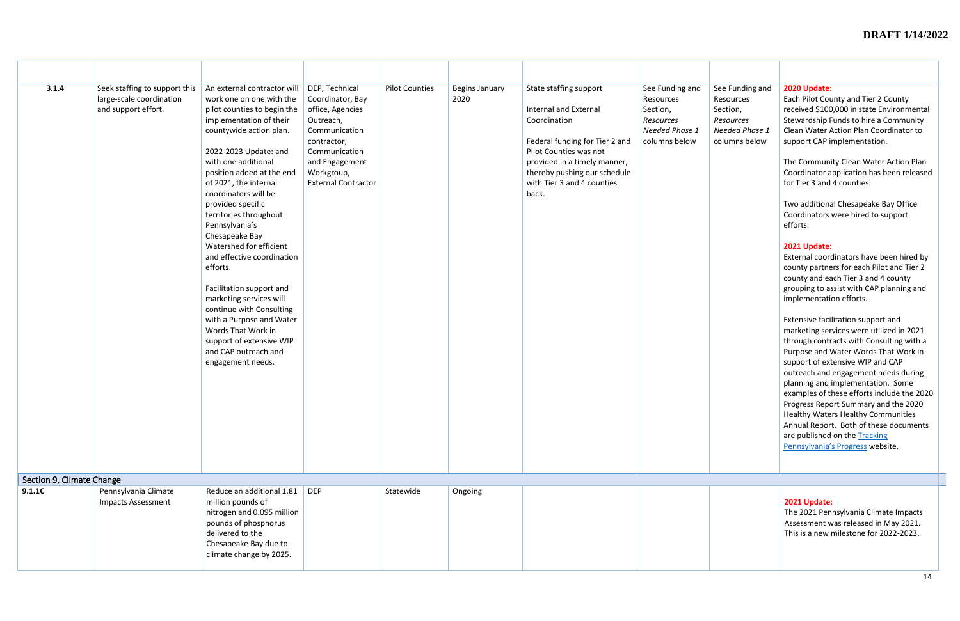| See Funding and<br>Resources<br>Section,<br>Resources<br>Needed Phase 1<br>columns below | 2020 Update:<br>Each Pilot County and Tier 2 County<br>received \$100,000 in state Environmental<br>Stewardship Funds to hire a Community<br>Clean Water Action Plan Coordinator to<br>support CAP implementation.                                                                                                                                                                                                                                                                                                                    |
|------------------------------------------------------------------------------------------|---------------------------------------------------------------------------------------------------------------------------------------------------------------------------------------------------------------------------------------------------------------------------------------------------------------------------------------------------------------------------------------------------------------------------------------------------------------------------------------------------------------------------------------|
|                                                                                          | The Community Clean Water Action Plan<br>Coordinator application has been released<br>for Tier 3 and 4 counties.                                                                                                                                                                                                                                                                                                                                                                                                                      |
|                                                                                          | Two additional Chesapeake Bay Office<br>Coordinators were hired to support<br>efforts.                                                                                                                                                                                                                                                                                                                                                                                                                                                |
|                                                                                          | 2021 Update:<br>External coordinators have been hired by<br>county partners for each Pilot and Tier 2<br>county and each Tier 3 and 4 county<br>grouping to assist with CAP planning and<br>implementation efforts.                                                                                                                                                                                                                                                                                                                   |
|                                                                                          | Extensive facilitation support and<br>marketing services were utilized in 2021<br>through contracts with Consulting with a<br>Purpose and Water Words That Work in<br>support of extensive WIP and CAP<br>outreach and engagement needs during<br>planning and implementation. Some<br>examples of these efforts include the 2020<br>Progress Report Summary and the 2020<br><b>Healthy Waters Healthy Communities</b><br>Annual Report. Both of these documents<br>are published on the Tracking<br>Pennsylvania's Progress website. |
|                                                                                          |                                                                                                                                                                                                                                                                                                                                                                                                                                                                                                                                       |

| 3.1.4<br>Section 9, Climate Change | Seek staffing to support this<br>large-scale coordination<br>and support effort. | An external contractor will<br>work one on one with the<br>pilot counties to begin the<br>implementation of their<br>countywide action plan.<br>2022-2023 Update: and<br>with one additional<br>position added at the end<br>of 2021, the internal<br>coordinators will be<br>provided specific<br>territories throughout<br>Pennsylvania's<br>Chesapeake Bay<br>Watershed for efficient<br>and effective coordination<br>efforts.<br>Facilitation support and<br>marketing services will<br>continue with Consulting<br>with a Purpose and Water<br>Words That Work in<br>support of extensive WIP<br>and CAP outreach and<br>engagement needs. | DEP, Technical<br>Coordinator, Bay<br>office, Agencies<br>Outreach,<br>Communication<br>contractor,<br>Communication<br>and Engagement<br>Workgroup,<br><b>External Contractor</b> | <b>Pilot Counties</b> | <b>Begins January</b><br>2020 | State staffing support<br><b>Internal and External</b><br>Coordination<br>Federal funding for Tier 2 and<br>Pilot Counties was not<br>provided in a timely manner,<br>thereby pushing our schedule<br>with Tier 3 and 4 counties<br>back. | See Funding and<br>Resources<br>Section,<br>Resources<br>Needed Phase 1<br>columns below |
|------------------------------------|----------------------------------------------------------------------------------|--------------------------------------------------------------------------------------------------------------------------------------------------------------------------------------------------------------------------------------------------------------------------------------------------------------------------------------------------------------------------------------------------------------------------------------------------------------------------------------------------------------------------------------------------------------------------------------------------------------------------------------------------|------------------------------------------------------------------------------------------------------------------------------------------------------------------------------------|-----------------------|-------------------------------|-------------------------------------------------------------------------------------------------------------------------------------------------------------------------------------------------------------------------------------------|------------------------------------------------------------------------------------------|
| 9.1.1C                             | Pennsylvania Climate<br><b>Impacts Assessment</b>                                | Reduce an additional 1.81<br>million pounds of<br>nitrogen and 0.095 million<br>pounds of phosphorus<br>delivered to the<br>Chesapeake Bay due to<br>climate change by 2025.                                                                                                                                                                                                                                                                                                                                                                                                                                                                     | <b>DEP</b>                                                                                                                                                                         | Statewide             | Ongoing                       |                                                                                                                                                                                                                                           |                                                                                          |

# **2021 Update:**

The 2021 Pennsylvania Climate Impacts Assessment was released in May 2021. This is a new milestone for 2022-2023.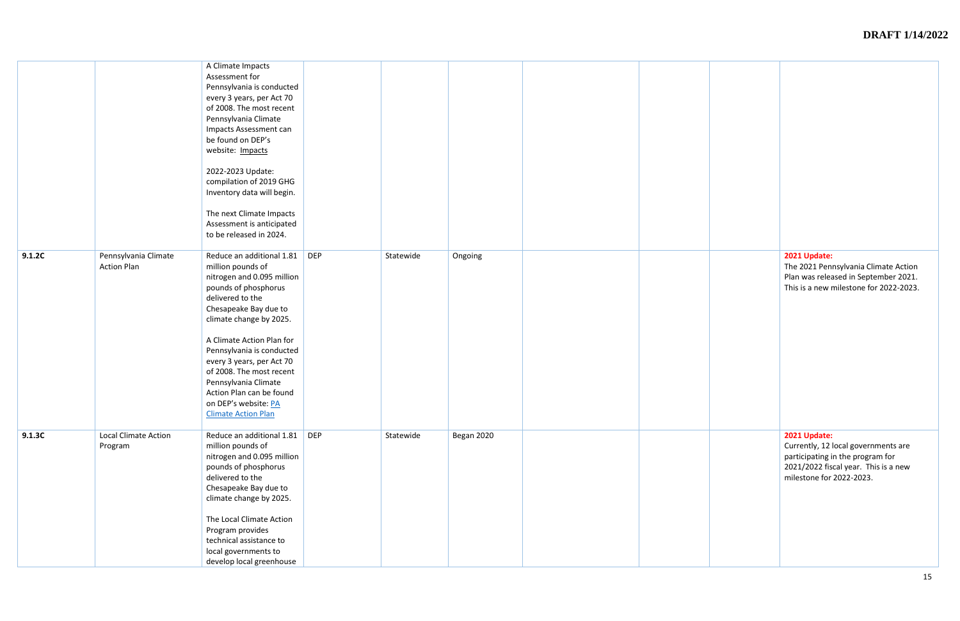|        |                                            | A Climate Impacts<br>Assessment for<br>Pennsylvania is conducted<br>every 3 years, per Act 70<br>of 2008. The most recent<br>Pennsylvania Climate<br>Impacts Assessment can<br>be found on DEP's<br>website: Impacts<br>2022-2023 Update:<br>compilation of 2019 GHG<br>Inventory data will begin.<br>The next Climate Impacts<br>Assessment is anticipated<br>to be released in 2024.                    |            |           |            |                                                                                    |
|--------|--------------------------------------------|-----------------------------------------------------------------------------------------------------------------------------------------------------------------------------------------------------------------------------------------------------------------------------------------------------------------------------------------------------------------------------------------------------------|------------|-----------|------------|------------------------------------------------------------------------------------|
| 9.1.2C | Pennsylvania Climate<br><b>Action Plan</b> | Reduce an additional 1.81<br>million pounds of<br>nitrogen and 0.095 million<br>pounds of phosphorus<br>delivered to the<br>Chesapeake Bay due to<br>climate change by 2025.<br>A Climate Action Plan for<br>Pennsylvania is conducted<br>every 3 years, per Act 70<br>of 2008. The most recent<br>Pennsylvania Climate<br>Action Plan can be found<br>on DEP's website: PA<br><b>Climate Action Plan</b> | <b>DEP</b> | Statewide | Ongoing    | 2021 Update:<br>The 2021 Pen<br>Plan was relea<br>This is a new                    |
| 9.1.3C | <b>Local Climate Action</b><br>Program     | Reduce an additional 1.81<br>million pounds of<br>nitrogen and 0.095 million<br>pounds of phosphorus<br>delivered to the<br>Chesapeake Bay due to<br>climate change by 2025.<br>The Local Climate Action<br>Program provides<br>technical assistance to<br>local governments to<br>develop local greenhouse                                                                                               | DEP        | Statewide | Began 2020 | 2021 Update:<br>Currently, 12<br>participating i<br>2021/2022 fis<br>milestone for |

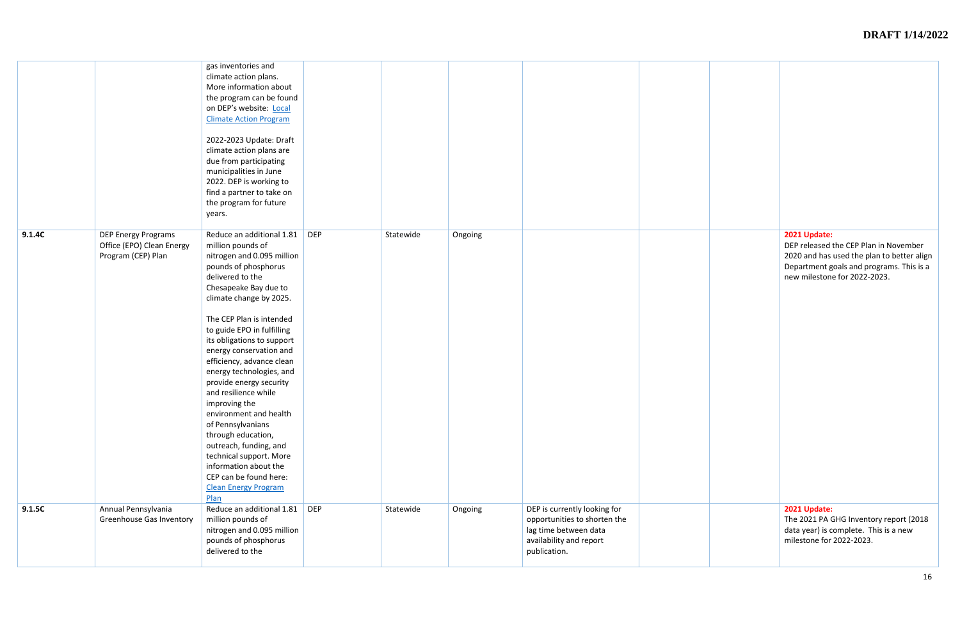|        |                                                                               | gas inventories and<br>climate action plans.<br>More information about<br>the program can be found<br>on DEP's website: Local<br><b>Climate Action Program</b><br>2022-2023 Update: Draft<br>climate action plans are<br>due from participating<br>municipalities in June<br>2022. DEP is working to<br>find a partner to take on<br>the program for future<br>years.                                                                                                                                                                                                                                                                            |            |           |         |                                                                                                                                  |                                                                              |
|--------|-------------------------------------------------------------------------------|--------------------------------------------------------------------------------------------------------------------------------------------------------------------------------------------------------------------------------------------------------------------------------------------------------------------------------------------------------------------------------------------------------------------------------------------------------------------------------------------------------------------------------------------------------------------------------------------------------------------------------------------------|------------|-----------|---------|----------------------------------------------------------------------------------------------------------------------------------|------------------------------------------------------------------------------|
| 9.1.4C | <b>DEP Energy Programs</b><br>Office (EPO) Clean Energy<br>Program (CEP) Plan | Reduce an additional 1.81<br>million pounds of<br>nitrogen and 0.095 million<br>pounds of phosphorus<br>delivered to the<br>Chesapeake Bay due to<br>climate change by 2025.<br>The CEP Plan is intended<br>to guide EPO in fulfilling<br>its obligations to support<br>energy conservation and<br>efficiency, advance clean<br>energy technologies, and<br>provide energy security<br>and resilience while<br>improving the<br>environment and health<br>of Pennsylvanians<br>through education,<br>outreach, funding, and<br>technical support. More<br>information about the<br>CEP can be found here:<br><b>Clean Energy Program</b><br>Plan | <b>DEP</b> | Statewide | Ongoing |                                                                                                                                  | 2021 Update:<br>DEP released<br>2020 and has<br>Department g<br>new mileston |
| 9.1.5C | Annual Pennsylvania<br><b>Greenhouse Gas Inventory</b>                        | Reduce an additional 1.81<br>million pounds of<br>nitrogen and 0.095 million<br>pounds of phosphorus<br>delivered to the                                                                                                                                                                                                                                                                                                                                                                                                                                                                                                                         | <b>DEP</b> | Statewide | Ongoing | DEP is currently looking for<br>opportunities to shorten the<br>lag time between data<br>availability and report<br>publication. | 2021 Update:<br>The 2021 PA<br>data year) is c<br>milestone for              |

| 2021 Update:<br>DEP released the CEP Plan in November<br>2020 and has used the plan to better align<br>Department goals and programs. This is a<br>new milestone for 2022-2023. |
|---------------------------------------------------------------------------------------------------------------------------------------------------------------------------------|
| 2021 Update:<br>The 2021 PA GHG Inventory report (2018<br>data year) is complete. This is a new<br>milestone for 2022-2023.                                                     |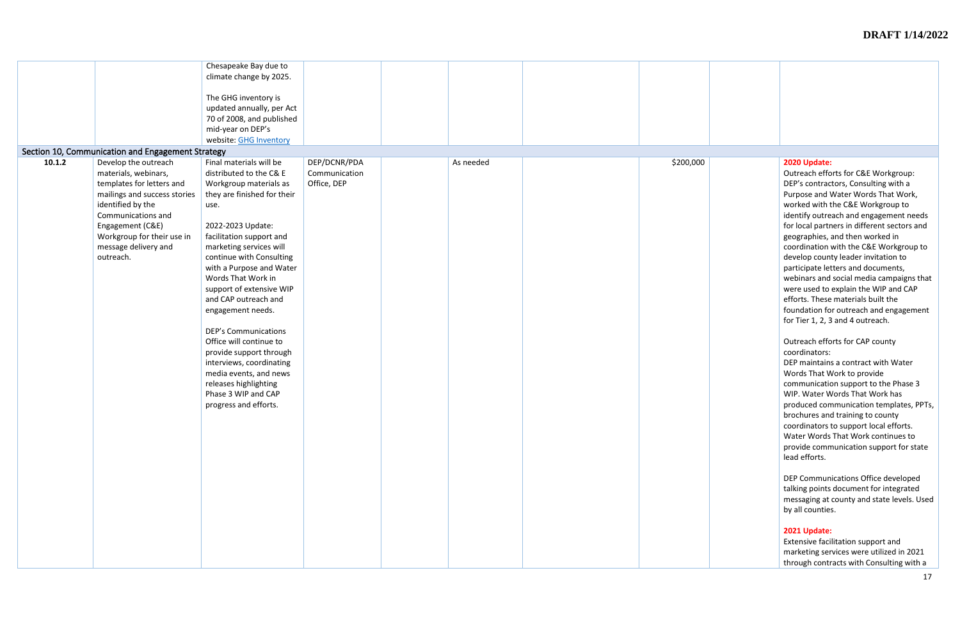|        |                                                   | Chesapeake Bay due to       |               |           |           |
|--------|---------------------------------------------------|-----------------------------|---------------|-----------|-----------|
|        |                                                   | climate change by 2025.     |               |           |           |
|        |                                                   |                             |               |           |           |
|        |                                                   | The GHG inventory is        |               |           |           |
|        |                                                   | updated annually, per Act   |               |           |           |
|        |                                                   | 70 of 2008, and published   |               |           |           |
|        |                                                   | mid-year on DEP's           |               |           |           |
|        |                                                   | website: GHG Inventory      |               |           |           |
|        |                                                   |                             |               |           |           |
|        | Section 10, Communication and Engagement Strategy |                             |               |           |           |
| 10.1.2 | Develop the outreach                              | Final materials will be     | DEP/DCNR/PDA  | As needed | \$200,000 |
|        | materials, webinars,                              | distributed to the C& E     | Communication |           |           |
|        | templates for letters and                         | Workgroup materials as      | Office, DEP   |           |           |
|        | mailings and success stories                      | they are finished for their |               |           |           |
|        | identified by the                                 | use.                        |               |           |           |
|        | Communications and                                |                             |               |           |           |
|        | Engagement (C&E)                                  | 2022-2023 Update:           |               |           |           |
|        | Workgroup for their use in                        | facilitation support and    |               |           |           |
|        | message delivery and                              | marketing services will     |               |           |           |
|        | outreach.                                         | continue with Consulting    |               |           |           |
|        |                                                   |                             |               |           |           |
|        |                                                   | with a Purpose and Water    |               |           |           |
|        |                                                   | Words That Work in          |               |           |           |
|        |                                                   | support of extensive WIP    |               |           |           |
|        |                                                   | and CAP outreach and        |               |           |           |
|        |                                                   | engagement needs.           |               |           |           |
|        |                                                   |                             |               |           |           |
|        |                                                   | <b>DEP's Communications</b> |               |           |           |
|        |                                                   | Office will continue to     |               |           |           |
|        |                                                   | provide support through     |               |           |           |
|        |                                                   | interviews, coordinating    |               |           |           |
|        |                                                   | media events, and news      |               |           |           |
|        |                                                   | releases highlighting       |               |           |           |
|        |                                                   |                             |               |           |           |
|        |                                                   | Phase 3 WIP and CAP         |               |           |           |
|        |                                                   | progress and efforts.       |               |           |           |
|        |                                                   |                             |               |           |           |
|        |                                                   |                             |               |           |           |
|        |                                                   |                             |               |           |           |
|        |                                                   |                             |               |           |           |
|        |                                                   |                             |               |           |           |
|        |                                                   |                             |               |           |           |
|        |                                                   |                             |               |           |           |
|        |                                                   |                             |               |           |           |
|        |                                                   |                             |               |           |           |
|        |                                                   |                             |               |           |           |
|        |                                                   |                             |               |           |           |
|        |                                                   |                             |               |           |           |
|        |                                                   |                             |               |           |           |
|        |                                                   |                             |               |           |           |
|        |                                                   |                             |               |           |           |
|        |                                                   |                             |               |           |           |

## As needed \$200,000 **2020 Update:**

Outreach efforts for C&E Workgroup: DEP's contractors, Consulting with a Purpose and Water Words That Work, worked with the C&E Workgroup to identify outreach and engagement needs for local partners in different sectors and geographies, and then worked in coordination with the C&E Workgroup to develop county leader invitation to participate letters and documents, webinars and social media campaigns that were used to explain the WIP and CAP efforts. These materials built the foundation for outreach and engagement for Tier 1, 2, 3 and 4 outreach.

## Outreach efforts for CAP county coordinators:

DEP maintains a contract with Water Words That Work to provide communication support to the Phase 3 WIP. Water Words That Work has produced communication templates, PPTs, brochures and training to county coordinators to support local efforts. Water Words That Work continues to provide communication support for state lead efforts.

DEP Communications Office developed talking points document for integrated messaging at county and state levels. Used by all counties.

# **2021 Update:**

Extensive facilitation support and marketing services were utilized in 2021 through contracts with Consulting with a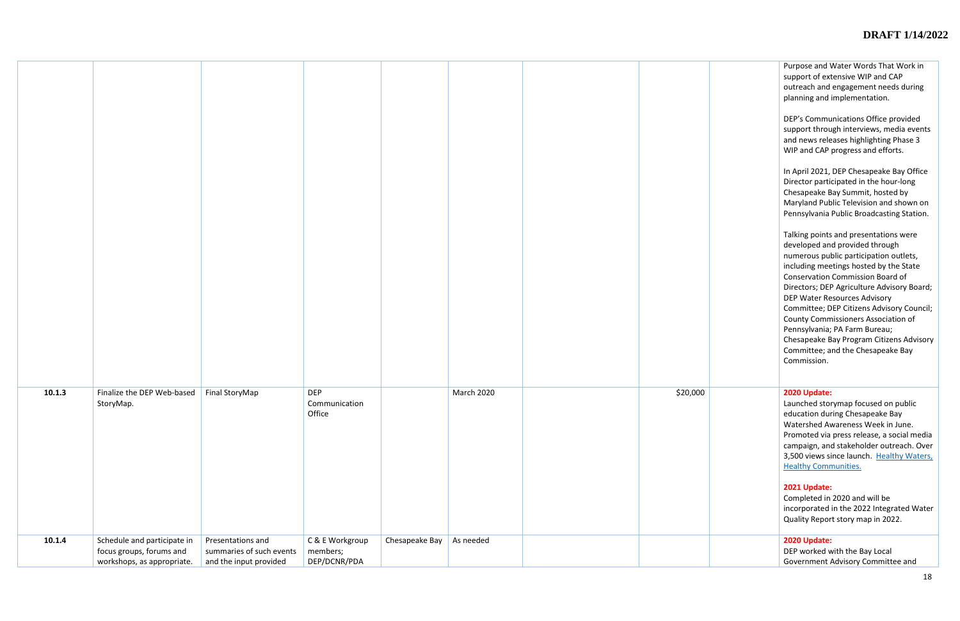|        |                                                                                       |                                                                         |                                             |                |                   |          | Purpose and Water Words That Work in<br>support of extensive WIP and CAP<br>outreach and engagement needs during<br>planning and implementation.<br>DEP's Communications Office provided<br>support through interviews, media events<br>and news releases highlighting Phase 3<br>WIP and CAP progress and efforts.<br>In April 2021, DEP Chesapeake Bay Office<br>Director participated in the hour-long<br>Chesapeake Bay Summit, hosted by<br>Maryland Public Television and shown on<br>Pennsylvania Public Broadcasting Station.<br>Talking points and presentations were<br>developed and provided through<br>numerous public participation outlets,<br>including meetings hosted by the State<br><b>Conservation Commission Board of</b><br>Directors; DEP Agriculture Advisory Board;<br>DEP Water Resources Advisory<br>Committee; DEP Citizens Advisory Council;<br><b>County Commissioners Association of</b><br>Pennsylvania; PA Farm Bureau;<br>Chesapeake Bay Program Citizens Advisory |
|--------|---------------------------------------------------------------------------------------|-------------------------------------------------------------------------|---------------------------------------------|----------------|-------------------|----------|-------------------------------------------------------------------------------------------------------------------------------------------------------------------------------------------------------------------------------------------------------------------------------------------------------------------------------------------------------------------------------------------------------------------------------------------------------------------------------------------------------------------------------------------------------------------------------------------------------------------------------------------------------------------------------------------------------------------------------------------------------------------------------------------------------------------------------------------------------------------------------------------------------------------------------------------------------------------------------------------------------|
|        |                                                                                       |                                                                         |                                             |                |                   |          | Committee; and the Chesapeake Bay<br>Commission.                                                                                                                                                                                                                                                                                                                                                                                                                                                                                                                                                                                                                                                                                                                                                                                                                                                                                                                                                      |
|        |                                                                                       |                                                                         |                                             |                |                   |          |                                                                                                                                                                                                                                                                                                                                                                                                                                                                                                                                                                                                                                                                                                                                                                                                                                                                                                                                                                                                       |
| 10.1.3 | Finalize the DEP Web-based<br>StoryMap.                                               | Final StoryMap                                                          | <b>DEP</b><br>Communication<br>Office       |                | <b>March 2020</b> | \$20,000 | 2020 Update:<br>Launched storymap focused on public<br>education during Chesapeake Bay<br>Watershed Awareness Week in June.<br>Promoted via press release, a social media<br>campaign, and stakeholder outreach. Over<br>3,500 views since launch. Healthy Waters,<br><b>Healthy Communities.</b>                                                                                                                                                                                                                                                                                                                                                                                                                                                                                                                                                                                                                                                                                                     |
|        |                                                                                       |                                                                         |                                             |                |                   |          | 2021 Update:<br>Completed in 2020 and will be<br>incorporated in the 2022 Integrated Water<br>Quality Report story map in 2022.                                                                                                                                                                                                                                                                                                                                                                                                                                                                                                                                                                                                                                                                                                                                                                                                                                                                       |
| 10.1.4 | Schedule and participate in<br>focus groups, forums and<br>workshops, as appropriate. | Presentations and<br>summaries of such events<br>and the input provided | C & E Workgroup<br>members;<br>DEP/DCNR/PDA | Chesapeake Bay | As needed         |          | 2020 Update:<br>DEP worked with the Bay Local<br>Government Advisory Committee and                                                                                                                                                                                                                                                                                                                                                                                                                                                                                                                                                                                                                                                                                                                                                                                                                                                                                                                    |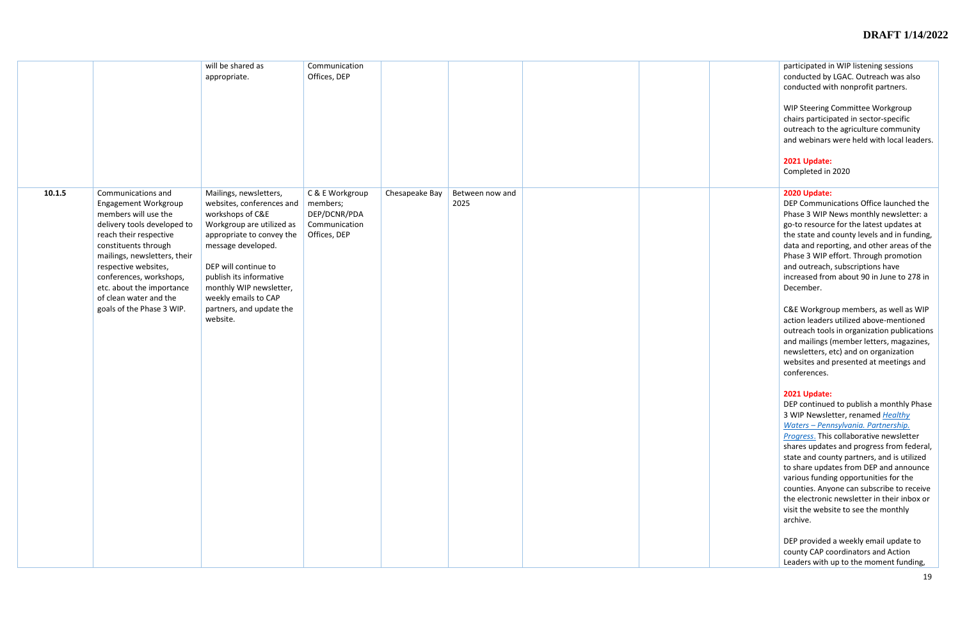|        |                              | will be shared as         | Communication   |                |                 |  |
|--------|------------------------------|---------------------------|-----------------|----------------|-----------------|--|
|        |                              | appropriate.              | Offices, DEP    |                |                 |  |
|        |                              |                           |                 |                |                 |  |
|        |                              |                           |                 |                |                 |  |
|        |                              |                           |                 |                |                 |  |
|        |                              |                           |                 |                |                 |  |
|        |                              |                           |                 |                |                 |  |
|        |                              |                           |                 |                |                 |  |
|        |                              |                           |                 |                |                 |  |
|        |                              |                           |                 |                |                 |  |
|        |                              |                           |                 |                |                 |  |
|        |                              |                           |                 |                |                 |  |
|        |                              |                           |                 |                |                 |  |
| 10.1.5 | Communications and           | Mailings, newsletters,    | C & E Workgroup | Chesapeake Bay | Between now and |  |
|        | Engagement Workgroup         | websites, conferences and | members;        |                | 2025            |  |
|        | members will use the         | workshops of C&E          | DEP/DCNR/PDA    |                |                 |  |
|        | delivery tools developed to  | Workgroup are utilized as | Communication   |                |                 |  |
|        | reach their respective       | appropriate to convey the | Offices, DEP    |                |                 |  |
|        | constituents through         | message developed.        |                 |                |                 |  |
|        | mailings, newsletters, their |                           |                 |                |                 |  |
|        | respective websites,         | DEP will continue to      |                 |                |                 |  |
|        | conferences, workshops,      | publish its informative   |                 |                |                 |  |
|        | etc. about the importance    | monthly WIP newsletter,   |                 |                |                 |  |
|        | of clean water and the       | weekly emails to CAP      |                 |                |                 |  |
|        | goals of the Phase 3 WIP.    | partners, and update the  |                 |                |                 |  |
|        |                              | website.                  |                 |                |                 |  |
|        |                              |                           |                 |                |                 |  |
|        |                              |                           |                 |                |                 |  |
|        |                              |                           |                 |                |                 |  |
|        |                              |                           |                 |                |                 |  |
|        |                              |                           |                 |                |                 |  |
|        |                              |                           |                 |                |                 |  |
|        |                              |                           |                 |                |                 |  |
|        |                              |                           |                 |                |                 |  |
|        |                              |                           |                 |                |                 |  |
|        |                              |                           |                 |                |                 |  |
|        |                              |                           |                 |                |                 |  |
|        |                              |                           |                 |                |                 |  |
|        |                              |                           |                 |                |                 |  |
|        |                              |                           |                 |                |                 |  |
|        |                              |                           |                 |                |                 |  |
|        |                              |                           |                 |                |                 |  |
|        |                              |                           |                 |                |                 |  |
|        |                              |                           |                 |                |                 |  |
|        |                              |                           |                 |                |                 |  |
|        |                              |                           |                 |                |                 |  |
|        |                              |                           |                 |                |                 |  |
|        |                              |                           |                 |                |                 |  |
|        |                              |                           |                 |                |                 |  |
|        |                              |                           |                 |                |                 |  |
|        |                              |                           |                 |                |                 |  |

| participated in WIP listening sessions<br>conducted by LGAC. Outreach was also<br>conducted with nonprofit partners.                                                                                                                                                                                                                                                                                                                                                                                          |
|---------------------------------------------------------------------------------------------------------------------------------------------------------------------------------------------------------------------------------------------------------------------------------------------------------------------------------------------------------------------------------------------------------------------------------------------------------------------------------------------------------------|
| <b>WIP Steering Committee Workgroup</b><br>chairs participated in sector-specific<br>outreach to the agriculture community<br>and webinars were held with local leaders.                                                                                                                                                                                                                                                                                                                                      |
| 2021 Update:<br>Completed in 2020                                                                                                                                                                                                                                                                                                                                                                                                                                                                             |
| 2020 Update:<br>DEP Communications Office launched the<br>Phase 3 WIP News monthly newsletter: a<br>go-to resource for the latest updates at<br>the state and county levels and in funding,<br>data and reporting, and other areas of the<br>Phase 3 WIP effort. Through promotion<br>and outreach, subscriptions have<br>increased from about 90 in June to 278 in<br>December.                                                                                                                              |
| C&E Workgroup members, as well as WIP<br>action leaders utilized above-mentioned<br>outreach tools in organization publications<br>and mailings (member letters, magazines,<br>newsletters, etc) and on organization<br>websites and presented at meetings and<br>conferences.                                                                                                                                                                                                                                |
| 2021 Update:<br>DEP continued to publish a monthly Phase<br>3 WIP Newsletter, renamed Healthy<br>Waters - Pennsylvania. Partnership.<br>Progress. This collaborative newsletter<br>shares updates and progress from federal,<br>state and county partners, and is utilized<br>to share updates from DEP and announce<br>various funding opportunities for the<br>counties. Anyone can subscribe to receive<br>the electronic newsletter in their inbox or<br>visit the website to see the monthly<br>archive. |
| DEP provided a weekly email update to<br>county CAP coordinators and Action<br>Leaders with up to the moment funding,                                                                                                                                                                                                                                                                                                                                                                                         |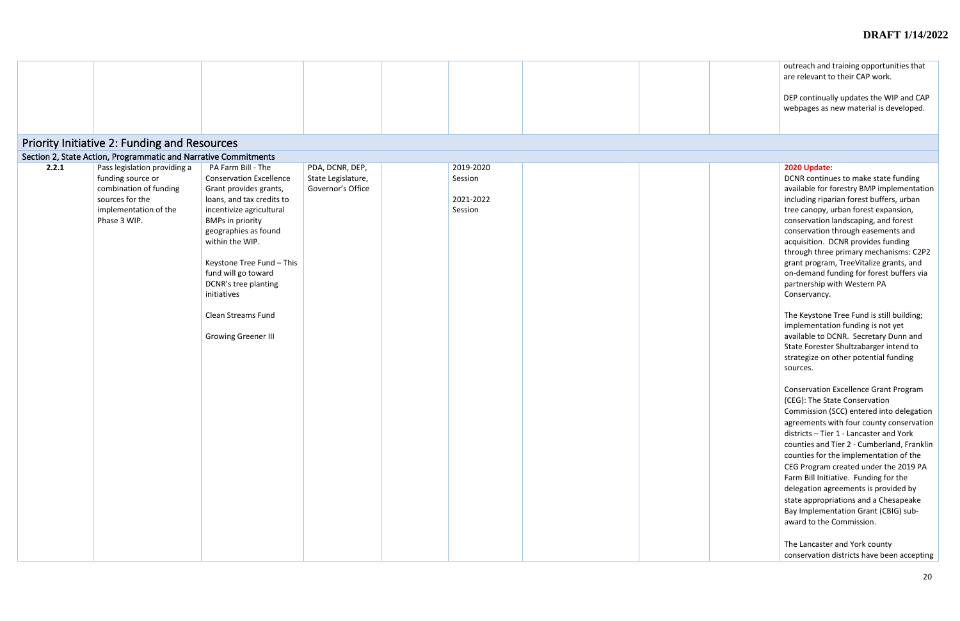outreach and training opportunities that are relevant to their CAP work. DEP continually updates the WIP and CAP webpages as new material is developed.

| Priority Initiative 2: Funding and Resources<br>Section 2, State Action, Programmatic and Narrative Commitments<br>Pass legislation providing a<br>2.2.1<br>PA Farm Bill - The<br>PDA, DCNR, DEP,<br>2019-2020<br>funding source or<br><b>Conservation Excellence</b><br>State Legislature,<br>Session<br>combination of funding<br>Governor's Office<br>Grant provides grants,<br>sources for the<br>loans, and tax credits to<br>2021-2022<br>implementation of the<br>incentivize agricultural<br>Session<br>Phase 3 WIP.<br><b>BMPs in priority</b><br>geographies as found |  |
|---------------------------------------------------------------------------------------------------------------------------------------------------------------------------------------------------------------------------------------------------------------------------------------------------------------------------------------------------------------------------------------------------------------------------------------------------------------------------------------------------------------------------------------------------------------------------------|--|
|                                                                                                                                                                                                                                                                                                                                                                                                                                                                                                                                                                                 |  |
|                                                                                                                                                                                                                                                                                                                                                                                                                                                                                                                                                                                 |  |
|                                                                                                                                                                                                                                                                                                                                                                                                                                                                                                                                                                                 |  |
|                                                                                                                                                                                                                                                                                                                                                                                                                                                                                                                                                                                 |  |
|                                                                                                                                                                                                                                                                                                                                                                                                                                                                                                                                                                                 |  |
| within the WIP.                                                                                                                                                                                                                                                                                                                                                                                                                                                                                                                                                                 |  |
| Keystone Tree Fund - This<br>fund will go toward<br>DCNR's tree planting<br>initiatives                                                                                                                                                                                                                                                                                                                                                                                                                                                                                         |  |
| <b>Clean Streams Fund</b>                                                                                                                                                                                                                                                                                                                                                                                                                                                                                                                                                       |  |
| <b>Growing Greener III</b>                                                                                                                                                                                                                                                                                                                                                                                                                                                                                                                                                      |  |
|                                                                                                                                                                                                                                                                                                                                                                                                                                                                                                                                                                                 |  |
|                                                                                                                                                                                                                                                                                                                                                                                                                                                                                                                                                                                 |  |
|                                                                                                                                                                                                                                                                                                                                                                                                                                                                                                                                                                                 |  |
|                                                                                                                                                                                                                                                                                                                                                                                                                                                                                                                                                                                 |  |
|                                                                                                                                                                                                                                                                                                                                                                                                                                                                                                                                                                                 |  |
|                                                                                                                                                                                                                                                                                                                                                                                                                                                                                                                                                                                 |  |
|                                                                                                                                                                                                                                                                                                                                                                                                                                                                                                                                                                                 |  |
|                                                                                                                                                                                                                                                                                                                                                                                                                                                                                                                                                                                 |  |
|                                                                                                                                                                                                                                                                                                                                                                                                                                                                                                                                                                                 |  |
|                                                                                                                                                                                                                                                                                                                                                                                                                                                                                                                                                                                 |  |

# **2020 Update:**

DCNR continues to make state funding available for forestry BMP implementation including riparian forest buffers, urban tree canopy, urban forest expansion, conservation landscaping, and forest conservation through easements and acquisition. DCNR provides funding through three primary mechanisms: C2P2 grant program, TreeVitalize grants, and on-demand funding for forest buffers via partnership with Western PA Conservancy.

The Keystone Tree Fund is still building; implementation funding is not yet available to DCNR. Secretary Dunn and State Forester Shultzabarger intend to strategize on other potential funding sources.

Conservation Excellence Grant Program (CEG): The State Conservation Commission (SCC) entered into delegation agreements with four county conservation districts – Tier 1 - Lancaster and York counties and Tier 2 - Cumberland, Franklin counties for the implementation of the CEG Program created under the 2019 PA Farm Bill Initiative. Funding for the delegation agreements is provided by state appropriations and a Chesapeake Bay Implementation Grant (CBIG) subaward to the Commission.

The Lancaster and York county conservation districts have been accepting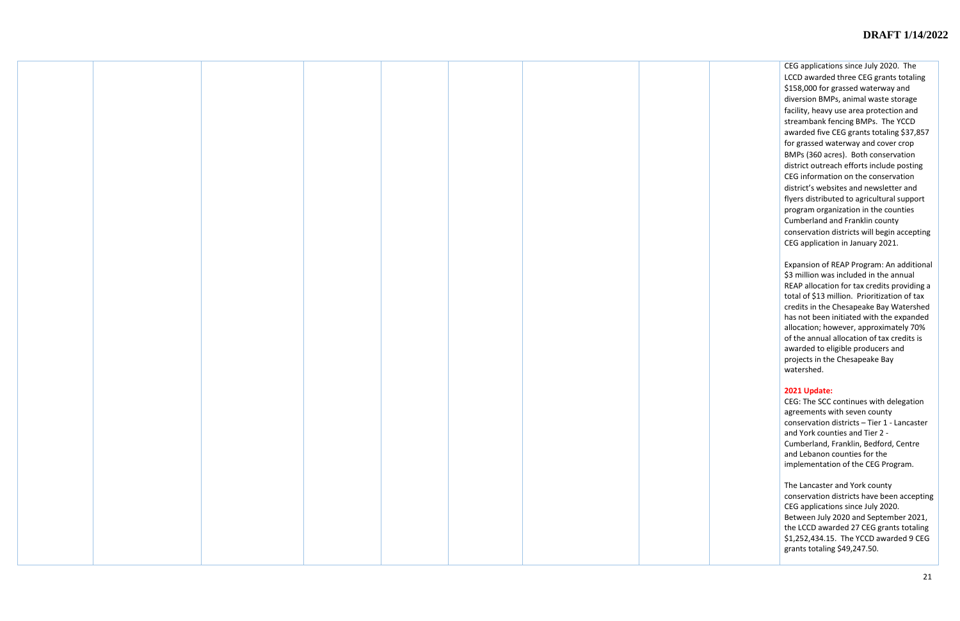CEG applications since July 2020. The LCCD awarded three CEG grants totaling \$158,000 for grassed waterway and diversion BMPs, animal waste storage facility, heavy use area protection and streambank fencing BMPs. The YCCD awarded five CEG grants totaling \$37,857 for grassed waterway and cover crop BMPs (360 acres). Both conservation district outreach efforts include posting CEG information on the conservation district's websites and newsletter and flyers distributed to agricultural support program organization in the counties Cumberland and Franklin county conservation districts will begin accepting CEG application in January 2021.

Expansion of REAP Program: An additional \$3 million was included in the annual REAP allocation for tax credits providing a total of \$13 million. Prioritization of tax credits in the Chesapeake Bay Watershed has not been initiated with the expanded allocation; however, approximately 70% of the annual allocation of tax credits is awarded to eligible producers and projects in the Chesapeake Bay watershed.

## **2021 Update:**

CEG: The SCC continues with delegation agreements with seven county conservation districts – Tier 1 - Lancaster and York counties and Tier 2 - Cumberland, Franklin, Bedford, Centre and Lebanon counties for the implementation of the CEG Program.

The Lancaster and York county conservation districts have been accepting CEG applications since July 2020. Between July 2020 and September 2021, the LCCD awarded 27 CEG grants totaling \$1,252,434.15. The YCCD awarded 9 CEG grants totaling \$49,247.50.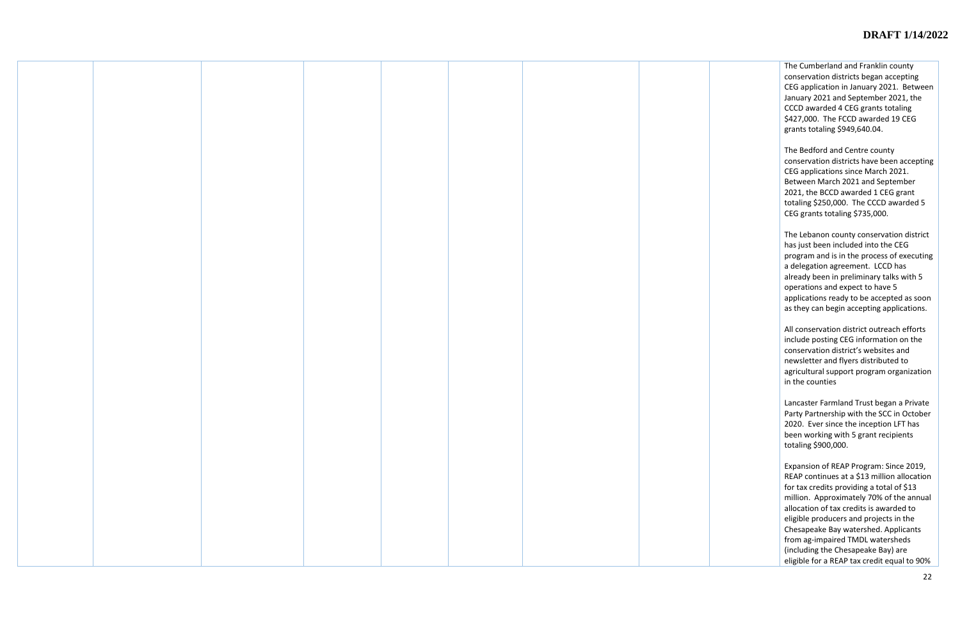The Cumberland and Franklin county conservation districts began accepting CEG application in January 2021. Between January 2021 and September 2021, the CCCD awarded 4 CEG grants totaling \$427,000. The FCCD awarded 19 CEG grants totaling \$949,640.04.

The Bedford and Centre county conservation districts have been accepting CEG applications since March 2021. Between March 2021 and September 2021, the BCCD awarded 1 CEG grant totaling \$250,000. The CCCD awarded 5 CEG grants totaling \$735,000.

The Lebanon county conservation district has just been included into the CEG program and is in the process of executing a delegation agreement. LCCD has already been in preliminary talks with 5 operations and expect to have 5 applications ready to be accepted as soon as they can begin accepting applications.

All conservation district outreach efforts include posting CEG information on the conservation district's websites and newsletter and flyers distributed to agricultural support program organization in the counties

Lancaster Farmland Trust began a Private Party Partnership with the SCC in October 2020. Ever since the inception LFT has been working with 5 grant recipients totaling \$900,000.

Expansion of REAP Program: Since 2019, REAP continues at a \$13 million allocation for tax credits providing a total of \$13 million. Approximately 70% of the annual allocation of tax credits is awarded to eligible producers and projects in the Chesapeake Bay watershed. Applicants from ag-impaired TMDL watersheds (including the Chesapeake Bay) are eligible for a REAP tax credit equal to 90%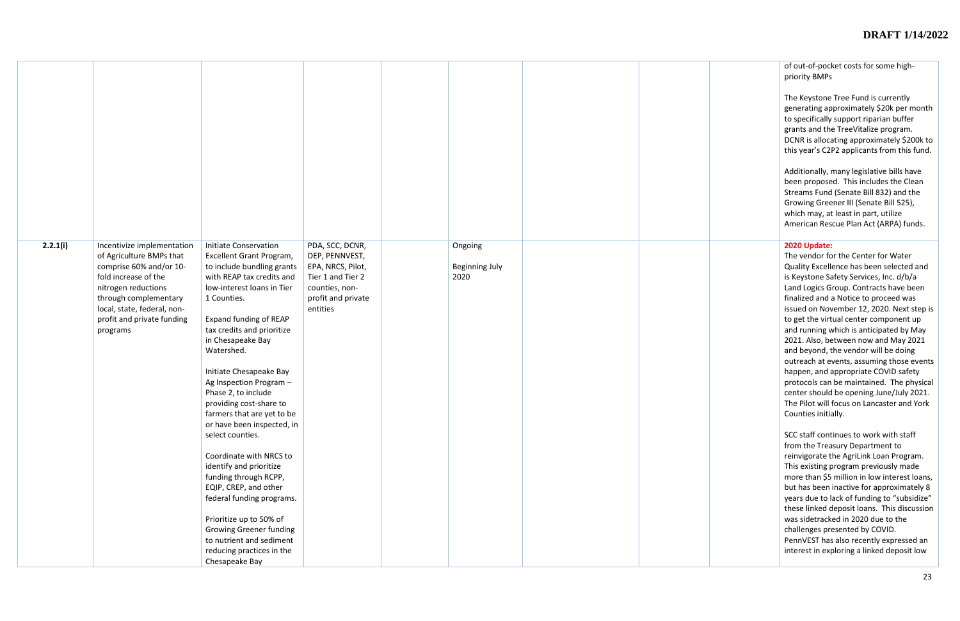| of out-of-pocket costs for some high- |  |  |
|---------------------------------------|--|--|
| priority BMPs                         |  |  |

The Keystone Tree Fund is currently generating approximately \$20k per month to specifically support riparian buffer grants and the TreeVitalize program. DCNR is allocating approximately \$200k to this year's C2P2 applicants from this fund.

Additionally, many legislative bills have been proposed. This includes the Clean Streams Fund (Senate Bill 832) and the Growing Greener III (Senate Bill 525), which may, at least in part, utilize American Rescue Plan Act (ARPA) funds.

| 2.2.1(i) | Incentivize implementation<br>of Agriculture BMPs that<br>comprise 60% and/or 10-<br>fold increase of the<br>nitrogen reductions<br>through complementary<br>local, state, federal, non-<br>profit and private funding<br>programs | <b>Initiate Conservation</b><br>Excellent Grant Program,<br>to include bundling grants<br>with REAP tax credits and<br>low-interest loans in Tier<br>1 Counties.<br>Expand funding of REAP<br>tax credits and prioritize<br>in Chesapeake Bay<br>Watershed.<br>Initiate Chesapeake Bay<br>Ag Inspection Program -<br>Phase 2, to include<br>providing cost-share to<br>farmers that are yet to be<br>or have been inspected, in<br>select counties.<br>Coordinate with NRCS to<br>identify and prioritize<br>funding through RCPP,<br>EQIP, CREP, and other<br>federal funding programs.<br>Prioritize up to 50% of<br><b>Growing Greener funding</b><br>to nutrient and sediment<br>reducing practices in the<br>Chesapeake Bay | PDA, SCC, DCNR,<br>DEP, PENNVEST,<br>EPA, NRCS, Pilot,<br>Tier 1 and Tier 2<br>counties, non-<br>profit and private<br>entities | Ongoing<br><b>Beginning July</b><br>2020 |  |
|----------|------------------------------------------------------------------------------------------------------------------------------------------------------------------------------------------------------------------------------------|----------------------------------------------------------------------------------------------------------------------------------------------------------------------------------------------------------------------------------------------------------------------------------------------------------------------------------------------------------------------------------------------------------------------------------------------------------------------------------------------------------------------------------------------------------------------------------------------------------------------------------------------------------------------------------------------------------------------------------|---------------------------------------------------------------------------------------------------------------------------------|------------------------------------------|--|

# **2020 Update:**

The vendor for the Center for Water Quality Excellence has been selected and is Keystone Safety Services, Inc. d/b/a Land Logics Group. Contracts have been finalized and a Notice to proceed was issued on November 12, 2020. Next step is to get the virtual center component up and running which is anticipated by May 2021. Also, between now and May 2021 and beyond, the vendor will be doing outreach at events, assuming those events happen, and appropriate COVID safety protocols can be maintained. The physical center should be opening June/July 2021. The Pilot will focus on Lancaster and York Counties initially.

SCC staff continues to work with staff from the Treasury Department to reinvigorate the AgriLink Loan Program. This existing program previously made more than \$5 million in low interest loans, but has been inactive for approximately 8 years due to lack of funding to "subsidize" these linked deposit loans. This discussion was sidetracked in 2020 due to the challenges presented by COVID. PennVEST has also recently expressed an interest in exploring a linked deposit low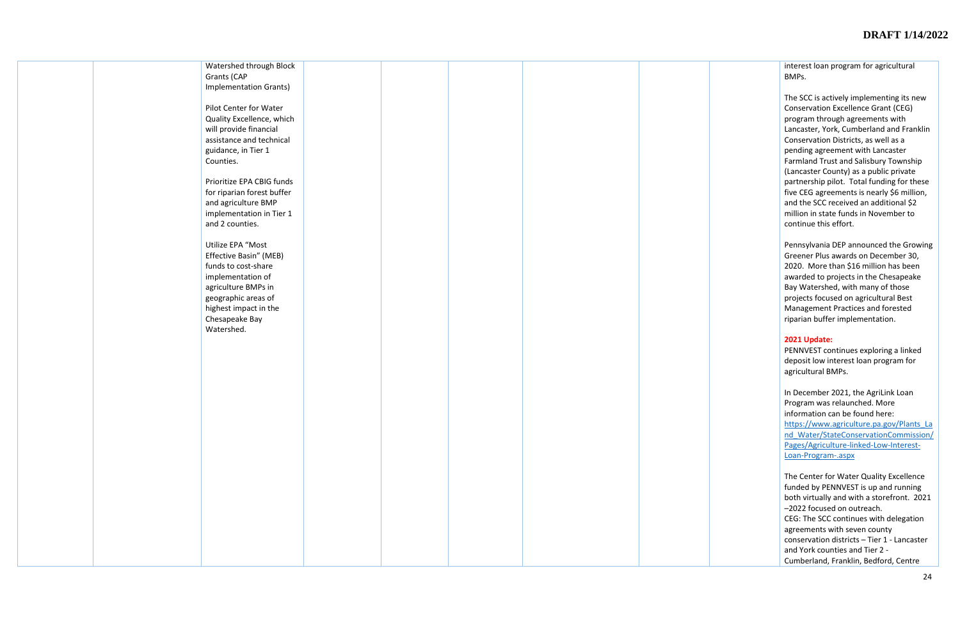|  | Watershed through Block       |  |  |  |
|--|-------------------------------|--|--|--|
|  | Grants (CAP                   |  |  |  |
|  | <b>Implementation Grants)</b> |  |  |  |
|  |                               |  |  |  |
|  | Pilot Center for Water        |  |  |  |
|  |                               |  |  |  |
|  | Quality Excellence, which     |  |  |  |
|  | will provide financial        |  |  |  |
|  | assistance and technical      |  |  |  |
|  | guidance, in Tier 1           |  |  |  |
|  | Counties.                     |  |  |  |
|  |                               |  |  |  |
|  | Prioritize EPA CBIG funds     |  |  |  |
|  | for riparian forest buffer    |  |  |  |
|  |                               |  |  |  |
|  | and agriculture BMP           |  |  |  |
|  | implementation in Tier 1      |  |  |  |
|  | and 2 counties.               |  |  |  |
|  |                               |  |  |  |
|  | Utilize EPA "Most             |  |  |  |
|  | Effective Basin" (MEB)        |  |  |  |
|  | funds to cost-share           |  |  |  |
|  | implementation of             |  |  |  |
|  | agriculture BMPs in           |  |  |  |
|  |                               |  |  |  |
|  | geographic areas of           |  |  |  |
|  | highest impact in the         |  |  |  |
|  | Chesapeake Bay                |  |  |  |
|  | Watershed.                    |  |  |  |
|  |                               |  |  |  |
|  |                               |  |  |  |
|  |                               |  |  |  |
|  |                               |  |  |  |
|  |                               |  |  |  |
|  |                               |  |  |  |
|  |                               |  |  |  |
|  |                               |  |  |  |
|  |                               |  |  |  |
|  |                               |  |  |  |
|  |                               |  |  |  |
|  |                               |  |  |  |
|  |                               |  |  |  |
|  |                               |  |  |  |
|  |                               |  |  |  |
|  |                               |  |  |  |
|  |                               |  |  |  |
|  |                               |  |  |  |
|  |                               |  |  |  |
|  |                               |  |  |  |
|  |                               |  |  |  |
|  |                               |  |  |  |
|  |                               |  |  |  |
|  |                               |  |  |  |

interest loan program for agricultural BMPs.

In December 2021, the AgriLink Loan Program was relaunched. More information can be found here: [https://www.agriculture.pa.gov/Plants\\_La](https://www.agriculture.pa.gov/Plants_Land_Water/StateConservationCommission/Pages/Agriculture-linked-Low-Interest-Loan-Program-.aspx) [nd\\_Water/StateConservationCommission/](https://www.agriculture.pa.gov/Plants_Land_Water/StateConservationCommission/Pages/Agriculture-linked-Low-Interest-Loan-Program-.aspx) [Pages/Agriculture](https://www.agriculture.pa.gov/Plants_Land_Water/StateConservationCommission/Pages/Agriculture-linked-Low-Interest-Loan-Program-.aspx)-linked-Low-Interest-Loan[-Program](https://www.agriculture.pa.gov/Plants_Land_Water/StateConservationCommission/Pages/Agriculture-linked-Low-Interest-Loan-Program-.aspx)-.aspx

The SCC is actively implementing its new Conservation Excellence Grant (CEG) program through agreements with Lancaster, York, Cumberland and Franklin Conservation Districts, as well as a pending agreement with Lancaster Farmland Trust and Salisbury Township (Lancaster County) as a public private partnership pilot. Total funding for these five CEG agreements is nearly \$6 million, and the SCC received an additional \$2 million in state funds in November to continue this effort.

Pennsylvania DEP announced the Growing Greener Plus awards on December 30, 2020. More than \$16 million has been awarded to projects in the Chesapeake Bay Watershed, with many of those projects focused on agricultural Best Management Practices and forested riparian buffer implementation.

#### **2021 Update:**

PENNVEST continues exploring a linked deposit low interest loan program for agricultural BMPs.

The Center for Water Quality Excellence funded by PENNVEST is up and running both virtually and with a storefront. 2021 –2022 focused on outreach. CEG: The SCC continues with delegation agreements with seven county conservation districts – Tier 1 - Lancaster and York counties and Tier 2 - Cumberland, Franklin, Bedford, Centre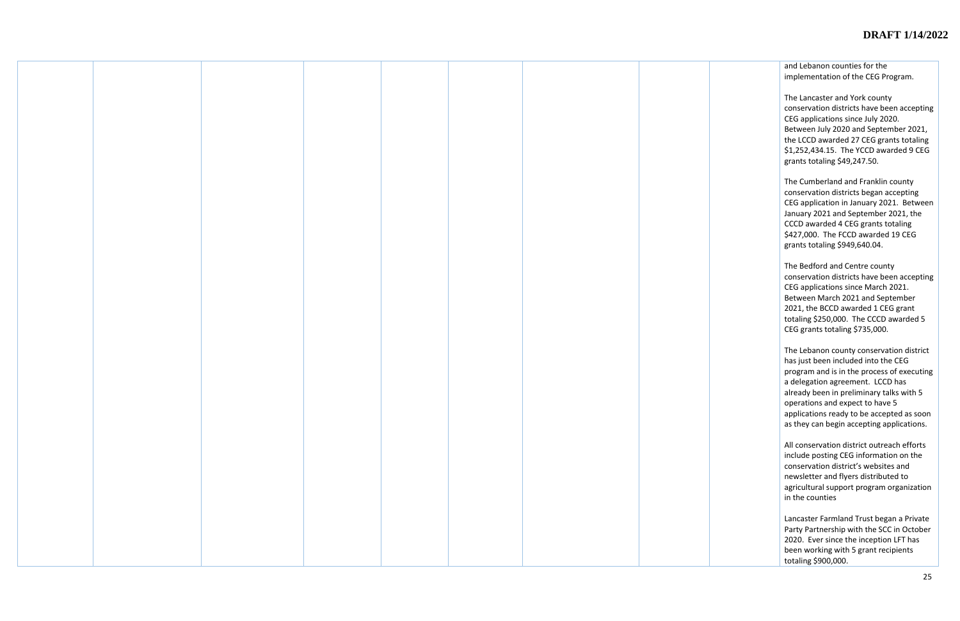and Lebanon counties for the implementation of the CEG Program.

The Lancaster and York county conservation districts have been accepting CEG applications since July 2020. Between July 2020 and September 2021, the LCCD awarded 27 CEG grants totaling \$1,252,434.15. The YCCD awarded 9 CEG grants totaling \$49,247.50.

The Cumberland and Franklin county conservation districts began accepting CEG application in January 2021. Between January 2021 and September 2021, the CCCD awarded 4 CEG grants totaling \$427,000. The FCCD awarded 19 CEG grants totaling \$949,640.04.

The Bedford and Centre county conservation districts have been accepting CEG applications since March 2021. Between March 2021 and September 2021, the BCCD awarded 1 CEG grant totaling \$250,000. The CCCD awarded 5 CEG grants totaling \$735,000.

The Lebanon county conservation district has just been included into the CEG program and is in the process of executing a delegation agreement. LCCD has already been in preliminary talks with 5 operations and expect to have 5 applications ready to be accepted as soon as they can begin accepting applications.

All conservation district outreach efforts include posting CEG information on the conservation district's websites and newsletter and flyers distributed to agricultural support program organization in the counties

Lancaster Farmland Trust began a Private Party Partnership with the SCC in October 2020. Ever since the inception LFT has been working with 5 grant recipients totaling \$900,000.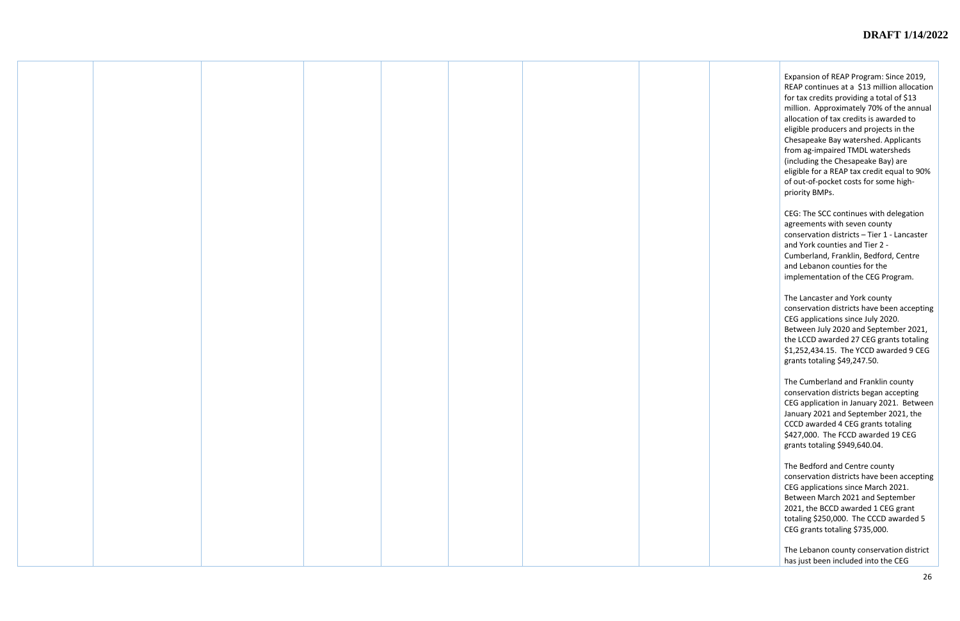Expansion of REAP Program: Since 2019, REAP continues at a \$13 million allocation for tax credits providing a total of \$13 million. Approximately 70% of the annual allocation of tax credits is awarded to eligible producers and projects in the Chesapeake Bay watershed. Applicants from ag-impaired TMDL watersheds (including the Chesapeake Bay) are eligible for a REAP tax credit equal to 90% of out-of-pocket costs for some highpriority BMPs.

CEG: The SCC continues with delegation agreements with seven county conservation districts – Tier 1 - Lancaster and York counties and Tier 2 - Cumberland, Franklin, Bedford, Centre and Lebanon counties for the implementation of the CEG Program.

The Lancaster and York county conservation districts have been accepting CEG applications since July 2020. Between July 2020 and September 2021, the LCCD awarded 27 CEG grants totaling \$1,252,434.15. The YCCD awarded 9 CEG grants totaling \$49,247.50.

The Cumberland and Franklin county conservation districts began accepting CEG application in January 2021. Between January 2021 and September 2021, the CCCD awarded 4 CEG grants totaling \$427,000. The FCCD awarded 19 CEG grants totaling \$949,640.04.

The Bedford and Centre county conservation districts have been accepting CEG applications since March 2021. Between March 2021 and September 2021, the BCCD awarded 1 CEG grant totaling \$250,000. The CCCD awarded 5 CEG grants totaling \$735,000.

The Lebanon county conservation district has just been included into the CEG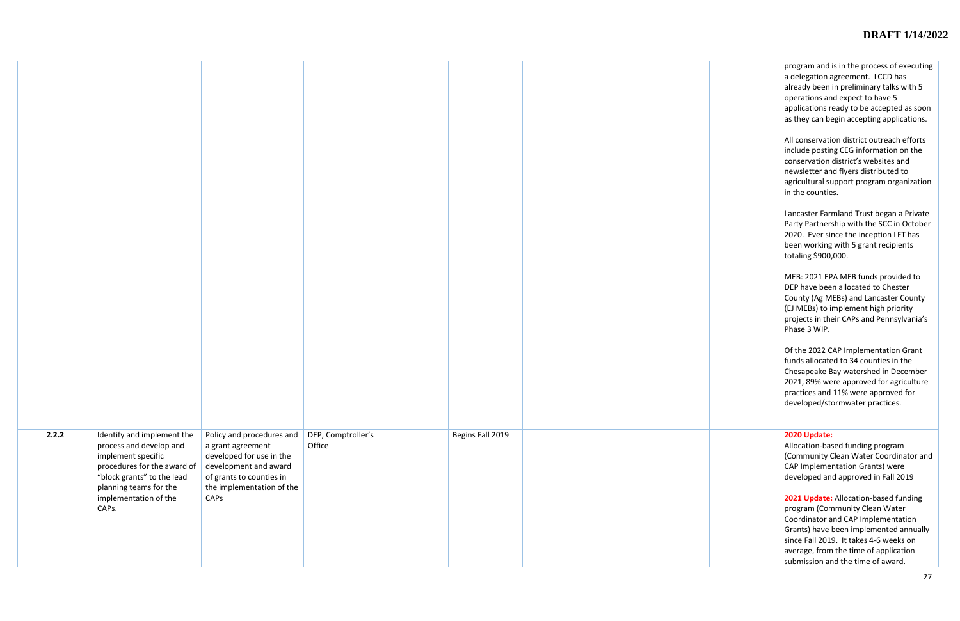program and is in the process of executing a delegation agreement. LCCD has already been in preliminary talks with 5 operations and expect to have 5 applications ready to be accepted as soon as they can begin accepting applications.

All conservation district outreach efforts include posting CEG information on the conservation district's websites and newsletter and flyers distributed to agricultural support program organization in the counties.

Lancaster Farmland Trust began a Private Party Partnership with the SCC in October 2020. Ever since the inception LFT has been working with 5 grant recipients totaling \$900,000.

MEB: 2021 EPA MEB funds provided to DEP have been allocated to Chester County (Ag MEBs) and Lancaster County (EJ MEBs) to implement high priority projects in their CAPs and Pennsylvania's Phase 3 WIP.

Of the 2022 CAP Implementation Grant funds allocated to 34 counties in the Chesapeake Bay watershed in December 2021, 89% were approved for agriculture practices and 11% were approved for developed/stormwater practices.

| 2.2.2 | Identify and implement the<br>process and develop and<br>implement specific<br>procedures for the award of<br>"block grants" to the lead<br>planning teams for the<br>implementation of the<br>CAPs. | Policy and procedures and $\vert$<br>a grant agreement<br>developed for use in the<br>development and award<br>of grants to counties in<br>the implementation of the<br>CAPS | DEP, Comptroller's<br>Office | Begins Fall 2019 |  |
|-------|------------------------------------------------------------------------------------------------------------------------------------------------------------------------------------------------------|------------------------------------------------------------------------------------------------------------------------------------------------------------------------------|------------------------------|------------------|--|

#### Begins Fall 2019 **2020 Update:**

Allocation -based funding program (Community Clean Water Coordinator and CAP Implementation Grants) were developed and approved in Fall 2019

**2021 Update:** Allocation -based funding program (Community Clean Water Coordinator and CAP Implementation Grants) have been implemented annually since Fall 2019. It takes 4 -6 weeks on average, from the time of application submission and the time of award.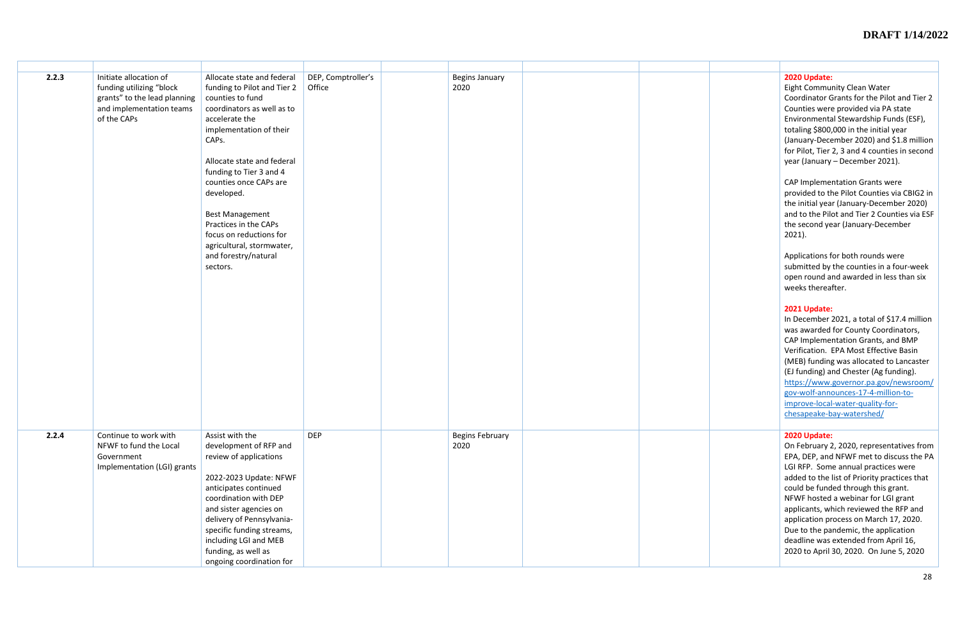| 2.2.3 | Initiate allocation of<br>funding utilizing "block<br>grants" to the lead planning<br>and implementation teams<br>of the CAPs | Allocate state and federal<br>funding to Pilot and Tier 2<br>counties to fund<br>coordinators as well as to<br>accelerate the<br>implementation of their<br>CAPs.<br>Allocate state and federal<br>funding to Tier 3 and 4<br>counties once CAPs are<br>developed.<br><b>Best Management</b><br>Practices in the CAPs<br>focus on reductions for<br>agricultural, stormwater,<br>and forestry/natural<br>sectors. | DEP, Comptroller's<br>Office | <b>Begins January</b><br>2020  |  | 2020 Update:<br>Eight Community Clean Water<br>Coordinator Grants for the Pilot and Tier 2<br>Counties were provided via PA state<br>Environmental Stewardship Funds (ESF),<br>totaling \$800,000 in the initial year<br>(January-December 2020) and \$1.8 million<br>for Pilot, Tier 2, 3 and 4 counties in second<br>year (January - December 2021).<br>CAP Implementation Grants were<br>provided to the Pilot Counties via CBIG2 in<br>the initial year (January-December 2020)<br>and to the Pilot and Tier 2 Counties via ESF<br>the second year (January-December<br>$2021$ ).<br>Applications for both rounds were<br>submitted by the counties in a four-week<br>open round and awarded in less than six<br>weeks thereafter.<br>2021 Update:<br>In December 2021, a total of \$17.4 million<br>was awarded for County Coordinators,<br>CAP Implementation Grants, and BMP<br>Verification. EPA Most Effective Basin<br>(MEB) funding was allocated to Lancaster<br>(EJ funding) and Chester (Ag funding).<br>https://www.governor.pa.gov/newsroom/<br>gov-wolf-announces-17-4-million-to-<br>improve-local-water-quality-for-<br>chesapeake-bay-watershed/ |
|-------|-------------------------------------------------------------------------------------------------------------------------------|-------------------------------------------------------------------------------------------------------------------------------------------------------------------------------------------------------------------------------------------------------------------------------------------------------------------------------------------------------------------------------------------------------------------|------------------------------|--------------------------------|--|----------------------------------------------------------------------------------------------------------------------------------------------------------------------------------------------------------------------------------------------------------------------------------------------------------------------------------------------------------------------------------------------------------------------------------------------------------------------------------------------------------------------------------------------------------------------------------------------------------------------------------------------------------------------------------------------------------------------------------------------------------------------------------------------------------------------------------------------------------------------------------------------------------------------------------------------------------------------------------------------------------------------------------------------------------------------------------------------------------------------------------------------------------------------|
| 2.2.4 | Continue to work with<br>NFWF to fund the Local<br>Government<br>Implementation (LGI) grants                                  | Assist with the<br>development of RFP and<br>review of applications<br>2022-2023 Update: NFWF<br>anticipates continued<br>coordination with DEP<br>and sister agencies on<br>delivery of Pennsylvania-<br>specific funding streams,<br>including LGI and MEB<br>funding, as well as<br>ongoing coordination for                                                                                                   | <b>DEP</b>                   | <b>Begins February</b><br>2020 |  | 2020 Update:<br>On February 2, 2020, representatives from<br>EPA, DEP, and NFWF met to discuss the PA<br>LGI RFP. Some annual practices were<br>added to the list of Priority practices that<br>could be funded through this grant.<br>NFWF hosted a webinar for LGI grant<br>applicants, which reviewed the RFP and<br>application process on March 17, 2020.<br>Due to the pandemic, the application<br>deadline was extended from April 16,<br>2020 to April 30, 2020. On June 5, 2020                                                                                                                                                                                                                                                                                                                                                                                                                                                                                                                                                                                                                                                                            |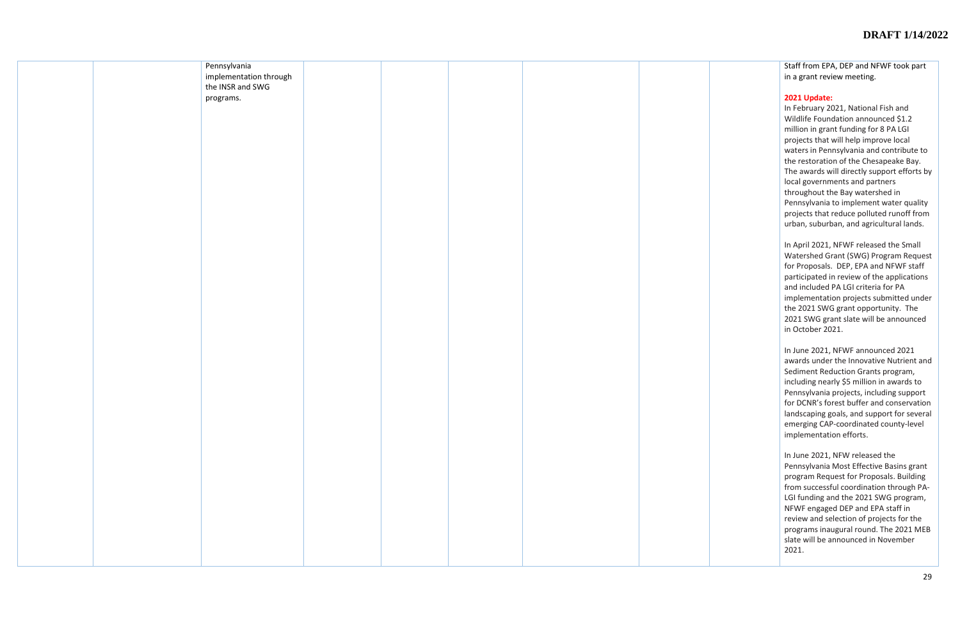|  | Pennsylvania<br>implementation through<br>the INSR and SWG |  |  |  |
|--|------------------------------------------------------------|--|--|--|
|  | programs.                                                  |  |  |  |
|  |                                                            |  |  |  |
|  |                                                            |  |  |  |
|  |                                                            |  |  |  |
|  |                                                            |  |  |  |
|  |                                                            |  |  |  |
|  |                                                            |  |  |  |
|  |                                                            |  |  |  |
|  |                                                            |  |  |  |
|  |                                                            |  |  |  |
|  |                                                            |  |  |  |
|  |                                                            |  |  |  |
|  |                                                            |  |  |  |
|  |                                                            |  |  |  |
|  |                                                            |  |  |  |
|  |                                                            |  |  |  |
|  |                                                            |  |  |  |

Staff from EPA, DEP and NFWF took part in a grant review meeting.

# **2021 Update:**

In February 2021, National Fish and Wildlife Foundation announced \$1.2 million in grant funding for 8 PA LGI projects that will help improve local waters in Pennsylvania and contribute to the restoration of the Chesapeake Bay. The awards will directly support efforts by local governments and partners throughout the Bay watershed in Pennsylvania to implement water quality projects that reduce polluted runoff from urban, suburban, and agricultural lands.

In April 2021, NFWF released the Small Watershed Grant (SWG) Program Request for Proposals. DEP, EPA and NFWF staff participated in review of the applications and included PA LGI criteria for PA implementation projects submitted under the 2021 SWG grant opportunity. The 2021 SWG grant slate will be announced in October 2021.

In June 2021, NFWF announced 2021 awards under the Innovative Nutrient and Sediment Reduction Grants program, including nearly \$5 million in awards to Pennsylvania projects, including support for DCNR's forest buffer and conservation landscaping goals, and support for several emerging CAP -coordinated county -level implementation efforts.

In June 2021, NFW released the Pennsylvania Most Effective Basins grant program Request for Proposals. Building from successful coordination through PA - LGI funding and the 2021 SWG program, NFWF engaged DEP and EPA staff in review and selection of projects for the programs inaugural round. The 2021 MEB slate will be announced in November 2021.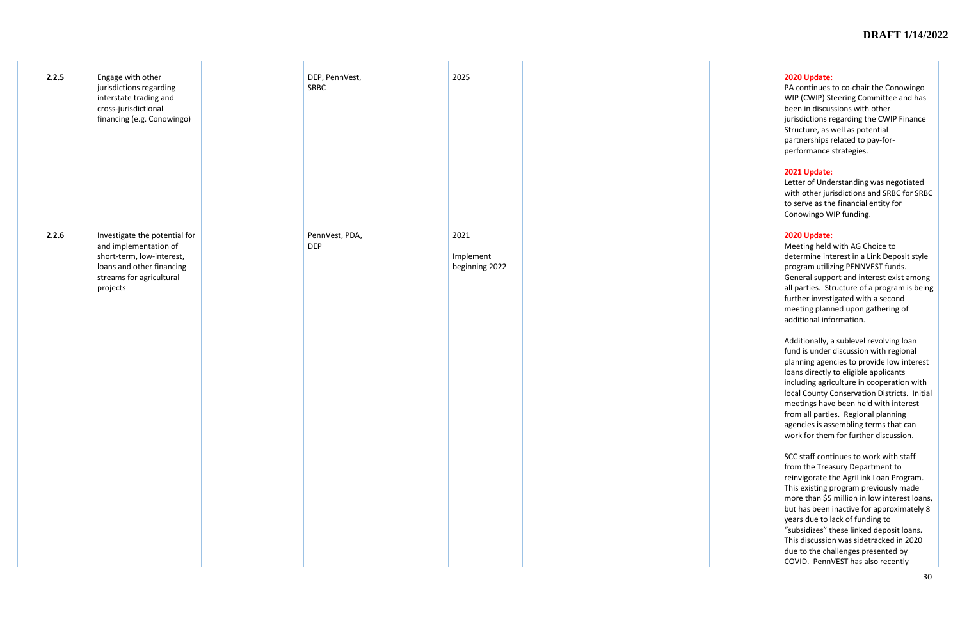| 2.2.5 | Engage with other<br>jurisdictions regarding<br>interstate trading and<br>cross-jurisdictional<br>financing (e.g. Conowingo)                             | DEP, PennVest,<br><b>SRBC</b> | 2025                                | 2020 Update:<br>PA continues to co-chair the Conowingo<br>WIP (CWIP) Steering Committee and has<br>been in discussions with other<br>jurisdictions regarding the CWIP Finance<br>Structure, as well as potential<br>partnerships related to pay-for-<br>performance strategies.<br>2021 Update:<br>Letter of Understanding was negotiated<br>with other jurisdictions and SRBC for SRBC<br>to serve as the financial entity for<br>Conowingo WIP funding.                                                                                                                                                                                                                                                                                                                                                                                                                                                                                                                                                                                                                                                                                                                                                                                        |
|-------|----------------------------------------------------------------------------------------------------------------------------------------------------------|-------------------------------|-------------------------------------|--------------------------------------------------------------------------------------------------------------------------------------------------------------------------------------------------------------------------------------------------------------------------------------------------------------------------------------------------------------------------------------------------------------------------------------------------------------------------------------------------------------------------------------------------------------------------------------------------------------------------------------------------------------------------------------------------------------------------------------------------------------------------------------------------------------------------------------------------------------------------------------------------------------------------------------------------------------------------------------------------------------------------------------------------------------------------------------------------------------------------------------------------------------------------------------------------------------------------------------------------|
| 2.2.6 | Investigate the potential for<br>and implementation of<br>short-term, low-interest,<br>loans and other financing<br>streams for agricultural<br>projects | PennVest, PDA,<br><b>DEP</b>  | 2021<br>Implement<br>beginning 2022 | 2020 Update:<br>Meeting held with AG Choice to<br>determine interest in a Link Deposit style<br>program utilizing PENNVEST funds.<br>General support and interest exist among<br>all parties. Structure of a program is being<br>further investigated with a second<br>meeting planned upon gathering of<br>additional information.<br>Additionally, a sublevel revolving loan<br>fund is under discussion with regional<br>planning agencies to provide low interest<br>loans directly to eligible applicants<br>including agriculture in cooperation with<br>local County Conservation Districts. Initial<br>meetings have been held with interest<br>from all parties. Regional planning<br>agencies is assembling terms that can<br>work for them for further discussion.<br>SCC staff continues to work with staff<br>from the Treasury Department to<br>reinvigorate the AgriLink Loan Program.<br>This existing program previously made<br>more than \$5 million in low interest loans,<br>but has been inactive for approximately 8<br>years due to lack of funding to<br>"subsidizes" these linked deposit loans.<br>This discussion was sidetracked in 2020<br>due to the challenges presented by<br>COVID. PennVEST has also recently |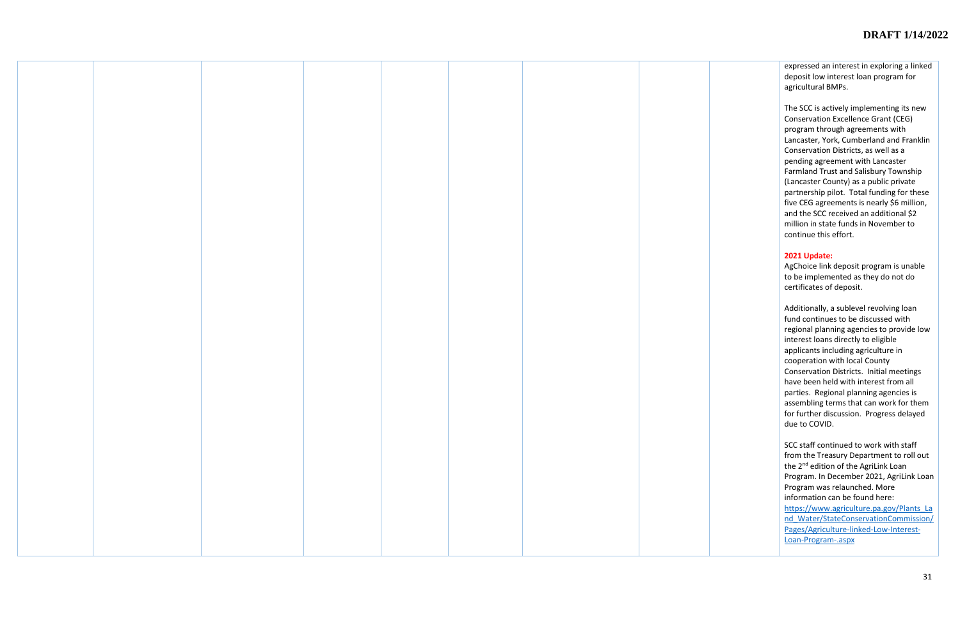expressed an interest in exploring a linked deposit low interest loan program for agricultural BMPs.

The SCC is actively implementing its new Conservation Excellence Grant (CEG) program through agreements with Lancaster, York, Cumberland and Franklin Conservation Districts, as well as a pending agreement with Lancaster Farmland Trust and Salisbury Township (Lancaster County) as a public private partnership pilot. Total funding for these five CEG agreements is nearly \$6 million, and the SCC received an additional \$2 million in state funds in November to continue this effort.

#### **2021 Update:**

AgChoice link deposit program is unable to be implemented as they do not do certificates of deposit.

Additionally, a sublevel revolving loan fund continues to be discussed with regional planning agencies to provide low interest loans directly to eligible applicants including agriculture in cooperation with local County Conservation Districts. Initial meetings have been held with interest from all parties. Regional planning agencies is assembling terms that can work for them for further discussion. Progress delayed due to COVID.

SCC staff continued to work with staff from the Treasury Department to roll out the 2<sup>nd</sup> edition of the AgriLink Loan Program. In December 2021, AgriLink Loan Program was relaunched. More information can be found here: [https://www.agriculture.pa.gov/Plants\\_La](https://www.agriculture.pa.gov/Plants_Land_Water/StateConservationCommission/Pages/Agriculture-linked-Low-Interest-Loan-Program-.aspx) [nd\\_Water/StateConservationCommission/](https://www.agriculture.pa.gov/Plants_Land_Water/StateConservationCommission/Pages/Agriculture-linked-Low-Interest-Loan-Program-.aspx) [Pages/Agriculture-linked-Low-Interest-](https://www.agriculture.pa.gov/Plants_Land_Water/StateConservationCommission/Pages/Agriculture-linked-Low-Interest-Loan-Program-.aspx)[Loan-Program-.aspx](https://www.agriculture.pa.gov/Plants_Land_Water/StateConservationCommission/Pages/Agriculture-linked-Low-Interest-Loan-Program-.aspx)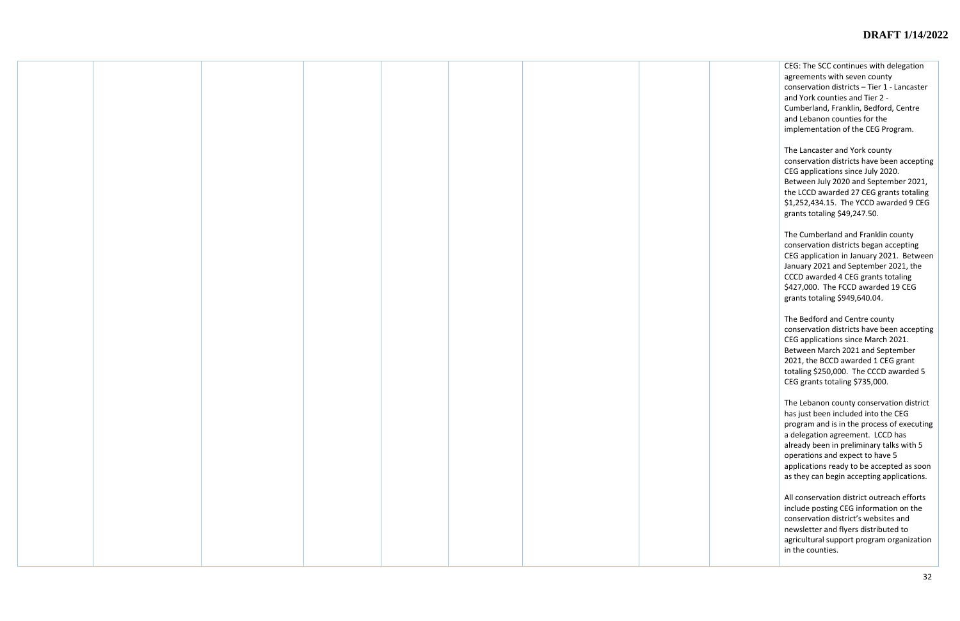CEG: The SCC continues with delegation agreements with seven county conservation districts – Tier 1 - Lancaster and York counties and Tier 2 - Cumberland, Franklin, Bedford, Centre and Lebanon counties for the implementation of the CEG Program.

The Lancaster and York county conservation districts have been accepting CEG applications since July 2020. Between July 2020 and September 2021, the LCCD awarded 27 CEG grants totaling \$1,252,434.15. The YCCD awarded 9 CEG grants totaling \$49,247.50.

The Cumberland and Franklin county conservation districts began accepting CEG application in January 2021. Between January 2021 and September 2021, the CCCD awarded 4 CEG grants totaling \$427,000. The FCCD awarded 19 CEG grants totaling \$949,640.04.

The Bedford and Centre county conservation districts have been accepting CEG applications since March 2021. Between March 2021 and September 2021, the BCCD awarded 1 CEG grant totaling \$250,000. The CCCD awarded 5 CEG grants totaling \$735,000.

The Lebanon county conservation district has just been included into the CEG program and is in the process of executing a delegation agreement. LCCD has already been in preliminary talks with 5 operations and expect to have 5 applications ready to be accepted as soon as they can begin accepting applications.

All conservation district outreach efforts include posting CEG information on the conservation district's websites and newsletter and flyers distributed to agricultural support program organization in the counties.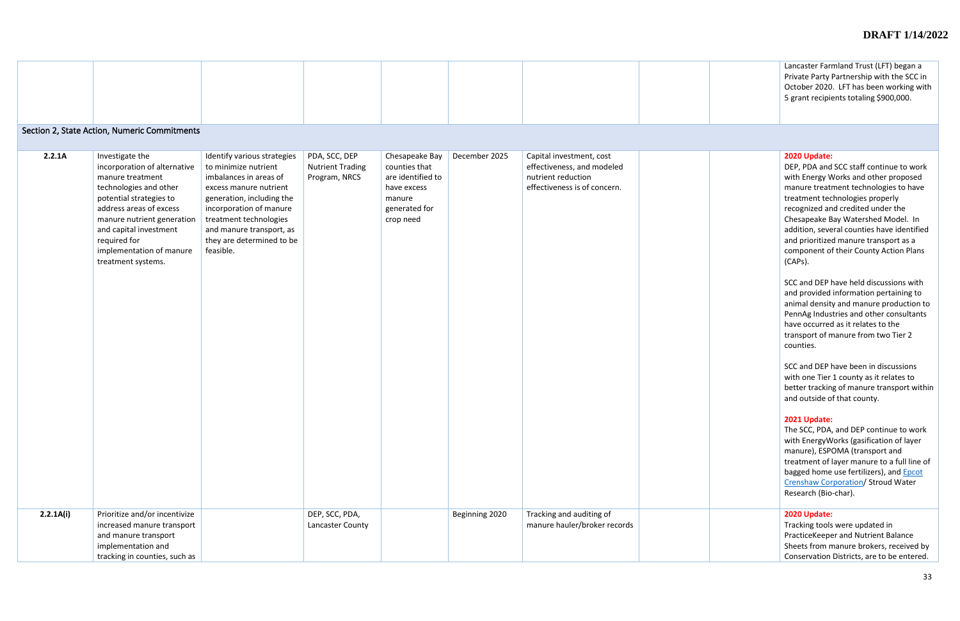| Lancaster Farmland Trust (LFT) began a<br>Private Party Partnership with the SCC in<br>October 2020. LFT has been working with<br>5 grant recipients totaling \$900,000. |
|--------------------------------------------------------------------------------------------------------------------------------------------------------------------------|
|                                                                                                                                                                          |

# Section 2, State Action, Numeric Commitments

DEP, PDA and SCC staff continue to work with Energy Works and other proposed manure treatment technologies to have treatment technologies properly recognized and credited under the Chesapeake Bay Watershed Model. In addition, several counties have identified and prioritized manure transport as a component of their County Action Plans (CAPs).

| 2.2.1A    | Investigate the<br>incorporation of alternative<br>manure treatment<br>technologies and other<br>potential strategies to<br>address areas of excess<br>manure nutrient generation<br>and capital investment<br>required for<br>implementation of manure<br>treatment systems. | Identify various strategies<br>to minimize nutrient<br>imbalances in areas of<br>excess manure nutrient<br>generation, including the<br>incorporation of manure<br>treatment technologies<br>and manure transport, as<br>they are determined to be<br>feasible. | PDA, SCC, DEP<br><b>Nutrient Trading</b><br>Program, NRCS | Chesapeake Bay<br>counties that<br>are identified to<br>have excess<br>manure<br>generated for<br>crop need | December 2025  | Capital investment, cost<br>effectiveness, and modeled<br>nutrient reduction<br>effectiveness is of concern. |  |
|-----------|-------------------------------------------------------------------------------------------------------------------------------------------------------------------------------------------------------------------------------------------------------------------------------|-----------------------------------------------------------------------------------------------------------------------------------------------------------------------------------------------------------------------------------------------------------------|-----------------------------------------------------------|-------------------------------------------------------------------------------------------------------------|----------------|--------------------------------------------------------------------------------------------------------------|--|
| 2.2.1A(i) | Prioritize and/or incentivize<br>increased manure transport<br>and manure transport<br>implementation and<br>tracking in counties, such as                                                                                                                                    |                                                                                                                                                                                                                                                                 | DEP, SCC, PDA,<br>Lancaster County                        |                                                                                                             | Beginning 2020 | Tracking and auditing of<br>manure hauler/broker records                                                     |  |

SCC and DEP have held discussions with and provided information pertaining to animal density and manure production to PennAg Industries and other consultants have occurred as it relates to the transport of manure from two Tier 2 counties.

SCC and DEP have been in discussions with one Tier 1 county as it relates to better tracking of manure transport within and outside of that county.

#### **2021 Update:**

The SCC, PDA, and DEP continue to work with EnergyWorks (gasification of layer manure), ESPOMA (transport and treatment of layer manure to a full line of bagged home use fertilizers), and **Epcot** [Crenshaw Corporation/](https://gcc02.safelinks.protection.outlook.com/?url=http%3A%2F%2Fwww.epcotcrenshaw.com%2F&data=04%7C01%7Ckbrown%40pa.gov%7C014fd42ee96841e16c5408d96324f3f2%7C418e284101284dd59b6c47fc5a9a1bde%7C0%7C0%7C637649833359054970%7CUnknown%7CTWFpbGZsb3d8eyJWIjoiMC4wLjAwMDAiLCJQIjoiV2luMzIiLCJBTiI6Ik1haWwiLCJXVCI6Mn0%3D%7C2000&sdata=kSsaB%2FkyZCjMhYGXPxqhcU2uwCJHoIQz7vytF8vgFxQ%3D&reserved=0) Stroud Water Research (Bio-char).

# **2020 Update:**

Tracking tools were updated in PracticeKeeper and Nutrient Balance Sheets from manure brokers, received by Conservation Districts, are to be entered.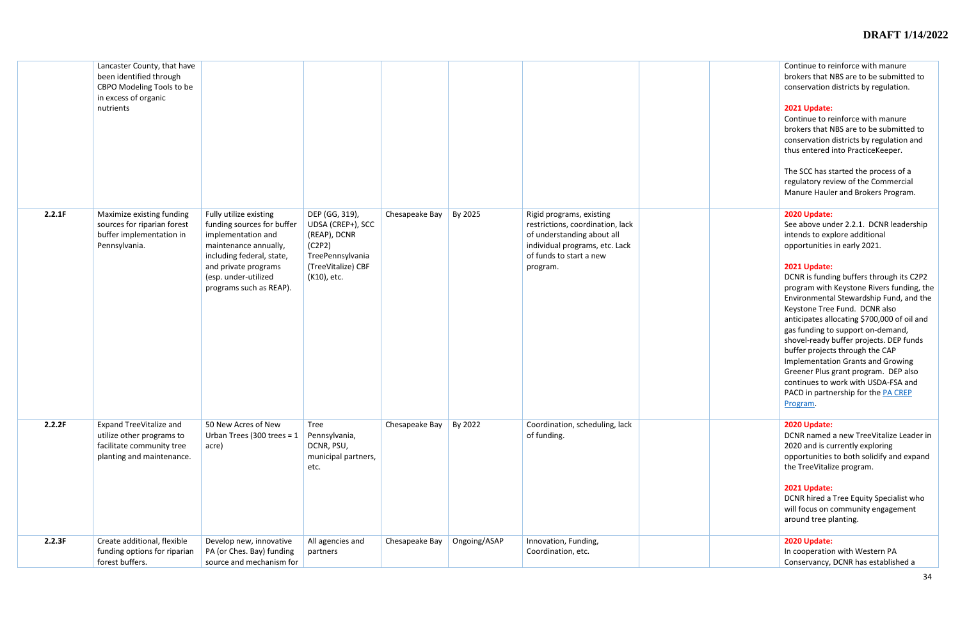|        | Lancaster County, that have<br>been identified through<br>CBPO Modeling Tools to be<br>in excess of organic<br>nutrients |                                                                                                                                                                                                             |                                                                                                                        |                |              |                                                                                                                                                                     |  |
|--------|--------------------------------------------------------------------------------------------------------------------------|-------------------------------------------------------------------------------------------------------------------------------------------------------------------------------------------------------------|------------------------------------------------------------------------------------------------------------------------|----------------|--------------|---------------------------------------------------------------------------------------------------------------------------------------------------------------------|--|
| 2.2.1F | Maximize existing funding<br>sources for riparian forest<br>buffer implementation in<br>Pennsylvania.                    | Fully utilize existing<br>funding sources for buffer<br>implementation and<br>maintenance annually,<br>including federal, state,<br>and private programs<br>(esp. under-utilized<br>programs such as REAP). | DEP (GG, 319),<br>UDSA (CREP+), SCC<br>(REAP), DCNR<br>(C2P2)<br>TreePennsylvania<br>(TreeVitalize) CBF<br>(K10), etc. | Chesapeake Bay | By 2025      | Rigid programs, existing<br>restrictions, coordination, lack<br>of understanding about all<br>individual programs, etc. Lack<br>of funds to start a new<br>program. |  |
| 2.2.2F | <b>Expand TreeVitalize and</b><br>utilize other programs to<br>facilitate community tree<br>planting and maintenance.    | 50 New Acres of New<br>Urban Trees (300 trees = $1$<br>acre)                                                                                                                                                | <b>Tree</b><br>Pennsylvania,<br>DCNR, PSU,<br>municipal partners,<br>etc.                                              | Chesapeake Bay | By 2022      | Coordination, scheduling, lack<br>of funding.                                                                                                                       |  |
| 2.2.3F | Create additional, flexible<br>funding options for riparian<br>forest buffers.                                           | Develop new, innovative<br>PA (or Ches. Bay) funding<br>source and mechanism for                                                                                                                            | All agencies and<br>partners                                                                                           | Chesapeake Bay | Ongoing/ASAP | Innovation, Funding,<br>Coordination, etc.                                                                                                                          |  |

|  | Continue to reinforce with manure<br>brokers that NBS are to be submitted to<br>conservation districts by regulation.                                                                                                                                                                                                                                                                                                                                                                                                             |
|--|-----------------------------------------------------------------------------------------------------------------------------------------------------------------------------------------------------------------------------------------------------------------------------------------------------------------------------------------------------------------------------------------------------------------------------------------------------------------------------------------------------------------------------------|
|  | 2021 Update:<br>Continue to reinforce with manure<br>brokers that NBS are to be submitted to<br>conservation districts by regulation and<br>thus entered into PracticeKeeper.                                                                                                                                                                                                                                                                                                                                                     |
|  | The SCC has started the process of a<br>regulatory review of the Commercial<br>Manure Hauler and Brokers Program.                                                                                                                                                                                                                                                                                                                                                                                                                 |
|  | 2020 Update:<br>See above under 2.2.1. DCNR leadership<br>intends to explore additional<br>opportunities in early 2021.                                                                                                                                                                                                                                                                                                                                                                                                           |
|  | 2021 Update:<br>DCNR is funding buffers through its C2P2<br>program with Keystone Rivers funding, the<br>Environmental Stewardship Fund, and the<br>Keystone Tree Fund. DCNR also<br>anticipates allocating \$700,000 of oil and<br>gas funding to support on-demand,<br>shovel-ready buffer projects. DEP funds<br>buffer projects through the CAP<br><b>Implementation Grants and Growing</b><br>Greener Plus grant program. DEP also<br>continues to work with USDA-FSA and<br>PACD in partnership for the PA CREP<br>Program. |
|  | 2020 Update:<br>DCNR named a new TreeVitalize Leader in<br>2020 and is currently exploring<br>opportunities to both solidify and expand<br>the TreeVitalize program.                                                                                                                                                                                                                                                                                                                                                              |
|  | 2021 Update:<br>DCNR hired a Tree Equity Specialist who<br>will focus on community engagement<br>around tree planting.                                                                                                                                                                                                                                                                                                                                                                                                            |
|  | 2020 Update:<br>In cooperation with Western PA<br>Conservancy, DCNR has established a                                                                                                                                                                                                                                                                                                                                                                                                                                             |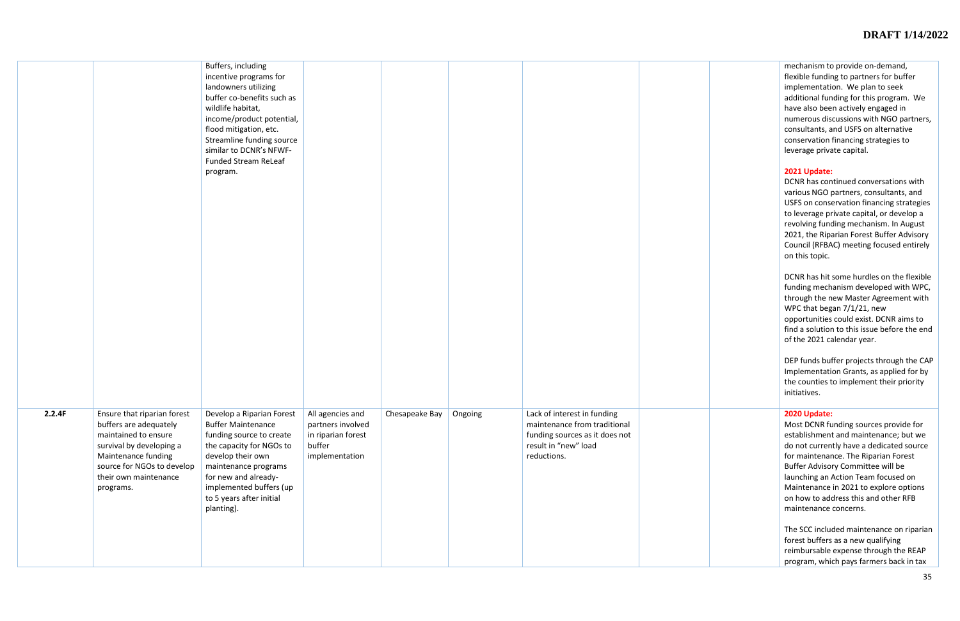mechanism to provide on-demand, flexible funding to partners for buffer implementation. We plan to seek additional funding for this program. We have also been actively engaged in numerous discussions with NGO partners, consultants, and USFS on alternative conservation financing strategies to leverage private capital.

## **2021 Update:**

DCNR has continued conversations with various NGO partners, consultants, and USFS on conservation financing strategies to leverage private capital, or develop a revolving funding mechanism. In August 2021, the Riparian Forest Buffer Advisory Council (RFBAC) meeting focused entirely on this topic.

|        |                                                                                                                                                                                                      | Buffers, including<br>incentive programs for<br>landowners utilizing<br>buffer co-benefits such as<br>wildlife habitat,<br>income/product potential,<br>flood mitigation, etc.<br>Streamline funding source<br>similar to DCNR's NFWF-<br><b>Funded Stream ReLeaf</b><br>program. |                                                                                         |                |         |                                                                                                                                      |  |
|--------|------------------------------------------------------------------------------------------------------------------------------------------------------------------------------------------------------|-----------------------------------------------------------------------------------------------------------------------------------------------------------------------------------------------------------------------------------------------------------------------------------|-----------------------------------------------------------------------------------------|----------------|---------|--------------------------------------------------------------------------------------------------------------------------------------|--|
| 2.2.4F | Ensure that riparian forest<br>buffers are adequately<br>maintained to ensure<br>survival by developing a<br>Maintenance funding<br>source for NGOs to develop<br>their own maintenance<br>programs. | Develop a Riparian Forest<br><b>Buffer Maintenance</b><br>funding source to create<br>the capacity for NGOs to<br>develop their own<br>maintenance programs<br>for new and already-<br>implemented buffers (up<br>to 5 years after initial<br>planting).                          | All agencies and<br>partners involved<br>in riparian forest<br>buffer<br>implementation | Chesapeake Bay | Ongoing | Lack of interest in funding<br>maintenance from traditional<br>funding sources as it does not<br>result in "new" load<br>reductions. |  |

DCNR has hit some hurdles on the flexible funding mechanism developed with WPC, through the new Master Agreement with WPC that began 7/1/21, new opportunities could exist. DCNR aims to find a solution to this issue before the end of the 2021 calendar year.

DEP funds buffer projects through the CAP Implementation Grants, as applied for by the counties to implement their priority initiatives.

# **2020 Update:**

Most DCNR funding sources provide for establishment and maintenance; but we do not currently have a dedicated source for maintenance. The Riparian Forest Buffer Advisory Committee will be launching an Action Team focused on Maintenance in 2021 to explore options on how to address this and other RFB maintenance concerns.

The SCC included maintenance on riparian forest buffers as a new qualifying reimbursable expense through the REAP program, which pays farmers back in tax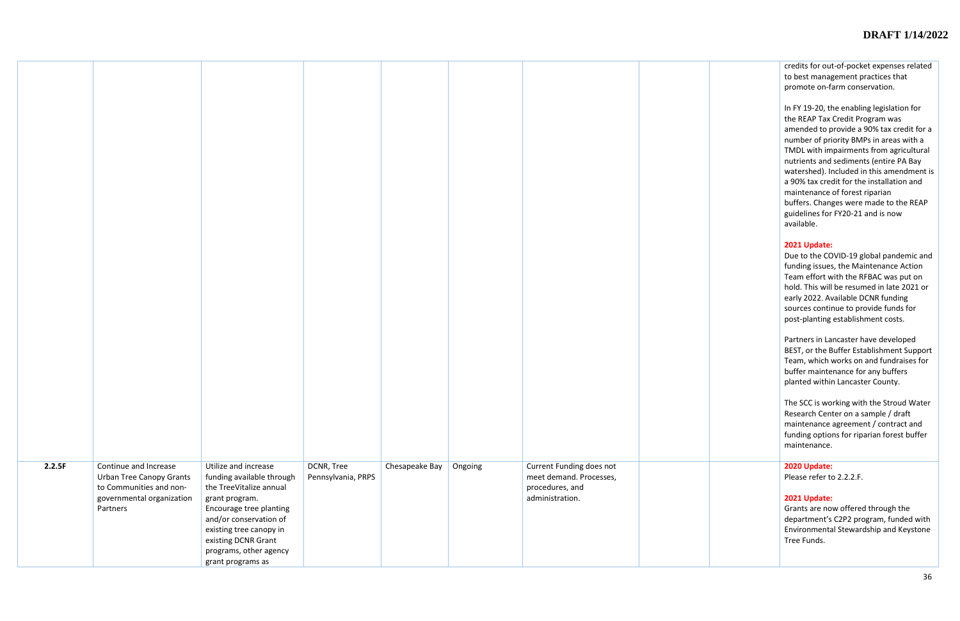credits for out-of-pocket expenses related to best management practices that promote on-farm conservation.

In FY 19-20, the enabling legislation for the REAP Tax Credit Program was amended to provide a 90% tax credit for a number of priority BMPs in areas with a TMDL with impairments from agricultural nutrients and sediments (entire PA Bay watershed). Included in this amendment is a 90% tax credit for the installation and maintenance of forest riparian buffers. Changes were made to the REAP guidelines for FY20-21 and is now available.

# **2021 Update:**

Due to the COVID-19 global pandemic and funding issues, the Maintenance Action Team effort with the RFBAC was put on hold. This will be resumed in late 2021 or early 2022. Available DCNR funding sources continue to provide funds for post-planting establishment costs.

| 2.2.5F | Continue and Increase<br><b>Urban Tree Canopy Grants</b><br>to Communities and non-<br>governmental organization<br>Partners | Utilize and increase<br>funding available through<br>the TreeVitalize annual<br>grant program.<br>Encourage tree planting<br>and/or conservation of<br>existing tree canopy in<br>existing DCNR Grant<br>programs, other agency<br>grant programs as | DCNR, Tree<br>Pennsylvania, PRPS | Chesapeake Bay | Ongoing | Current Funding does not<br>meet demand. Processes,<br>procedures, and<br>administration. |  |
|--------|------------------------------------------------------------------------------------------------------------------------------|------------------------------------------------------------------------------------------------------------------------------------------------------------------------------------------------------------------------------------------------------|----------------------------------|----------------|---------|-------------------------------------------------------------------------------------------|--|

Partners in Lancaster have developed BEST, or the Buffer Establishment Support Team, which works on and fundraises for buffer maintenance for any buffers planted within Lancaster County.

The SCC is working with the Stroud Water Research Center on a sample / draft maintenance agreement / contract and funding options for riparian forest buffer maintenance.

#### **2020 Update:**

Please refer to 2.2.2.F.

## **2021 Update:**

Grants are now offered through the department's C2P2 program, funded with Environmental Stewardship and Keystone Tree Funds.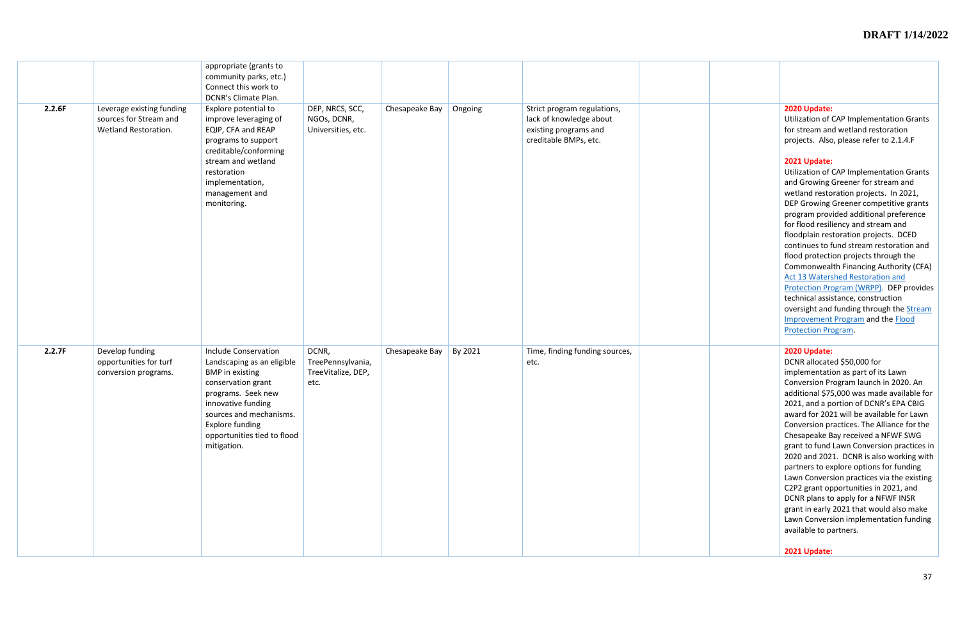#### **2020 Update:**

Utilization of CAP Implementation Grants for stream and wetland restoration projects. Also, please refer to 2.1.4.F

#### **2021 Update:**

| 2.2.6F | Leverage existing funding<br>sources for Stream and<br>Wetland Restoration. | appropriate (grants to<br>community parks, etc.)<br>Connect this work to<br>DCNR's Climate Plan.<br>Explore potential to<br>improve leveraging of<br>EQIP, CFA and REAP<br>programs to support<br>creditable/conforming<br>stream and wetland<br>restoration<br>implementation,<br>management and<br>monitoring. | DEP, NRCS, SCC,<br>NGOs, DCNR,<br>Universities, etc.     | Chesapeake Bay | Ongoing | Strict program regulations,<br>lack of knowledge about<br>existing programs and<br>creditable BMPs, etc. |  |
|--------|-----------------------------------------------------------------------------|------------------------------------------------------------------------------------------------------------------------------------------------------------------------------------------------------------------------------------------------------------------------------------------------------------------|----------------------------------------------------------|----------------|---------|----------------------------------------------------------------------------------------------------------|--|
| 2.2.7F | Develop funding<br>opportunities for turf<br>conversion programs.           | <b>Include Conservation</b><br>Landscaping as an eligible<br><b>BMP</b> in existing<br>conservation grant<br>programs. Seek new<br>innovative funding<br>sources and mechanisms.<br><b>Explore funding</b><br>opportunities tied to flood<br>mitigation.                                                         | DCNR,<br>TreePennsylvania,<br>TreeVitalize, DEP,<br>etc. | Chesapeake Bay | By 2021 | Time, finding funding sources,<br>etc.                                                                   |  |

Utilization of CAP Implementation Grants and Growing Greener for stream and wetland restoration projects. In 2021, DEP Growing Greener competitive grants program provided additional preference for flood resiliency and stream and floodplain restoration projects. DCED continues to fund stream restoration and flood protection projects through the Commonwealth Financing Authority (CFA) [Act 13 Watershed Restoration and](https://dced.pa.gov/programs/watershed-restoration-protection-program-wrpp/#:~:text=Overview%20Act%2013%20of%202012%20establishes%20the%20Marcellus,Financing%20Authority%20for%20watershed%20restoration%20and%20protection%20projects.)  [Protection Program \(WRPP\).](https://dced.pa.gov/programs/watershed-restoration-protection-program-wrpp/#:~:text=Overview%20Act%2013%20of%202012%20establishes%20the%20Marcellus,Financing%20Authority%20for%20watershed%20restoration%20and%20protection%20projects.) DEP provides technical assistance, construction oversight and funding through the **Stream** [Improvement Program](http://www.depgreenport.state.pa.us/elibrary/GetDocument?docId=3677955&DocName=STREAM%20IMPROVEMENT%20PROGRAM.PDF%20%20%3cspan%20style%3D%22color:green%3b%22%3e%3c/span%3e%20%3cspan%20style%3D%22color:blue%3b%22%3e%28NEW%29%3c/span%3e%203/29/2023) and the [Flood](https://www.dep.pa.gov/Business/Water/Waterways/Flood-Protection/Pages/default.aspx)  [Protection Program.](https://www.dep.pa.gov/Business/Water/Waterways/Flood-Protection/Pages/default.aspx)

#### **2020 Update:**

DCNR allocated \$50,000 for implementation as part of its Lawn Conversion Program launch in 2020. An additional \$75,000 was made available for 2021, and a portion of DCNR's EPA CBIG award for 2021 will be available for Lawn Conversion practices. The Alliance for the Chesapeake Bay received a NFWF SWG grant to fund Lawn Conversion practices in 2020 and 2021. DCNR is also working with partners to explore options for funding Lawn Conversion practices via the existing C2P2 grant opportunities in 2021, and DCNR plans to apply for a NFWF INSR grant in early 2021 that would also make Lawn Conversion implementation funding available to partners.

#### **2021 Update:**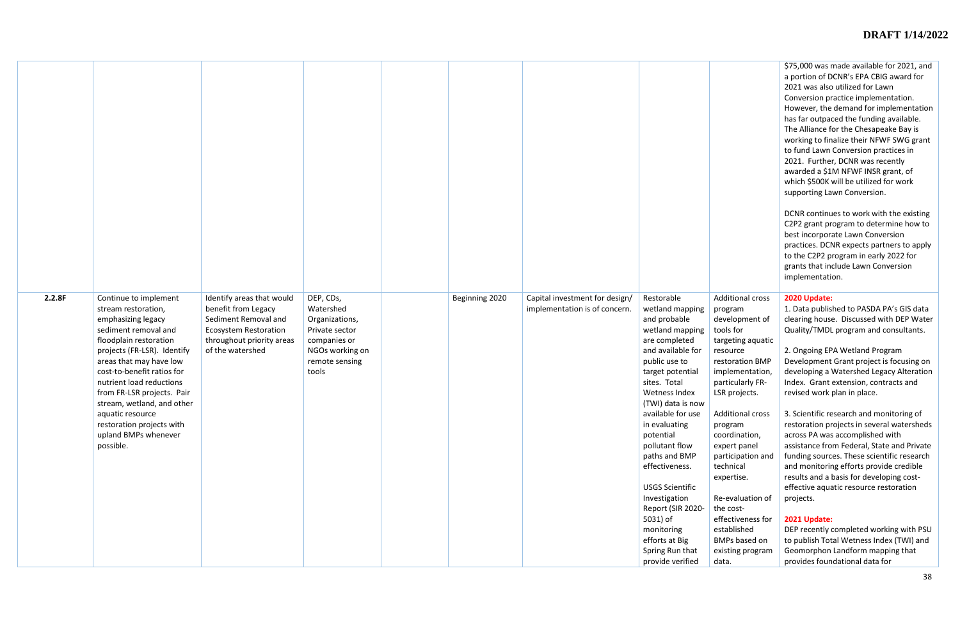| 2.2.8F | Continue to implement<br>stream restoration,<br>emphasizing legacy<br>sediment removal and<br>floodplain restoration<br>projects (FR-LSR). Identify<br>areas that may have low<br>cost-to-benefit ratios for<br>nutrient load reductions<br>from FR-LSR projects. Pair<br>stream, wetland, and other<br>aquatic resource<br>restoration projects with<br>upland BMPs whenever<br>possible. | Identify areas that would<br>benefit from Legacy<br>Sediment Removal and<br><b>Ecosystem Restoration</b><br>throughout priority areas<br>of the watershed | DEP, CDs,<br>Watershed<br>Organizations,<br>Private sector<br>companies or<br>NGOs working on<br>remote sensing<br>tools | Beginning 2020 | Capital investment for design/<br>implementation is of concern. | Restorable<br>wetland mapping<br>and probable<br>wetland mapping<br>are completed<br>and available for<br>public use to<br>target potential<br>sites. Total<br>Wetness Index<br>(TWI) data is now<br>available for use<br>in evaluating<br>potential<br>pollutant flow<br>paths and BMP<br>effectiveness.<br><b>USGS Scientific</b><br>Investigation<br>Report (SIR 2020-<br>5031) of<br>monitoring<br>efforts at Big<br>Spring Run that<br>provide verified |
|--------|--------------------------------------------------------------------------------------------------------------------------------------------------------------------------------------------------------------------------------------------------------------------------------------------------------------------------------------------------------------------------------------------|-----------------------------------------------------------------------------------------------------------------------------------------------------------|--------------------------------------------------------------------------------------------------------------------------|----------------|-----------------------------------------------------------------|--------------------------------------------------------------------------------------------------------------------------------------------------------------------------------------------------------------------------------------------------------------------------------------------------------------------------------------------------------------------------------------------------------------------------------------------------------------|

|                                                                                                                                                                               | \$75,000 was made available for 2021, and<br>a portion of DCNR's EPA CBIG award for<br>2021 was also utilized for Lawn<br>Conversion practice implementation.<br>However, the demand for implementation<br>has far outpaced the funding available.<br>The Alliance for the Chesapeake Bay is<br>working to finalize their NFWF SWG grant<br>to fund Lawn Conversion practices in<br>2021. Further, DCNR was recently<br>awarded a \$1M NFWF INSR grant, of<br>which \$500K will be utilized for work<br>supporting Lawn Conversion.<br>DCNR continues to work with the existing<br>C2P2 grant program to determine how to<br>best incorporate Lawn Conversion<br>practices. DCNR expects partners to apply<br>to the C2P2 program in early 2022 for<br>grants that include Lawn Conversion<br>implementation. |
|-------------------------------------------------------------------------------------------------------------------------------------------------------------------------------|---------------------------------------------------------------------------------------------------------------------------------------------------------------------------------------------------------------------------------------------------------------------------------------------------------------------------------------------------------------------------------------------------------------------------------------------------------------------------------------------------------------------------------------------------------------------------------------------------------------------------------------------------------------------------------------------------------------------------------------------------------------------------------------------------------------|
| <b>Additional cross</b><br>program<br>development of<br>tools for<br>targeting aquatic<br>resource<br>restoration BMP<br>implementation,<br>particularly FR-<br>LSR projects. | 2020 Update:<br>1. Data published to PASDA PA's GIS data<br>clearing house. Discussed with DEP Water<br>Quality/TMDL program and consultants.<br>2. Ongoing EPA Wetland Program<br>Development Grant project is focusing on<br>developing a Watershed Legacy Alteration<br>Index. Grant extension, contracts and<br>revised work plan in place.                                                                                                                                                                                                                                                                                                                                                                                                                                                               |
| <b>Additional cross</b><br>program<br>coordination,<br>expert panel<br>participation and<br>technical<br>expertise.                                                           | 3. Scientific research and monitoring of<br>restoration projects in several watersheds<br>across PA was accomplished with<br>assistance from Federal, State and Private<br>funding sources. These scientific research<br>and monitoring efforts provide credible<br>results and a basis for developing cost-<br>effective aquatic resource restoration                                                                                                                                                                                                                                                                                                                                                                                                                                                        |
| Re-evaluation of<br>the cost-<br>effectiveness for<br>established<br><b>BMPs based on</b><br>existing program<br>data.                                                        | projects.<br>2021 Update:<br>DEP recently completed working with PSU<br>to publish Total Wetness Index (TWI) and<br>Geomorphon Landform mapping that<br>provides foundational data for                                                                                                                                                                                                                                                                                                                                                                                                                                                                                                                                                                                                                        |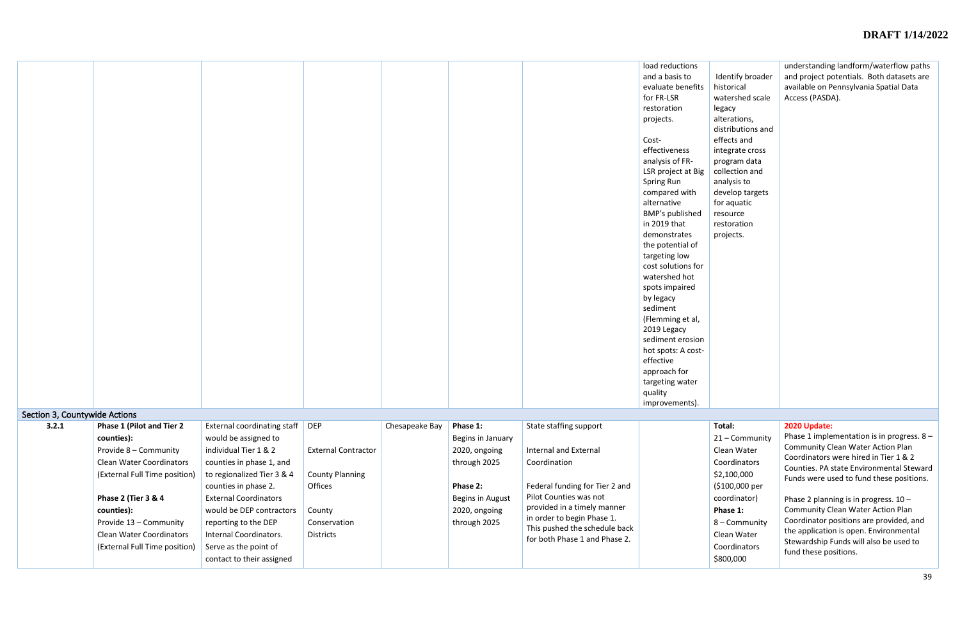|                               |                                                                                                                                              |                                                                                                                                                                      |                                                                 |                |                                                                            |                                                                                                                                                       | load reductions<br>and a basis to<br>evaluate benefits<br>for FR-LSR<br>restoration<br>projects.<br>Cost-<br>effectiveness<br>analysis of FR-<br>LSR project at Big<br>Spring Run<br>compared with<br>alternative<br>BMP's published<br>in 2019 that<br>demonstrates<br>the potential of<br>targeting low<br>cost solutions for<br>watershed hot<br>spots impaired<br>by legacy<br>sediment<br>(Flemming et al,<br>2019 Legacy<br>sediment erosion<br>hot spots: A cost-<br>effective<br>approach for<br>targeting water<br>quality<br>improvements). | Identify broader<br>historical<br>watershed scale<br>legacy<br>alterations,<br>distributions and<br>effects and<br>integrate cross<br>program data<br>collection and<br>analysis to<br>develop targets<br>for aquatic<br>resource<br>restoration<br>projects. | understanding landform/waterflow paths<br>and project potentials. Both datasets are<br>available on Pennsylvania Spatial Data<br>Access (PASDA).                                                                                            |
|-------------------------------|----------------------------------------------------------------------------------------------------------------------------------------------|----------------------------------------------------------------------------------------------------------------------------------------------------------------------|-----------------------------------------------------------------|----------------|----------------------------------------------------------------------------|-------------------------------------------------------------------------------------------------------------------------------------------------------|-------------------------------------------------------------------------------------------------------------------------------------------------------------------------------------------------------------------------------------------------------------------------------------------------------------------------------------------------------------------------------------------------------------------------------------------------------------------------------------------------------------------------------------------------------|---------------------------------------------------------------------------------------------------------------------------------------------------------------------------------------------------------------------------------------------------------------|---------------------------------------------------------------------------------------------------------------------------------------------------------------------------------------------------------------------------------------------|
| Section 3, Countywide Actions |                                                                                                                                              |                                                                                                                                                                      |                                                                 |                |                                                                            |                                                                                                                                                       |                                                                                                                                                                                                                                                                                                                                                                                                                                                                                                                                                       |                                                                                                                                                                                                                                                               |                                                                                                                                                                                                                                             |
| 3.2.1                         | <b>Phase 1 (Pilot and Tier 2)</b><br>counties):<br>Provide 8 - Community<br><b>Clean Water Coordinators</b><br>(External Full Time position) | External coordinating staff   DEP<br>would be assigned to<br>individual Tier 1 & 2<br>counties in phase 1, and<br>to regionalized Tier 3 & 4<br>counties in phase 2. | <b>External Contractor</b><br><b>County Planning</b><br>Offices | Chesapeake Bay | Phase 1:<br>Begins in January<br>2020, ongoing<br>through 2025<br>Phase 2: | State staffing support<br><b>Internal and External</b><br>Coordination<br>Federal funding for Tier 2 and                                              |                                                                                                                                                                                                                                                                                                                                                                                                                                                                                                                                                       | Total:<br>21 - Community<br>Clean Water<br>Coordinators<br>\$2,100,000<br>(\$100,000 per                                                                                                                                                                      | 2020 Update:<br>Phase 1 implementation is in progress. 8 -<br><b>Community Clean Water Action Plan</b><br>Coordinators were hired in Tier 1 & 2<br>Counties. PA state Environmental Steward<br>Funds were used to fund these positions.     |
|                               | <b>Phase 2 (Tier 3 &amp; 4</b><br>counties):<br>Provide 13 - Community<br><b>Clean Water Coordinators</b><br>(External Full Time position)   | <b>External Coordinators</b><br>would be DEP contractors<br>reporting to the DEP<br>Internal Coordinators.<br>Serve as the point of<br>contact to their assigned     | County<br>Conservation<br><b>Districts</b>                      |                | Begins in August<br>2020, ongoing<br>through 2025                          | Pilot Counties was not<br>provided in a timely manner<br>in order to begin Phase 1.<br>This pushed the schedule back<br>for both Phase 1 and Phase 2. |                                                                                                                                                                                                                                                                                                                                                                                                                                                                                                                                                       | coordinator)<br>Phase 1:<br>8 - Community<br>Clean Water<br>Coordinators<br>\$800,000                                                                                                                                                                         | Phase 2 planning is in progress. $10 -$<br><b>Community Clean Water Action Plan</b><br>Coordinator positions are provided, and<br>the application is open. Environmental<br>Stewardship Funds will also be used to<br>fund these positions. |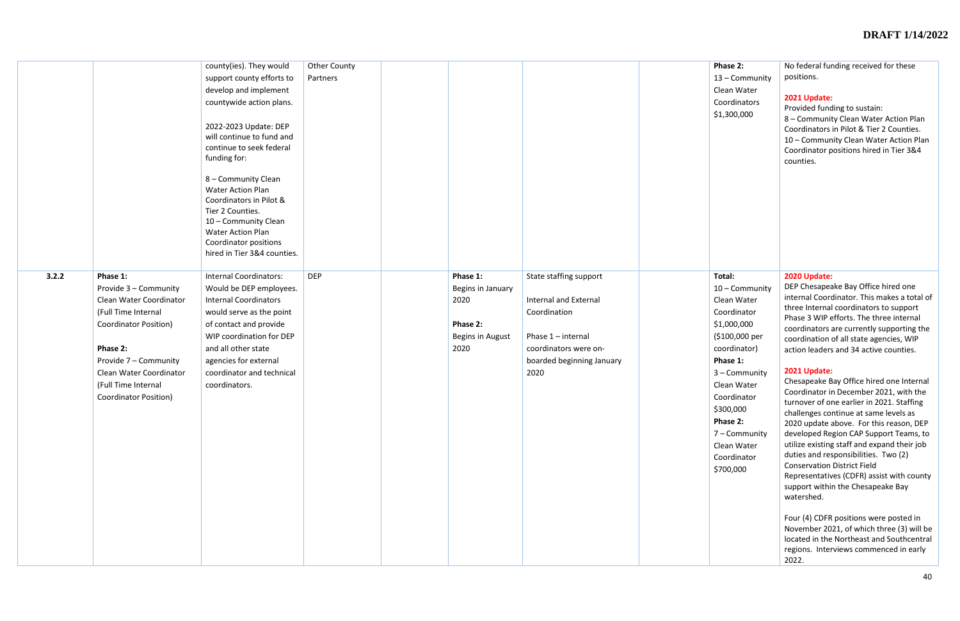|       |                              | county(ies). They would                   | Other County |                   |                           |  |
|-------|------------------------------|-------------------------------------------|--------------|-------------------|---------------------------|--|
|       |                              | support county efforts to                 | Partners     |                   |                           |  |
|       |                              | develop and implement                     |              |                   |                           |  |
|       |                              | countywide action plans.                  |              |                   |                           |  |
|       |                              |                                           |              |                   |                           |  |
|       |                              | 2022-2023 Update: DEP                     |              |                   |                           |  |
|       |                              | will continue to fund and                 |              |                   |                           |  |
|       |                              | continue to seek federal                  |              |                   |                           |  |
|       |                              | funding for:                              |              |                   |                           |  |
|       |                              |                                           |              |                   |                           |  |
|       |                              | 8 - Community Clean                       |              |                   |                           |  |
|       |                              | <b>Water Action Plan</b>                  |              |                   |                           |  |
|       |                              | Coordinators in Pilot &                   |              |                   |                           |  |
|       |                              | Tier 2 Counties.                          |              |                   |                           |  |
|       |                              | 10 - Community Clean<br>Water Action Plan |              |                   |                           |  |
|       |                              | Coordinator positions                     |              |                   |                           |  |
|       |                              | hired in Tier 3&4 counties.               |              |                   |                           |  |
|       |                              |                                           |              |                   |                           |  |
| 3.2.2 | Phase 1:                     | <b>Internal Coordinators:</b>             | <b>DEP</b>   | Phase 1:          | State staffing support    |  |
|       | Provide 3 - Community        | Would be DEP employees.                   |              | Begins in January |                           |  |
|       | Clean Water Coordinator      | <b>Internal Coordinators</b>              |              | 2020              | Internal and External     |  |
|       | (Full Time Internal          | would serve as the point                  |              |                   | Coordination              |  |
|       | <b>Coordinator Position)</b> | of contact and provide                    |              | Phase 2:          |                           |  |
|       |                              | WIP coordination for DEP                  |              | Begins in August  | Phase 1 - internal        |  |
|       | Phase 2:                     | and all other state                       |              | 2020              | coordinators were on-     |  |
|       |                              |                                           |              |                   |                           |  |
|       | Provide 7 - Community        | agencies for external                     |              |                   | boarded beginning January |  |
|       | Clean Water Coordinator      | coordinator and technical                 |              |                   | 2020                      |  |
|       | (Full Time Internal          | coordinators.                             |              |                   |                           |  |
|       | <b>Coordinator Position)</b> |                                           |              |                   |                           |  |
|       |                              |                                           |              |                   |                           |  |
|       |                              |                                           |              |                   |                           |  |
|       |                              |                                           |              |                   |                           |  |
|       |                              |                                           |              |                   |                           |  |
|       |                              |                                           |              |                   |                           |  |
|       |                              |                                           |              |                   |                           |  |
|       |                              |                                           |              |                   |                           |  |
|       |                              |                                           |              |                   |                           |  |
|       |                              |                                           |              |                   |                           |  |
|       |                              |                                           |              |                   |                           |  |
|       |                              |                                           |              |                   |                           |  |
|       |                              |                                           |              |                   |                           |  |
|       |                              |                                           |              |                   |                           |  |
|       |                              |                                           |              |                   |                           |  |

| Phase 2:<br>13 - Community<br>Clean Water<br>Coordinators<br>\$1,300,000                                                                                                                                                                                | No federal funding received for these<br>positions.<br>2021 Update:<br>Provided funding to sustain:<br>8 - Community Clean Water Action Plan<br>Coordinators in Pilot & Tier 2 Counties.<br>10 - Community Clean Water Action Plan<br>Coordinator positions hired in Tier 3&4<br>counties.                                                                                                                                                                                                                                                                                                                                                                                                                                                                                                                                                                                                                                                                                                                                     |
|---------------------------------------------------------------------------------------------------------------------------------------------------------------------------------------------------------------------------------------------------------|--------------------------------------------------------------------------------------------------------------------------------------------------------------------------------------------------------------------------------------------------------------------------------------------------------------------------------------------------------------------------------------------------------------------------------------------------------------------------------------------------------------------------------------------------------------------------------------------------------------------------------------------------------------------------------------------------------------------------------------------------------------------------------------------------------------------------------------------------------------------------------------------------------------------------------------------------------------------------------------------------------------------------------|
| Total:<br>10 - Community<br>Clean Water<br>Coordinator<br>\$1,000,000<br>(\$100,000 per<br>coordinator)<br>Phase 1:<br>3 - Community<br>Clean Water<br>Coordinator<br>\$300,000<br>Phase 2:<br>7 - Community<br>Clean Water<br>Coordinator<br>\$700,000 | 2020 Update:<br>DEP Chesapeake Bay Office hired one<br>internal Coordinator. This makes a total of<br>three Internal coordinators to support<br>Phase 3 WIP efforts. The three internal<br>coordinators are currently supporting the<br>coordination of all state agencies, WIP<br>action leaders and 34 active counties.<br>2021 Update:<br>Chesapeake Bay Office hired one Internal<br>Coordinator in December 2021, with the<br>turnover of one earlier in 2021. Staffing<br>challenges continue at same levels as<br>2020 update above. For this reason, DEP<br>developed Region CAP Support Teams, to<br>utilize existing staff and expand their job<br>duties and responsibilities. Two (2)<br><b>Conservation District Field</b><br>Representatives (CDFR) assist with county<br>support within the Chesapeake Bay<br>watershed.<br>Four (4) CDFR positions were posted in<br>November 2021, of which three (3) will be<br>located in the Northeast and Southcentral<br>regions. Interviews commenced in early<br>2022. |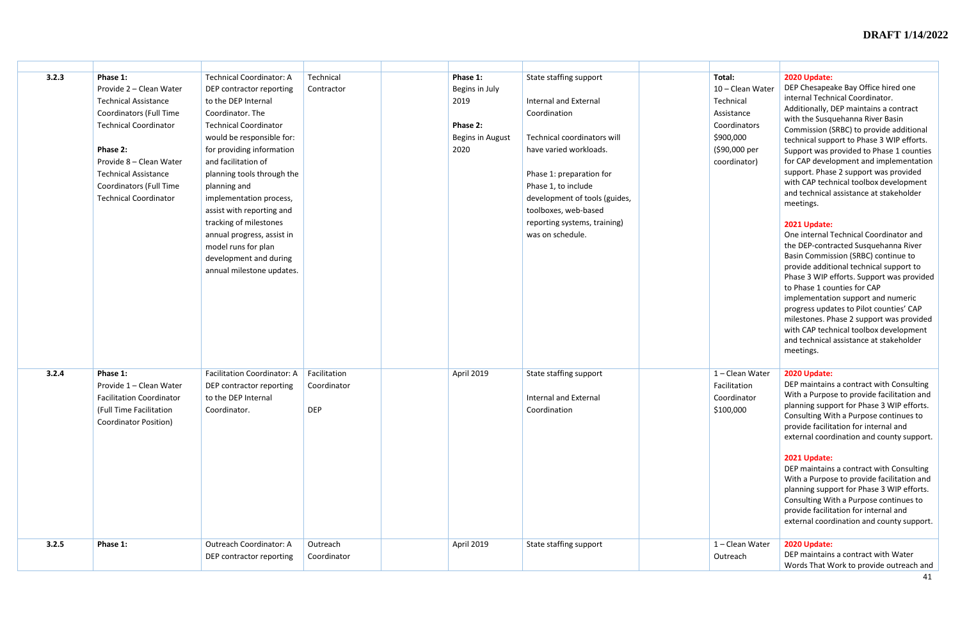| 3.2.3 | Phase 1:                        | <b>Technical Coordinator: A</b>                     | Technical    | Phase 1:         | State staffing support                           | T <sub>o</sub> |
|-------|---------------------------------|-----------------------------------------------------|--------------|------------------|--------------------------------------------------|----------------|
|       | Provide 2 - Clean Water         | DEP contractor reporting                            | Contractor   | Begins in July   |                                                  | 1 <sub>0</sub> |
|       | <b>Technical Assistance</b>     | to the DEP Internal                                 |              | 2019             | <b>Internal and External</b>                     | $T_{\rm f}$    |
|       | <b>Coordinators (Full Time</b>  | Coordinator. The                                    |              |                  | Coordination                                     | A:             |
|       | <b>Technical Coordinator</b>    | <b>Technical Coordinator</b>                        |              | Phase 2:         |                                                  | C(             |
|       |                                 | would be responsible for:                           |              | Begins in August | Technical coordinators will                      | \$9            |
|       | Phase 2:                        | for providing information                           |              | 2020             | have varied workloads.                           | (\$            |
|       | Provide 8 - Clean Water         | and facilitation of                                 |              |                  |                                                  | CC             |
|       | <b>Technical Assistance</b>     | planning tools through the                          |              |                  | Phase 1: preparation for                         |                |
|       | Coordinators (Full Time         | planning and                                        |              |                  | Phase 1, to include                              |                |
|       | <b>Technical Coordinator</b>    | implementation process,                             |              |                  | development of tools (guides,                    |                |
|       |                                 | assist with reporting and<br>tracking of milestones |              |                  | toolboxes, web-based                             |                |
|       |                                 | annual progress, assist in                          |              |                  | reporting systems, training)<br>was on schedule. |                |
|       |                                 | model runs for plan                                 |              |                  |                                                  |                |
|       |                                 | development and during                              |              |                  |                                                  |                |
|       |                                 | annual milestone updates.                           |              |                  |                                                  |                |
|       |                                 |                                                     |              |                  |                                                  |                |
|       |                                 |                                                     |              |                  |                                                  |                |
|       |                                 |                                                     |              |                  |                                                  |                |
|       |                                 |                                                     |              |                  |                                                  |                |
|       |                                 |                                                     |              |                  |                                                  |                |
|       |                                 |                                                     |              |                  |                                                  |                |
|       |                                 |                                                     |              |                  |                                                  |                |
|       |                                 |                                                     |              |                  |                                                  |                |
| 3.2.4 | Phase 1:                        | <b>Facilitation Coordinator: A</b>                  | Facilitation | April 2019       | State staffing support                           | $\mathbf{1}$   |
|       | Provide 1 - Clean Water         | DEP contractor reporting                            | Coordinator  |                  |                                                  | Fa             |
|       | <b>Facilitation Coordinator</b> | to the DEP Internal                                 |              |                  | <b>Internal and External</b>                     | C(             |
|       | (Full Time Facilitation         | Coordinator.                                        | <b>DEP</b>   |                  | Coordination                                     | \$:            |
|       | <b>Coordinator Position)</b>    |                                                     |              |                  |                                                  |                |
|       |                                 |                                                     |              |                  |                                                  |                |
|       |                                 |                                                     |              |                  |                                                  |                |
|       |                                 |                                                     |              |                  |                                                  |                |
|       |                                 |                                                     |              |                  |                                                  |                |
|       |                                 |                                                     |              |                  |                                                  |                |
|       |                                 |                                                     |              |                  |                                                  |                |
|       |                                 |                                                     |              |                  |                                                  |                |
|       |                                 |                                                     |              |                  |                                                  |                |
| 3.2.5 | Phase 1:                        | <b>Outreach Coordinator: A</b>                      | Outreach     | April 2019       |                                                  | $\mathbf{1}$   |
|       |                                 | DEP contractor reporting                            | Coordinator  |                  | State staffing support                           | $\mathsf{O}$   |
|       |                                 |                                                     |              |                  |                                                  |                |

| Total:<br>10 - Clean Water<br>Technical<br>Assistance<br>Coordinators<br>\$900,000<br>(\$90,000 per<br>coordinator) | 2020 Update:<br>DEP Chesapeake Bay Office hired one<br>internal Technical Coordinator.<br>Additionally, DEP maintains a contract<br>with the Susquehanna River Basin<br>Commission (SRBC) to provide additional<br>technical support to Phase 3 WIP efforts.<br>Support was provided to Phase 1 counties<br>for CAP development and implementation<br>support. Phase 2 support was provided<br>with CAP technical toolbox development<br>and technical assistance at stakeholder<br>meetings.<br>2021 Update:<br>One internal Technical Coordinator and<br>the DEP-contracted Susquehanna River<br>Basin Commission (SRBC) continue to<br>provide additional technical support to<br>Phase 3 WIP efforts. Support was provided<br>to Phase 1 counties for CAP<br>implementation support and numeric<br>progress updates to Pilot counties' CAP<br>milestones. Phase 2 support was provided<br>with CAP technical toolbox development<br>and technical assistance at stakeholder<br>meetings. |
|---------------------------------------------------------------------------------------------------------------------|----------------------------------------------------------------------------------------------------------------------------------------------------------------------------------------------------------------------------------------------------------------------------------------------------------------------------------------------------------------------------------------------------------------------------------------------------------------------------------------------------------------------------------------------------------------------------------------------------------------------------------------------------------------------------------------------------------------------------------------------------------------------------------------------------------------------------------------------------------------------------------------------------------------------------------------------------------------------------------------------|
| 1 - Clean Water<br>Facilitation<br>Coordinator<br>\$100,000                                                         | 2020 Update:<br>DEP maintains a contract with Consulting<br>With a Purpose to provide facilitation and<br>planning support for Phase 3 WIP efforts.<br>Consulting With a Purpose continues to<br>provide facilitation for internal and<br>external coordination and county support.<br>2021 Update:<br>DEP maintains a contract with Consulting<br>With a Purpose to provide facilitation and<br>planning support for Phase 3 WIP efforts.<br>Consulting With a Purpose continues to<br>provide facilitation for internal and<br>external coordination and county support.                                                                                                                                                                                                                                                                                                                                                                                                                   |
| 1 - Clean Water<br>Outreach                                                                                         | 2020 Update:<br>DEP maintains a contract with Water<br>Words That Work to provide outreach and                                                                                                                                                                                                                                                                                                                                                                                                                                                                                                                                                                                                                                                                                                                                                                                                                                                                                               |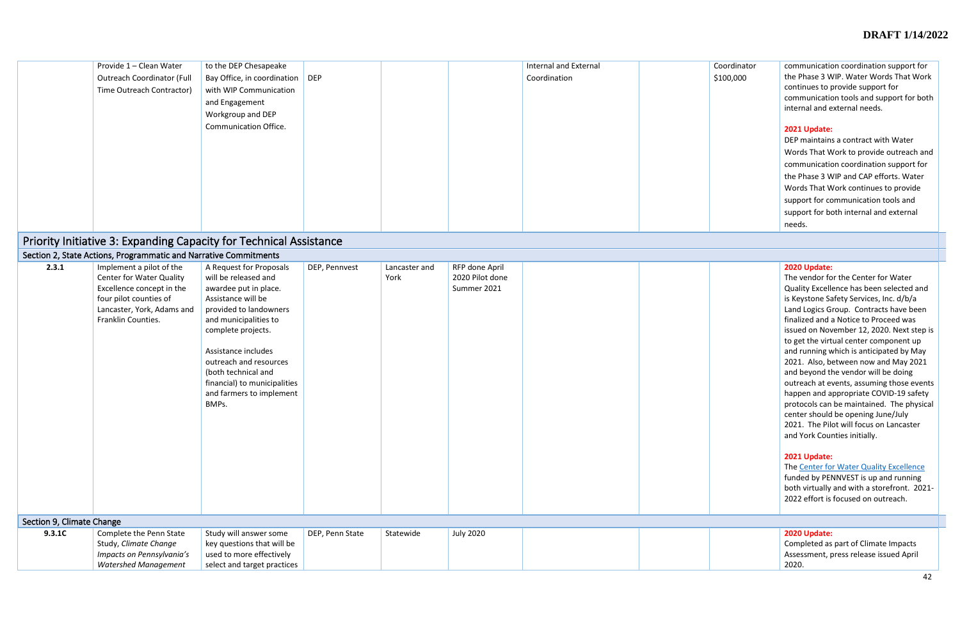| Provide 1 - Clean Water<br><b>Outreach Coordinator (Full</b><br>Time Outreach Contractor) | to the DEP Chesapeake<br>Bay Office, in coordination<br>with WIP Communication<br>and Engagement<br>Workgroup and DEP<br><b>Communication Office.</b> | <b>DEP</b> | <b>Internal and External</b><br>Coordination | Coordinator<br>\$100,000 | communication coordination support for<br>the Phase 3 WIP. Water Words That Work<br>continues to provide support for<br>communication tools and support for both<br>internal and external needs.<br>2021 Update:<br>DEP maintains a contract with Water<br>Words That Work to provide outreach and<br>communication coordination support for<br>the Phase 3 WIP and CAP efforts. Water<br>Words That Work continues to provide<br>support for communication tools and |
|-------------------------------------------------------------------------------------------|-------------------------------------------------------------------------------------------------------------------------------------------------------|------------|----------------------------------------------|--------------------------|-----------------------------------------------------------------------------------------------------------------------------------------------------------------------------------------------------------------------------------------------------------------------------------------------------------------------------------------------------------------------------------------------------------------------------------------------------------------------|
|                                                                                           |                                                                                                                                                       |            |                                              |                          | support for both internal and external                                                                                                                                                                                                                                                                                                                                                                                                                                |
| _ _                                                                                       |                                                                                                                                                       |            |                                              |                          | needs.                                                                                                                                                                                                                                                                                                                                                                                                                                                                |

# Priority Initiative 3: Expanding Capacity for Technical Assistance

|                           | Section 2, State Actions, Programmatic and Narrative Commitments                                                                                                       |                                                                                                                                                                                                                                                                                                                      |                 |                       |                                                  |  |                                                                                                                                                                                                                                                                                                                                                                                                                                                                                                                                                                                                                                                                                                                                                                                                                                                                                              |
|---------------------------|------------------------------------------------------------------------------------------------------------------------------------------------------------------------|----------------------------------------------------------------------------------------------------------------------------------------------------------------------------------------------------------------------------------------------------------------------------------------------------------------------|-----------------|-----------------------|--------------------------------------------------|--|----------------------------------------------------------------------------------------------------------------------------------------------------------------------------------------------------------------------------------------------------------------------------------------------------------------------------------------------------------------------------------------------------------------------------------------------------------------------------------------------------------------------------------------------------------------------------------------------------------------------------------------------------------------------------------------------------------------------------------------------------------------------------------------------------------------------------------------------------------------------------------------------|
| 2.3.1                     | Implement a pilot of the<br><b>Center for Water Quality</b><br>Excellence concept in the<br>four pilot counties of<br>Lancaster, York, Adams and<br>Franklin Counties. | A Request for Proposals<br>will be released and<br>awardee put in place.<br>Assistance will be<br>provided to landowners<br>and municipalities to<br>complete projects.<br>Assistance includes<br>outreach and resources<br>(both technical and<br>financial) to municipalities<br>and farmers to implement<br>BMPs. | DEP, Pennvest   | Lancaster and<br>York | RFP done April<br>2020 Pilot done<br>Summer 2021 |  | 2020 Update:<br>The vendor for the Center for Water<br>Quality Excellence has been selected and<br>is Keystone Safety Services, Inc. d/b/a<br>Land Logics Group. Contracts have been<br>finalized and a Notice to Proceed was<br>issued on November 12, 2020. Next step is<br>to get the virtual center component up<br>and running which is anticipated by May<br>2021. Also, between now and May 2021<br>and beyond the vendor will be doing<br>outreach at events, assuming those events<br>happen and appropriate COVID-19 safety<br>protocols can be maintained. The physical<br>center should be opening June/July<br>2021. The Pilot will focus on Lancaster<br>and York Counties initially.<br>2021 Update:<br>The Center for Water Quality Excellence<br>funded by PENNVEST is up and running<br>both virtually and with a storefront. 2021-<br>2022 effort is focused on outreach. |
| Section 9, Climate Change |                                                                                                                                                                        |                                                                                                                                                                                                                                                                                                                      |                 |                       |                                                  |  |                                                                                                                                                                                                                                                                                                                                                                                                                                                                                                                                                                                                                                                                                                                                                                                                                                                                                              |
| 9.3.1C                    | Complete the Penn State<br>Study, Climate Change<br>Impacts on Pennsylvania's<br><b>Watershed Management</b>                                                           | Study will answer some<br>key questions that will be<br>used to more effectively<br>select and target practices                                                                                                                                                                                                      | DEP, Penn State | Statewide             | <b>July 2020</b>                                 |  | 2020 Update:<br>Completed as part of Climate Impacts<br>Assessment, press release issued April<br>2020.                                                                                                                                                                                                                                                                                                                                                                                                                                                                                                                                                                                                                                                                                                                                                                                      |

| 2020 Update:                           |
|----------------------------------------|
| Completed as part of Climate Impacts   |
| Assessment, press release issued April |
| 2020.                                  |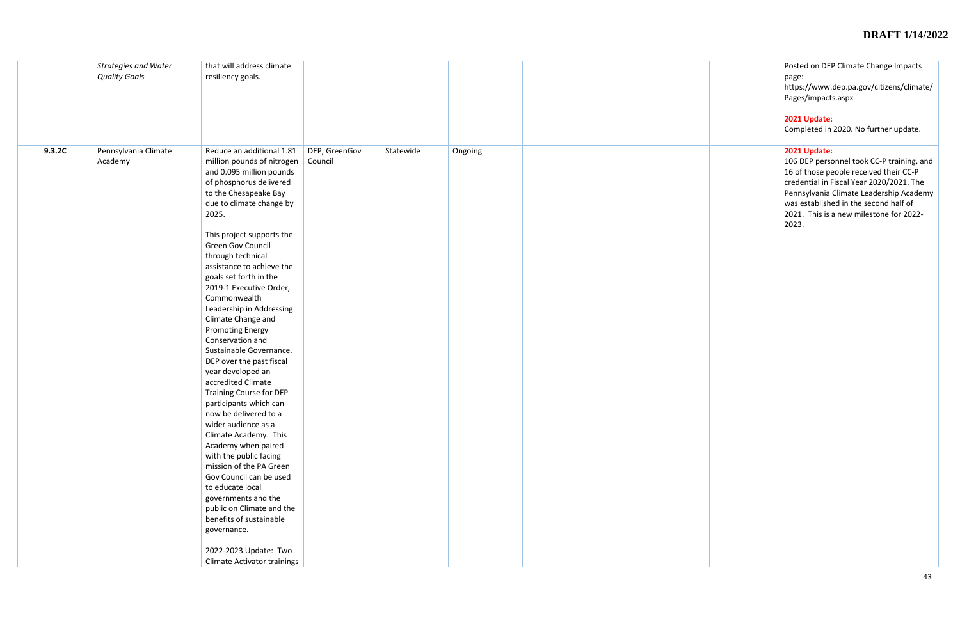|        | <b>Strategies and Water</b><br><b>Quality Goals</b> | that will address climate<br>resiliency goals.                                                                                                                                                                                                                                                                                                                                                                                                                                                                                                                                                                                                                                                                                                                                                                                                                                                                                                                                        |                          |           |         |  | Posted on DE<br>page:<br>https://www.<br>Pages/impact<br>2021 Update:<br>Completed in                                         |
|--------|-----------------------------------------------------|---------------------------------------------------------------------------------------------------------------------------------------------------------------------------------------------------------------------------------------------------------------------------------------------------------------------------------------------------------------------------------------------------------------------------------------------------------------------------------------------------------------------------------------------------------------------------------------------------------------------------------------------------------------------------------------------------------------------------------------------------------------------------------------------------------------------------------------------------------------------------------------------------------------------------------------------------------------------------------------|--------------------------|-----------|---------|--|-------------------------------------------------------------------------------------------------------------------------------|
| 9.3.2C | Pennsylvania Climate<br>Academy                     | Reduce an additional 1.81<br>million pounds of nitrogen<br>and 0.095 million pounds<br>of phosphorus delivered<br>to the Chesapeake Bay<br>due to climate change by<br>2025.<br>This project supports the<br>Green Gov Council<br>through technical<br>assistance to achieve the<br>goals set forth in the<br>2019-1 Executive Order,<br>Commonwealth<br>Leadership in Addressing<br>Climate Change and<br><b>Promoting Energy</b><br>Conservation and<br>Sustainable Governance.<br>DEP over the past fiscal<br>year developed an<br>accredited Climate<br><b>Training Course for DEP</b><br>participants which can<br>now be delivered to a<br>wider audience as a<br>Climate Academy. This<br>Academy when paired<br>with the public facing<br>mission of the PA Green<br>Gov Council can be used<br>to educate local<br>governments and the<br>public on Climate and the<br>benefits of sustainable<br>governance.<br>2022-2023 Update: Two<br><b>Climate Activator trainings</b> | DEP, GreenGov<br>Council | Statewide | Ongoing |  | 2021 Update:<br>106 DEP perso<br>16 of those pe<br>credential in I<br>Pennsylvania<br>was establish<br>2021. This is<br>2023. |

|  | Posted on DEP Climate Change Impacts<br>page:<br>https://www.dep.pa.gov/citizens/climate/<br>Pages/impacts.aspx<br>2021 Update:<br>Completed in 2020. No further update.                                                                                                                |
|--|-----------------------------------------------------------------------------------------------------------------------------------------------------------------------------------------------------------------------------------------------------------------------------------------|
|  | 2021 Update:<br>106 DEP personnel took CC-P training, and<br>16 of those people received their CC-P<br>credential in Fiscal Year 2020/2021. The<br>Pennsylvania Climate Leadership Academy<br>was established in the second half of<br>2021. This is a new milestone for 2022-<br>2023. |
|  |                                                                                                                                                                                                                                                                                         |
|  |                                                                                                                                                                                                                                                                                         |
|  |                                                                                                                                                                                                                                                                                         |
|  |                                                                                                                                                                                                                                                                                         |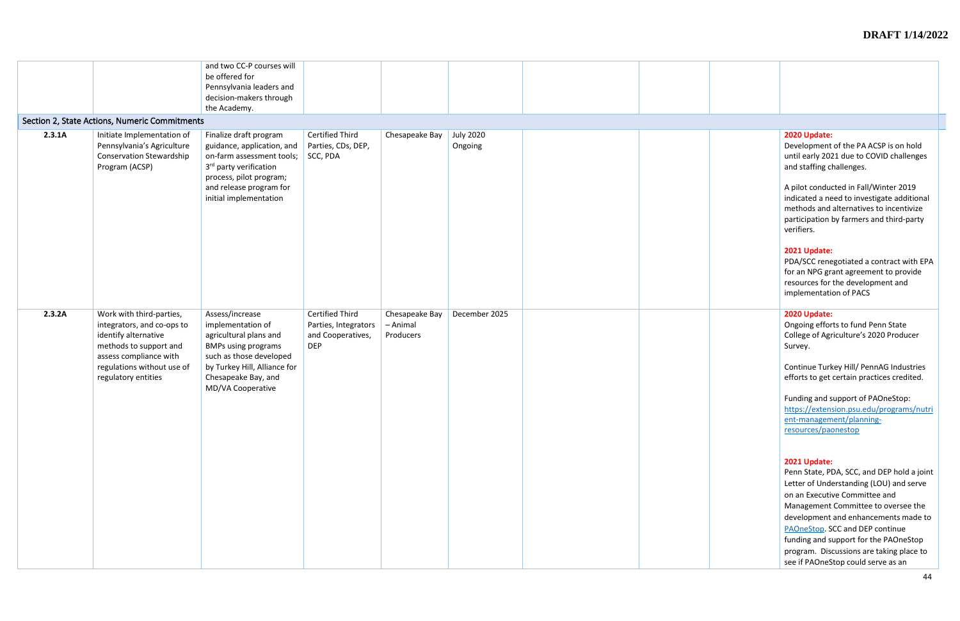|        | Section 2, State Actions, Numeric Commitments                                                                                                                                           | and two CC-P courses will<br>be offered for<br>Pennsylvania leaders and<br>decision-makers through<br>the Academy.                                                                                      |                                                                                   |                                         |                             |                                                                                                                                                                                                                                                                                                                                                                                                                                                                                                                                                                                                                                                                     |
|--------|-----------------------------------------------------------------------------------------------------------------------------------------------------------------------------------------|---------------------------------------------------------------------------------------------------------------------------------------------------------------------------------------------------------|-----------------------------------------------------------------------------------|-----------------------------------------|-----------------------------|---------------------------------------------------------------------------------------------------------------------------------------------------------------------------------------------------------------------------------------------------------------------------------------------------------------------------------------------------------------------------------------------------------------------------------------------------------------------------------------------------------------------------------------------------------------------------------------------------------------------------------------------------------------------|
| 2.3.1A | Initiate Implementation of<br>Pennsylvania's Agriculture<br><b>Conservation Stewardship</b><br>Program (ACSP)                                                                           | Finalize draft program<br>guidance, application, and<br>on-farm assessment tools;<br>3 <sup>rd</sup> party verification<br>process, pilot program;<br>and release program for<br>initial implementation | <b>Certified Third</b><br>Parties, CDs, DEP,<br>$\vert$ SCC, PDA                  | Chesapeake Bay                          | <b>July 2020</b><br>Ongoing | 2020 Update:<br>Development of the PA ACSP is on hold<br>until early 2021 due to COVID challenges<br>and staffing challenges.<br>A pilot conducted in Fall/Winter 2019<br>indicated a need to investigate additional<br>methods and alternatives to incentivize<br>participation by farmers and third-party<br>verifiers.<br>2021 Update:<br>PDA/SCC renegotiated a contract with EPA<br>for an NPG grant agreement to provide<br>resources for the development and                                                                                                                                                                                                 |
| 2.3.2A | Work with third-parties,<br>integrators, and co-ops to<br>identify alternative<br>methods to support and<br>assess compliance with<br>regulations without use of<br>regulatory entities | Assess/increase<br>implementation of<br>agricultural plans and<br><b>BMPs using programs</b><br>such as those developed<br>by Turkey Hill, Alliance for<br>Chesapeake Bay, and<br>MD/VA Cooperative     | <b>Certified Third</b><br>Parties, Integrators<br>and Cooperatives,<br><b>DEP</b> | Chesapeake Bay<br>- Animal<br>Producers | December 2025               | implementation of PACS<br>2020 Update:<br>Ongoing efforts to fund Penn State<br>College of Agriculture's 2020 Producer<br>Survey.<br>Continue Turkey Hill/ PennAG Industries<br>efforts to get certain practices credited.<br>Funding and support of PAOneStop:<br>https://extension.psu.edu/programs/nutri<br>ent-management/planning-<br>resources/paonestop<br>2021 Update:<br>Penn State, PDA, SCC, and DEP hold a joint<br>Letter of Understanding (LOU) and serve<br>on an Executive Committee and<br>Management Committee to oversee the<br>development and enhancements made to<br>PAOneStop. SCC and DEP continue<br>funding and support for the PAOneStop |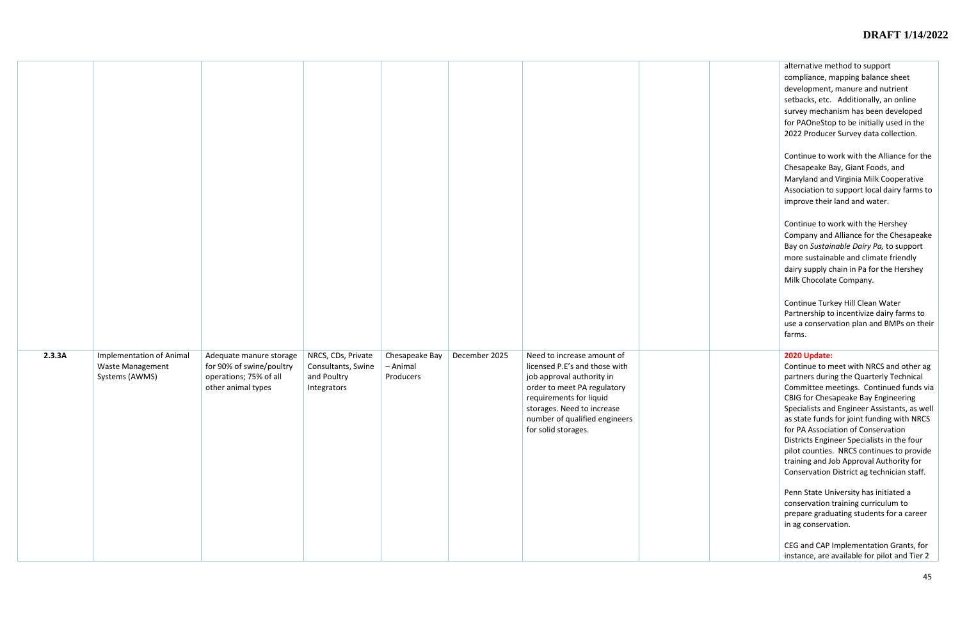alternative method to support compliance, mapping balance sheet development, manure and nutrient setbacks, etc. Additionally, an online survey mechanism has been developed for PAOneStop to be initially used in the 2022 Producer Survey data collection.

Continue to work with the Alliance for the Chesapeake Bay, Giant Foods, and Maryland and Virginia Milk Cooperative Association to support local dairy farms to improve their land and water.

Continue to work with the Hershey Company and Alliance for the Chesapeake Bay on *Sustainable Dairy Pa,* to support more sustainable and climate friendly dairy supply chain in Pa for the Hershey Milk Chocolate Company.

Continue Turkey Hill Clean Water Partnership to incentivize dairy farms to use a conservation plan and BMPs on their farms.

| 2.3.3A | <b>Implementation of Animal</b><br>Waste Management<br>Systems (AWMS) | Adequate manure storage<br>for 90% of swine/poultry<br>operations; 75% of all<br>other animal types | NRCS, CDs, Private<br>Consultants, Swine<br>and Poultry<br>Integrators | Chesapeake Bay<br>- Animal<br>Producers | December 2025 | Need to increase amount of<br>licensed P.E's and those with<br>job approval authority in<br>order to meet PA regulatory<br>requirements for liquid<br>storages. Need to increase<br>number of qualified engineers<br>for solid storages. |  |
|--------|-----------------------------------------------------------------------|-----------------------------------------------------------------------------------------------------|------------------------------------------------------------------------|-----------------------------------------|---------------|------------------------------------------------------------------------------------------------------------------------------------------------------------------------------------------------------------------------------------------|--|

#### **2020 Update:**

Continue to meet with NRCS and other ag partners during the Quarterly Technical Committee meetings. Continued funds via CBIG for Chesapeake Bay Engineering Specialists and Engineer Assistants, as well as state funds for joint funding with NRCS for PA Association of Conservation Districts Engineer Specialists in the four pilot counties. NRCS continues to provide training and Job Approval Authority for Conservation District ag technician staff.

Penn State University has initiated a conservation training curriculum to prepare graduating students for a career in ag conservation.

CEG and CAP Implementation Grants, for instance, are available for pilot and Tier 2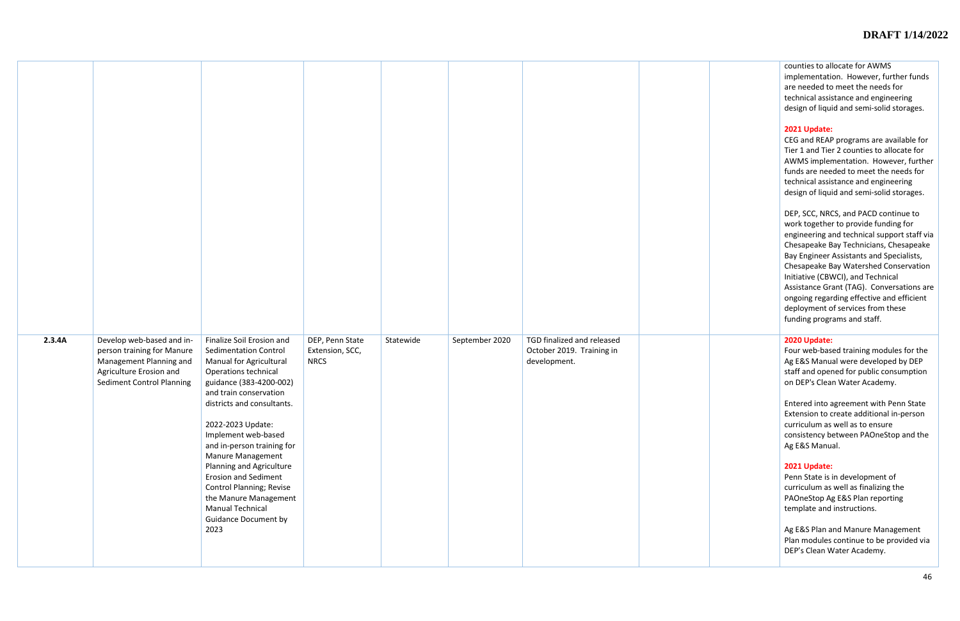counties to allocate for AWMS implementation. However, further funds are needed to meet the needs for technical assistance and engineering design of liquid and semi-solid storages.

### **2021 Update:**

CEG and REAP programs are available for Tier 1 and Tier 2 counties to allocate for AWMS implementation. However, further funds are needed to meet the needs for technical assistance and engineering design of liquid and semi-solid storages.

DEP, SCC, NRCS, and PACD continue to work together to provide funding for engineering and technical support staff via Chesapeake Bay Technicians, Chesapeake Bay Engineer Assistants and Specialists, Chesapeake Bay Watershed Conservation Initiative (CBWCI), and Technical Assistance Grant (TAG). Conversations are ongoing regarding effective and efficient deployment of services from these funding programs and staff.

| 2.3.4A | Develop web-based and in-<br>person training for Manure<br>Management Planning and<br>Agriculture Erosion and<br><b>Sediment Control Planning</b> | Finalize Soil Erosion and<br><b>Sedimentation Control</b><br>Manual for Agricultural<br>Operations technical<br>guidance (383-4200-002)<br>and train conservation<br>districts and consultants.<br>2022-2023 Update:<br>Implement web-based<br>and in-person training for<br>Manure Management<br>Planning and Agriculture<br><b>Erosion and Sediment</b><br><b>Control Planning; Revise</b><br>the Manure Management<br><b>Manual Technical</b><br><b>Guidance Document by</b><br>2023 | DEP, Penn State<br>Extension, SCC,<br><b>NRCS</b> | Statewide | September 2020 | TGD finalized and released<br>October 2019. Training in<br>development. |  |
|--------|---------------------------------------------------------------------------------------------------------------------------------------------------|-----------------------------------------------------------------------------------------------------------------------------------------------------------------------------------------------------------------------------------------------------------------------------------------------------------------------------------------------------------------------------------------------------------------------------------------------------------------------------------------|---------------------------------------------------|-----------|----------------|-------------------------------------------------------------------------|--|

#### **2020 Update:**

Four web-based training modules for the Ag E&S Manual were developed by DEP staff and opened for public consumption on DEP's Clean Water Academy.

Entered into agreement with Penn State Extension to create additional in-person curriculum as well as to ensure consistency between PAOneStop and the Ag E&S Manual.

#### **2021 Update:**

Penn State is in development of curriculum as well as finalizing the PAOneStop Ag E&S Plan reporting template and instructions.

Ag E&S Plan and Manure Management Plan modules continue to be provided via DEP's Clean Water Academy.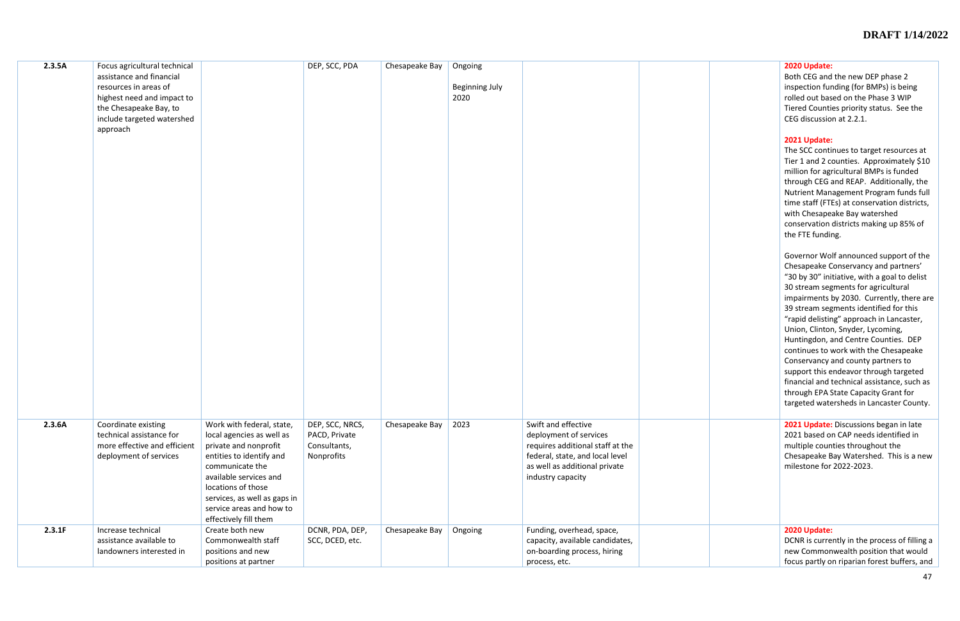#### **2020 Update:**

Both CEG and the new DEP phase 2 inspection funding (for BMPs) is being rolled out based on the Phase 3 WIP Tiered Counties priority status. See the CEG discussion at 2.2.1.

#### **2021 Update:**

The SCC continues to target resources at Tier 1 and 2 counties. Approximately \$10 million for agricultural BMPs is funded through CEG and REAP. Additionally, the Nutrient Management Program funds full time staff (FTEs) at conservation districts, with Chesapeake Bay watershed conservation districts making up 85% of the FTE funding.

2021 Update: Discussions began in late 2021 based on CAP needs identified in multiple counties throughout the Chesapeake Bay Watershed. This is a new milestone for 2022-2023.

Governor Wolf announced support of the Chesapeake Conservancy and partners' "30 by 30" initiative, with a goal to delist 30 stream segments for agricultural impairments by 2030. Currently, there are 39 stream segments identified for this "rapid delisting" approach in Lancaster, Union, Clinton, Snyder, Lycoming, Huntingdon, and Centre Counties. DEP continues to work with the Chesapeake Conservancy and county partners to support this endeavor through targeted financial and technical assistance, such as through EPA State Capacity Grant for targeted watersheds in Lancaster County.

| 2.3.5A | Focus agricultural technical |                              | DEP, SCC, PDA   | Chesapeake Bay | Ongoing               |                                  |  |
|--------|------------------------------|------------------------------|-----------------|----------------|-----------------------|----------------------------------|--|
|        | assistance and financial     |                              |                 |                |                       |                                  |  |
|        | resources in areas of        |                              |                 |                | <b>Beginning July</b> |                                  |  |
|        | highest need and impact to   |                              |                 |                | 2020                  |                                  |  |
|        | the Chesapeake Bay, to       |                              |                 |                |                       |                                  |  |
|        |                              |                              |                 |                |                       |                                  |  |
|        | include targeted watershed   |                              |                 |                |                       |                                  |  |
|        | approach                     |                              |                 |                |                       |                                  |  |
|        |                              |                              |                 |                |                       |                                  |  |
|        |                              |                              |                 |                |                       |                                  |  |
|        |                              |                              |                 |                |                       |                                  |  |
|        |                              |                              |                 |                |                       |                                  |  |
|        |                              |                              |                 |                |                       |                                  |  |
|        |                              |                              |                 |                |                       |                                  |  |
|        |                              |                              |                 |                |                       |                                  |  |
|        |                              |                              |                 |                |                       |                                  |  |
|        |                              |                              |                 |                |                       |                                  |  |
|        |                              |                              |                 |                |                       |                                  |  |
|        |                              |                              |                 |                |                       |                                  |  |
|        |                              |                              |                 |                |                       |                                  |  |
|        |                              |                              |                 |                |                       |                                  |  |
|        |                              |                              |                 |                |                       |                                  |  |
|        |                              |                              |                 |                |                       |                                  |  |
|        |                              |                              |                 |                |                       |                                  |  |
|        |                              |                              |                 |                |                       |                                  |  |
|        |                              |                              |                 |                |                       |                                  |  |
|        |                              |                              |                 |                |                       |                                  |  |
|        |                              |                              |                 |                |                       |                                  |  |
|        |                              |                              |                 |                |                       |                                  |  |
|        |                              |                              |                 |                |                       |                                  |  |
|        |                              |                              |                 |                |                       |                                  |  |
|        |                              |                              |                 |                |                       |                                  |  |
|        |                              |                              |                 |                |                       |                                  |  |
|        |                              |                              |                 |                |                       |                                  |  |
|        |                              |                              |                 |                |                       |                                  |  |
|        |                              |                              |                 |                |                       |                                  |  |
| 2.3.6A | Coordinate existing          | Work with federal, state,    | DEP, SCC, NRCS, | Chesapeake Bay | 2023                  | Swift and effective              |  |
|        | technical assistance for     | local agencies as well as    | PACD, Private   |                |                       | deployment of services           |  |
|        | more effective and efficient | private and nonprofit        | Consultants,    |                |                       | requires additional staff at the |  |
|        | deployment of services       | entities to identify and     | Nonprofits      |                |                       | federal, state, and local level  |  |
|        |                              | communicate the              |                 |                |                       | as well as additional private    |  |
|        |                              | available services and       |                 |                |                       | industry capacity                |  |
|        |                              | locations of those           |                 |                |                       |                                  |  |
|        |                              | services, as well as gaps in |                 |                |                       |                                  |  |
|        |                              | service areas and how to     |                 |                |                       |                                  |  |
|        |                              |                              |                 |                |                       |                                  |  |
|        |                              | effectively fill them        |                 |                |                       |                                  |  |
| 2.3.1F | Increase technical           | Create both new              | DCNR, PDA, DEP, | Chesapeake Bay | Ongoing               | Funding, overhead, space,        |  |
|        | assistance available to      | Commonwealth staff           | SCC, DCED, etc. |                |                       | capacity, available candidates,  |  |
|        | landowners interested in     | positions and new            |                 |                |                       | on-boarding process, hiring      |  |
|        |                              | positions at partner         |                 |                |                       | process, etc.                    |  |

#### **2020 Update:**

DCNR is currently in the process of filling a new Commonwealth position that would focus partly on riparian forest buffers, and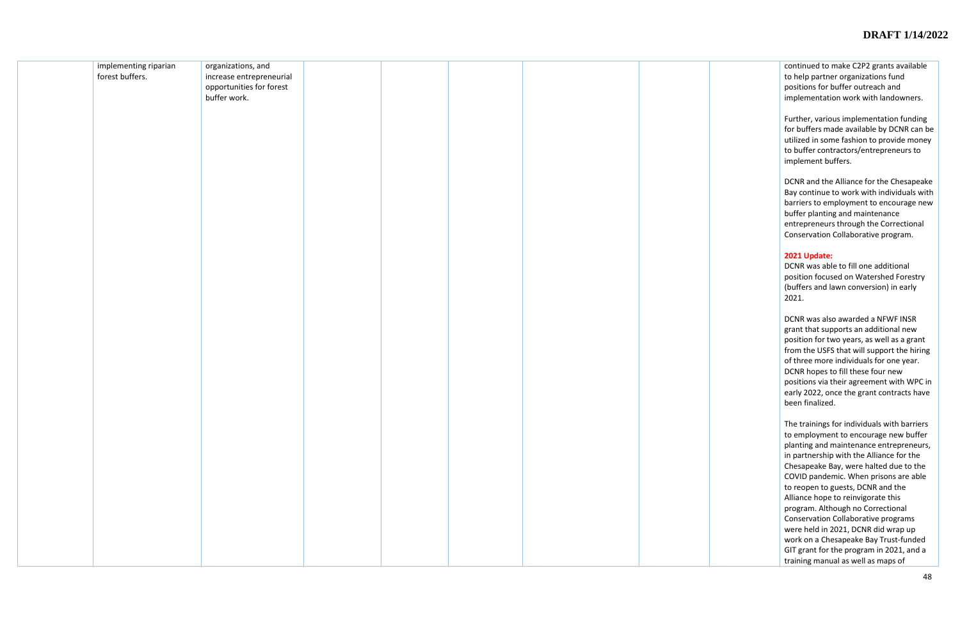| implementing riparian | organizations, and       |  |  |  |
|-----------------------|--------------------------|--|--|--|
| forest buffers.       | increase entrepreneurial |  |  |  |
|                       |                          |  |  |  |
|                       | opportunities for forest |  |  |  |
|                       | buffer work.             |  |  |  |
|                       |                          |  |  |  |
|                       |                          |  |  |  |
|                       |                          |  |  |  |
|                       |                          |  |  |  |
|                       |                          |  |  |  |
|                       |                          |  |  |  |
|                       |                          |  |  |  |
|                       |                          |  |  |  |
|                       |                          |  |  |  |
|                       |                          |  |  |  |
|                       |                          |  |  |  |
|                       |                          |  |  |  |
|                       |                          |  |  |  |
|                       |                          |  |  |  |
|                       |                          |  |  |  |
|                       |                          |  |  |  |
|                       |                          |  |  |  |
|                       |                          |  |  |  |
|                       |                          |  |  |  |
|                       |                          |  |  |  |
|                       |                          |  |  |  |
|                       |                          |  |  |  |
|                       |                          |  |  |  |
|                       |                          |  |  |  |
|                       |                          |  |  |  |
|                       |                          |  |  |  |
|                       |                          |  |  |  |
|                       |                          |  |  |  |
|                       |                          |  |  |  |
|                       |                          |  |  |  |
|                       |                          |  |  |  |
|                       |                          |  |  |  |
|                       |                          |  |  |  |
|                       |                          |  |  |  |
|                       |                          |  |  |  |
|                       |                          |  |  |  |
|                       |                          |  |  |  |
|                       |                          |  |  |  |
|                       |                          |  |  |  |
|                       |                          |  |  |  |
|                       |                          |  |  |  |
|                       |                          |  |  |  |
|                       |                          |  |  |  |
|                       |                          |  |  |  |
|                       |                          |  |  |  |
|                       |                          |  |  |  |
|                       |                          |  |  |  |
|                       |                          |  |  |  |
|                       |                          |  |  |  |
|                       |                          |  |  |  |
|                       |                          |  |  |  |
|                       |                          |  |  |  |
|                       |                          |  |  |  |
|                       |                          |  |  |  |
|                       |                          |  |  |  |
|                       |                          |  |  |  |
|                       |                          |  |  |  |
|                       |                          |  |  |  |
|                       |                          |  |  |  |
|                       |                          |  |  |  |
|                       |                          |  |  |  |
|                       |                          |  |  |  |
|                       |                          |  |  |  |
|                       |                          |  |  |  |
|                       |                          |  |  |  |
|                       |                          |  |  |  |
|                       |                          |  |  |  |
|                       |                          |  |  |  |
|                       |                          |  |  |  |
|                       |                          |  |  |  |
|                       |                          |  |  |  |
|                       |                          |  |  |  |

continued to make C2P2 grants available to help partner organizations fund positions for buffer outreach and implementation work with landowners.

Further, various implementation funding for buffers made available by DCNR can be utilized in some fashion to provide money to buffer contractors/entrepreneurs to implement buffers.

DCNR and the Alliance for the Chesapeake Bay continue to work with individuals with barriers to employment to encourage new buffer planting and maintenance entrepreneurs through the Correctional Conservation Collaborative program.

#### **2021 Update:**

DCNR was able to fill one additional position focused on Watershed Forestry (buffers and lawn conversion) in early 2021.

DCNR was also awarded a NFWF INSR grant that supports an additional new position for two years, as well as a grant from the USFS that will support the hiring of three more individuals for one year. DCNR hopes to fill these four new positions via their agreement with WPC in early 2022, once the grant contracts have been finalized.

The trainings for individuals with barriers to employment to encourage new buffer planting and maintenance entrepreneurs, in partnership with the Alliance for the Chesapeake Bay, were halted due to the COVID pandemic. When prisons are able to reopen to guests, DCNR and the Alliance hope to reinvigorate this program. Although no Correctional Conservation Collaborative programs were held in 2021, DCNR did wrap up work on a Chesapeake Bay Trust -funded GIT grant for the program in 2021, and a training manual as well as maps of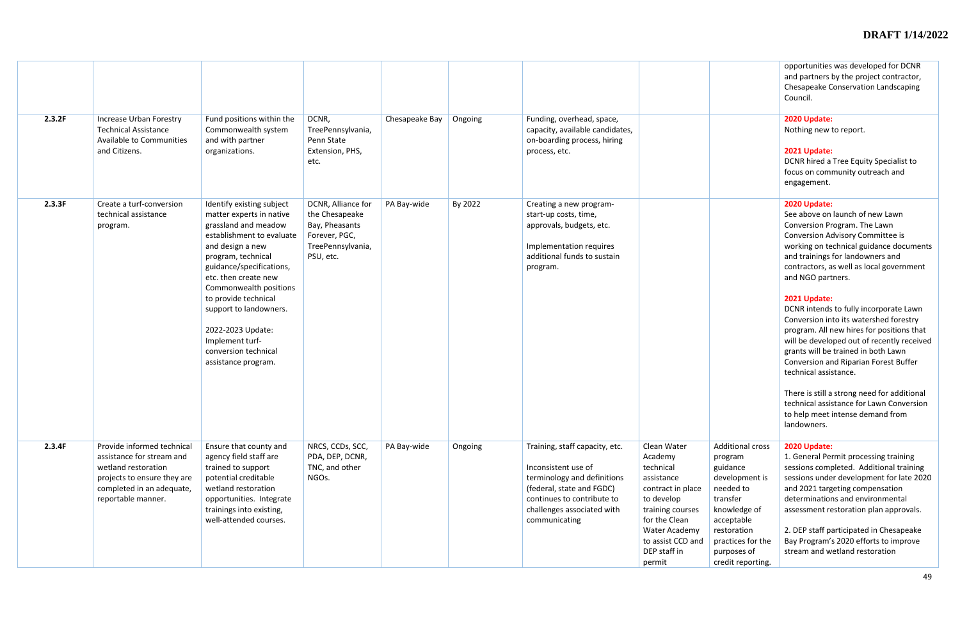| 2.3.2F | Increase Urban Forestry<br><b>Technical Assistance</b><br><b>Available to Communities</b><br>and Citizens.                                                       | Fund positions within the<br>Commonwealth system<br>and with partner<br>organizations.                                                                                                                                                                                                                                                                                      | DCNR,<br>TreePennsylvania,<br>Penn State<br>Extension, PHS,<br>etc.                                       | Chesapeake Bay | Ongoing | Funding, overhead, space,<br>capacity, available candidates,<br>on-boarding process, hiring<br>process, etc.                                                                                   |                                                                                                                                                                                           |
|--------|------------------------------------------------------------------------------------------------------------------------------------------------------------------|-----------------------------------------------------------------------------------------------------------------------------------------------------------------------------------------------------------------------------------------------------------------------------------------------------------------------------------------------------------------------------|-----------------------------------------------------------------------------------------------------------|----------------|---------|------------------------------------------------------------------------------------------------------------------------------------------------------------------------------------------------|-------------------------------------------------------------------------------------------------------------------------------------------------------------------------------------------|
| 2.3.3F | Create a turf-conversion<br>technical assistance<br>program.                                                                                                     | Identify existing subject<br>matter experts in native<br>grassland and meadow<br>establishment to evaluate<br>and design a new<br>program, technical<br>guidance/specifications,<br>etc. then create new<br>Commonwealth positions<br>to provide technical<br>support to landowners.<br>2022-2023 Update:<br>Implement turf-<br>conversion technical<br>assistance program. | DCNR, Alliance for<br>the Chesapeake<br>Bay, Pheasants<br>Forever, PGC,<br>TreePennsylvania,<br>PSU, etc. | PA Bay-wide    | By 2022 | Creating a new program-<br>start-up costs, time,<br>approvals, budgets, etc.<br>Implementation requires<br>additional funds to sustain<br>program.                                             |                                                                                                                                                                                           |
| 2.3.4F | Provide informed technical<br>assistance for stream and<br>wetland restoration<br>projects to ensure they are<br>completed in an adequate,<br>reportable manner. | Ensure that county and<br>agency field staff are<br>trained to support<br>potential creditable<br>wetland restoration<br>opportunities. Integrate<br>trainings into existing,<br>well-attended courses.                                                                                                                                                                     | NRCS, CCDs, SCC,<br>PDA, DEP, DCNR,<br>TNC, and other<br>NGOs.                                            | PA Bay-wide    | Ongoing | Training, staff capacity, etc.<br>Inconsistent use of<br>terminology and definitions<br>(federal, state and FGDC)<br>continues to contribute to<br>challenges associated with<br>communicating | Clean Water<br>Academy<br>technical<br>assistance<br>contract in place<br>to develop<br>training courses<br>for the Clean<br>Water Academy<br>to assist CCD and<br>DEP staff in<br>permit |

|                                                                                                                                                                            | opportunities was developed for DCNR<br>and partners by the project contractor,<br>Chesapeake Conservation Landscaping<br>Council.                                                                                                                                                                                                                                                  |
|----------------------------------------------------------------------------------------------------------------------------------------------------------------------------|-------------------------------------------------------------------------------------------------------------------------------------------------------------------------------------------------------------------------------------------------------------------------------------------------------------------------------------------------------------------------------------|
|                                                                                                                                                                            | 2020 Update:<br>Nothing new to report.                                                                                                                                                                                                                                                                                                                                              |
|                                                                                                                                                                            | 2021 Update:<br>DCNR hired a Tree Equity Specialist to<br>focus on community outreach and<br>engagement.                                                                                                                                                                                                                                                                            |
|                                                                                                                                                                            | 2020 Update:<br>See above on launch of new Lawn<br>Conversion Program. The Lawn<br>Conversion Advisory Committee is<br>working on technical guidance documents<br>and trainings for landowners and<br>contractors, as well as local government<br>and NGO partners.                                                                                                                 |
|                                                                                                                                                                            | 2021 Update:<br>DCNR intends to fully incorporate Lawn<br>Conversion into its watershed forestry<br>program. All new hires for positions that<br>will be developed out of recently received<br>grants will be trained in both Lawn<br>Conversion and Riparian Forest Buffer<br>technical assistance.                                                                                |
|                                                                                                                                                                            | There is still a strong need for additional<br>technical assistance for Lawn Conversion<br>to help meet intense demand from<br>landowners.                                                                                                                                                                                                                                          |
| <b>Additional cross</b><br>program<br>guidance<br>development is<br>needed to<br>transfer<br>knowledge of<br>acceptable<br>restoration<br>practices for the<br>purposes of | 2020 Update:<br>1. General Permit processing training<br>sessions completed. Additional training<br>sessions under development for late 2020<br>and 2021 targeting compensation<br>determinations and environmental<br>assessment restoration plan approvals.<br>2. DEP staff participated in Chesapeake<br>Bay Program's 2020 efforts to improve<br>stream and wetland restoration |
| credit reporting.                                                                                                                                                          |                                                                                                                                                                                                                                                                                                                                                                                     |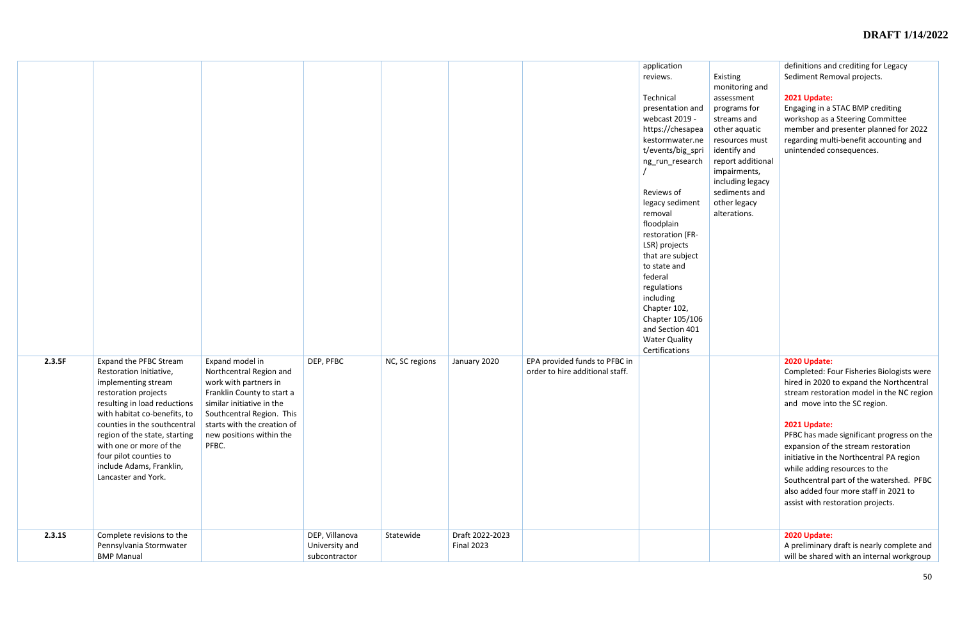|        |                                                                                                                                                                                                                                                                                                                                                  |                                                                                                                                                                                                                                 |                                                   |                |                                      |                                                                  | application<br>reviews.<br>Technical<br>presentation and<br>webcast 2019 -<br>https://chesapea<br>kestormwater.ne<br>t/events/big_spri<br>ng_run_research<br>Reviews of<br>legacy sediment<br>removal<br>floodplain<br>restoration (FR-<br>LSR) projects<br>that are subject<br>to state and<br>federal<br>regulations<br>including<br>Chapter 102,<br>Chapter 105/106<br>and Section 401<br><b>Water Quality</b><br>Certifications | Existing<br>monitoring and<br>assessment<br>programs for<br>streams and<br>other aquatic<br>resources must<br>identify and<br>report additional<br>impairments,<br>including legacy<br>sediments and<br>other legacy<br>alterations. | definitions and crediting for Legacy<br>Sediment Removal projects.<br>2021 Update:<br>Engaging in a STAC BMP crediting<br>workshop as a Steering Committee<br>member and presenter planned for 2022<br>regarding multi-benefit accounting and<br>unintended consequences.                                                                                                                                                                                                                     |
|--------|--------------------------------------------------------------------------------------------------------------------------------------------------------------------------------------------------------------------------------------------------------------------------------------------------------------------------------------------------|---------------------------------------------------------------------------------------------------------------------------------------------------------------------------------------------------------------------------------|---------------------------------------------------|----------------|--------------------------------------|------------------------------------------------------------------|-------------------------------------------------------------------------------------------------------------------------------------------------------------------------------------------------------------------------------------------------------------------------------------------------------------------------------------------------------------------------------------------------------------------------------------|--------------------------------------------------------------------------------------------------------------------------------------------------------------------------------------------------------------------------------------|-----------------------------------------------------------------------------------------------------------------------------------------------------------------------------------------------------------------------------------------------------------------------------------------------------------------------------------------------------------------------------------------------------------------------------------------------------------------------------------------------|
| 2.3.5F | <b>Expand the PFBC Stream</b><br>Restoration Initiative,<br>implementing stream<br>restoration projects<br>resulting in load reductions<br>with habitat co-benefits, to<br>counties in the southcentral<br>region of the state, starting<br>with one or more of the<br>four pilot counties to<br>include Adams, Franklin,<br>Lancaster and York. | Expand model in<br>Northcentral Region and<br>work with partners in<br>Franklin County to start a<br>similar initiative in the<br>Southcentral Region. This<br>starts with the creation of<br>new positions within the<br>PFBC. | DEP, PFBC                                         | NC, SC regions | January 2020                         | EPA provided funds to PFBC in<br>order to hire additional staff. |                                                                                                                                                                                                                                                                                                                                                                                                                                     |                                                                                                                                                                                                                                      | 2020 Update:<br>Completed: Four Fisheries Biologists were<br>hired in 2020 to expand the Northcentral<br>stream restoration model in the NC region<br>and move into the SC region.<br>2021 Update:<br>PFBC has made significant progress on the<br>expansion of the stream restoration<br>initiative in the Northcentral PA region<br>while adding resources to the<br>Southcentral part of the watershed. PFBC<br>also added four more staff in 2021 to<br>assist with restoration projects. |
| 2.3.15 | Complete revisions to the<br>Pennsylvania Stormwater<br><b>BMP Manual</b>                                                                                                                                                                                                                                                                        |                                                                                                                                                                                                                                 | DEP, Villanova<br>University and<br>subcontractor | Statewide      | Draft 2022-2023<br><b>Final 2023</b> |                                                                  |                                                                                                                                                                                                                                                                                                                                                                                                                                     |                                                                                                                                                                                                                                      | 2020 Update:<br>A preliminary draft is nearly complete and<br>will be shared with an internal workgroup                                                                                                                                                                                                                                                                                                                                                                                       |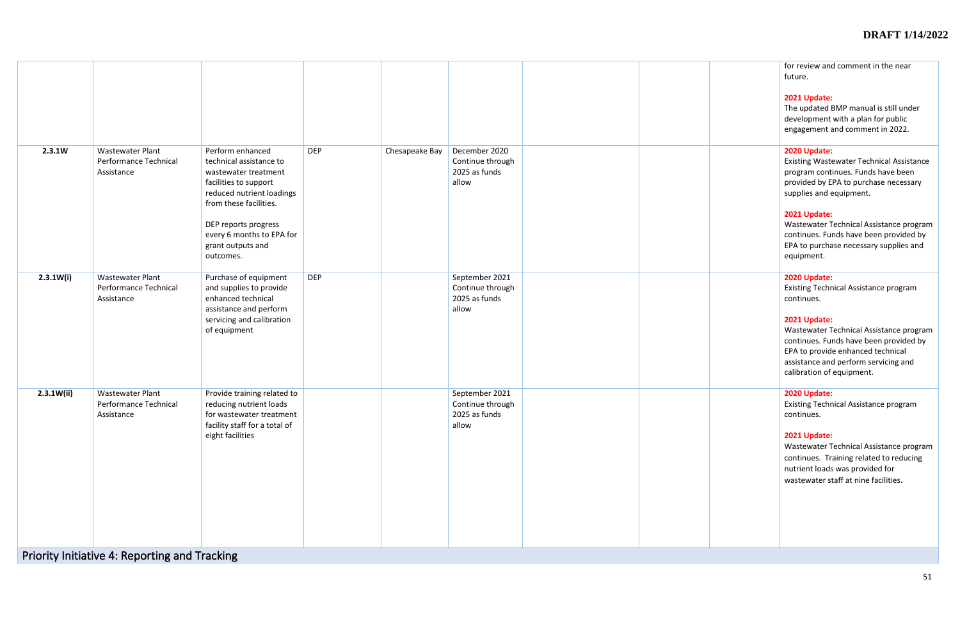|  | for review and comment in the near<br>future.                                                                                                                                                               |
|--|-------------------------------------------------------------------------------------------------------------------------------------------------------------------------------------------------------------|
|  | 2021 Update:<br>The updated BMP manual is still under<br>development with a plan for public<br>engagement and comment in 2022.                                                                              |
|  | 2020 Update:<br><b>Existing Wastewater Technical Assistance</b><br>program continues. Funds have been<br>provided by EPA to purchase necessary<br>supplies and equipment.                                   |
|  | 2021 Update:<br>Wastewater Technical Assistance program<br>continues. Funds have been provided by<br>EPA to purchase necessary supplies and<br>equipment.                                                   |
|  | 2020 Update:<br><b>Existing Technical Assistance program</b><br>continues.                                                                                                                                  |
|  | 2021 Update:<br>Wastewater Technical Assistance program<br>continues. Funds have been provided by<br>EPA to provide enhanced technical<br>assistance and perform servicing and<br>calibration of equipment. |
|  | 2020 Update:<br><b>Existing Technical Assistance program</b><br>continues.                                                                                                                                  |
|  | 2021 Update:<br>Wastewater Technical Assistance program<br>continues. Training related to reducing<br>nutrient loads was provided for<br>wastewater staff at nine facilities.                               |
|  |                                                                                                                                                                                                             |

| 2.3.1W     | <b>Wastewater Plant</b><br>Performance Technical<br>Assistance                                                  | Perform enhanced<br>technical assistance to<br>wastewater treatment<br>facilities to support<br>reduced nutrient loadings<br>from these facilities.<br>DEP reports progress<br>every 6 months to EPA for<br>grant outputs and<br>outcomes. | <b>DEP</b> | Chesapeake Bay | December 2020<br>Continue through<br>2025 as funds<br>allow  |  |
|------------|-----------------------------------------------------------------------------------------------------------------|--------------------------------------------------------------------------------------------------------------------------------------------------------------------------------------------------------------------------------------------|------------|----------------|--------------------------------------------------------------|--|
| 2.3.1W(i)  | <b>Wastewater Plant</b><br>Performance Technical<br>Assistance                                                  | Purchase of equipment<br>and supplies to provide<br>enhanced technical<br>assistance and perform<br>servicing and calibration<br>of equipment                                                                                              | <b>DEP</b> |                | September 2021<br>Continue through<br>2025 as funds<br>allow |  |
| 2.3.1W(ii) | <b>Wastewater Plant</b><br>Performance Technical<br>Assistance<br>Priority Initiative 4: Reporting and Tracking | Provide training related to<br>reducing nutrient loads<br>for wastewater treatment<br>facility staff for a total of<br>eight facilities                                                                                                    |            |                | September 2021<br>Continue through<br>2025 as funds<br>allow |  |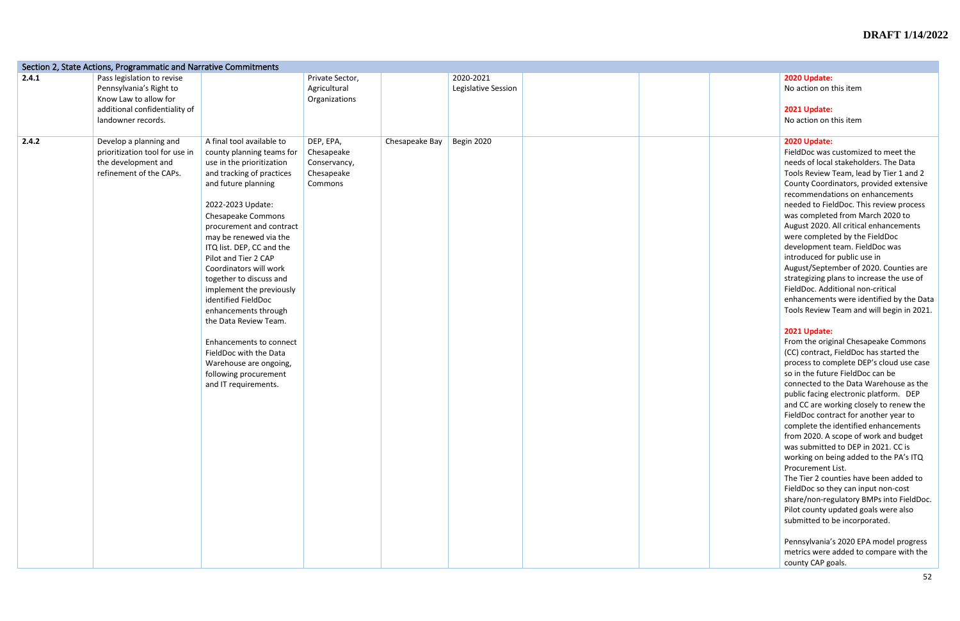|       | Section 2, State Actions, Programmatic and Narrative Commitments                                                                      |                                                                                                                                                                                                                                                                                                                                                                                                                                                                                                                                                                                        |                                                                  |                |                                  |                                                                                                                                                                                                                                                                                                                                                                                                                                                                                                                                                                                                                                                                                          |
|-------|---------------------------------------------------------------------------------------------------------------------------------------|----------------------------------------------------------------------------------------------------------------------------------------------------------------------------------------------------------------------------------------------------------------------------------------------------------------------------------------------------------------------------------------------------------------------------------------------------------------------------------------------------------------------------------------------------------------------------------------|------------------------------------------------------------------|----------------|----------------------------------|------------------------------------------------------------------------------------------------------------------------------------------------------------------------------------------------------------------------------------------------------------------------------------------------------------------------------------------------------------------------------------------------------------------------------------------------------------------------------------------------------------------------------------------------------------------------------------------------------------------------------------------------------------------------------------------|
| 2.4.1 | Pass legislation to revise<br>Pennsylvania's Right to<br>Know Law to allow for<br>additional confidentiality of<br>landowner records. |                                                                                                                                                                                                                                                                                                                                                                                                                                                                                                                                                                                        | Private Sector,<br>Agricultural<br>Organizations                 |                | 2020-2021<br>Legislative Session | 2020 Update:<br>No action on<br>2021 Update:<br>No action on                                                                                                                                                                                                                                                                                                                                                                                                                                                                                                                                                                                                                             |
| 2.4.2 | Develop a planning and<br>prioritization tool for use in<br>the development and<br>refinement of the CAPs.                            | A final tool available to<br>county planning teams for<br>use in the prioritization<br>and tracking of practices<br>and future planning<br>2022-2023 Update:<br>Chesapeake Commons<br>procurement and contract<br>may be renewed via the<br>ITQ list. DEP, CC and the<br>Pilot and Tier 2 CAP<br>Coordinators will work<br>together to discuss and<br>implement the previously<br>identified FieldDoc<br>enhancements through<br>the Data Review Team.<br>Enhancements to connect<br>FieldDoc with the Data<br>Warehouse are ongoing,<br>following procurement<br>and IT requirements. | DEP, EPA,<br>Chesapeake<br>Conservancy,<br>Chesapeake<br>Commons | Chesapeake Bay | Begin 2020                       | 2020 Update:<br>FieldDoc was<br>needs of local<br><b>Tools Review</b><br><b>County Coord</b><br>recommendat<br>needed to Fie<br>was complete<br>August 2020.<br>were complet<br>development<br>introduced fo<br>August/Septe<br>strategizing p<br>FieldDoc. Add<br>enhancement<br><b>Tools Review</b><br>2021 Update:<br>From the orig<br>(CC) contract,<br>process to cor<br>so in the futu<br>connected to<br>public facing<br>and CC are wo<br>FieldDoc cont<br>complete the<br>from 2020. A<br>was submitte<br>working on be<br>Procurement<br>The Tier 2 cou<br>FieldDoc so th<br>share/non-reg<br>Pilot county u<br>submitted to<br>Pennsylvania'<br>metrics were<br>county CAP go |

|  | 2020 Update:                                                                        |
|--|-------------------------------------------------------------------------------------|
|  | No action on this item                                                              |
|  |                                                                                     |
|  | 2021 Update:                                                                        |
|  | No action on this item                                                              |
|  |                                                                                     |
|  | 2020 Update:<br>FieldDoc was customized to meet the                                 |
|  | needs of local stakeholders. The Data                                               |
|  | Tools Review Team, lead by Tier 1 and 2                                             |
|  | County Coordinators, provided extensive                                             |
|  | recommendations on enhancements                                                     |
|  | needed to FieldDoc. This review process                                             |
|  | was completed from March 2020 to                                                    |
|  | August 2020. All critical enhancements                                              |
|  | were completed by the FieldDoc                                                      |
|  | development team. FieldDoc was                                                      |
|  | introduced for public use in<br>August/September of 2020. Counties are              |
|  | strategizing plans to increase the use of                                           |
|  | FieldDoc. Additional non-critical                                                   |
|  | enhancements were identified by the Data                                            |
|  | Tools Review Team and will begin in 2021.                                           |
|  |                                                                                     |
|  | 2021 Update:                                                                        |
|  | From the original Chesapeake Commons                                                |
|  | (CC) contract, FieldDoc has started the<br>process to complete DEP's cloud use case |
|  | so in the future FieldDoc can be                                                    |
|  | connected to the Data Warehouse as the                                              |
|  | public facing electronic platform. DEP                                              |
|  | and CC are working closely to renew the                                             |
|  | FieldDoc contract for another year to                                               |
|  | complete the identified enhancements                                                |
|  | from 2020. A scope of work and budget<br>was submitted to DEP in 2021. CC is        |
|  | working on being added to the PA's ITQ                                              |
|  | Procurement List.                                                                   |
|  | The Tier 2 counties have been added to                                              |
|  | FieldDoc so they can input non-cost                                                 |
|  | share/non-regulatory BMPs into FieldDoc.                                            |
|  | Pilot county updated goals were also                                                |
|  | submitted to be incorporated.                                                       |
|  | Pennsylvania's 2020 EPA model progress                                              |
|  | metrics were added to compare with the                                              |
|  | county CAP goals.                                                                   |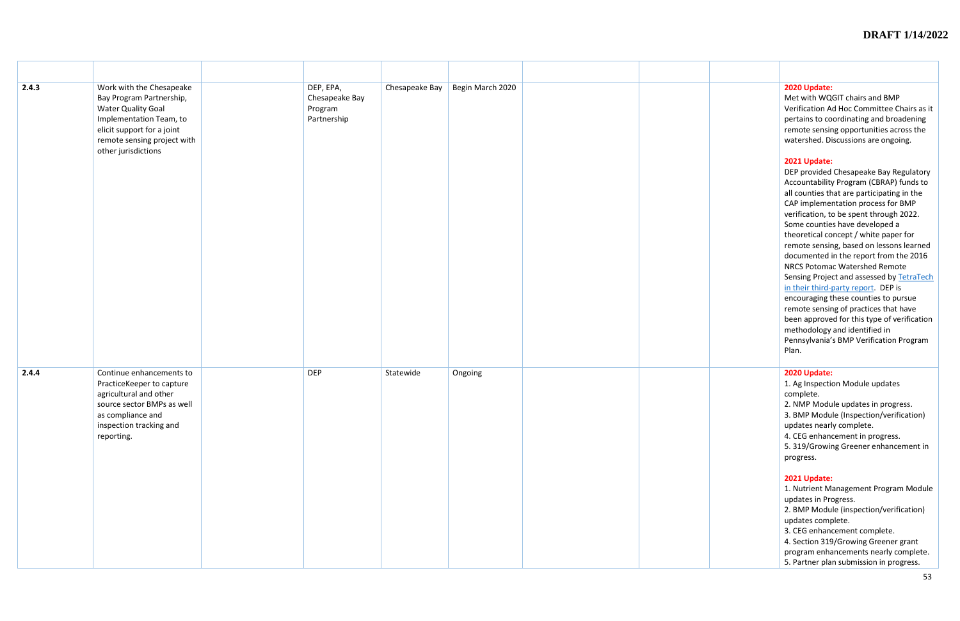| 2.4.3 | Work with the Chesapeake<br>Bay Program Partnership,<br><b>Water Quality Goal</b><br>Implementation Team, to<br>elicit support for a joint<br>remote sensing project with<br>other jurisdictions | DEP, EPA,<br>Chesapeake Bay<br>Program<br>Partnership | Chesapeake Bay | Begin March 2020 |  | 2020 Update:<br>Met with WQ<br>Verification A<br>pertains to co<br>remote sensir<br>watershed. Di<br>2021 Update:<br>DEP provided<br>Accountability<br>all counties th<br>CAP impleme<br>verification, to<br>Some countie<br>theoretical co<br>remote sensir<br>documented<br><b>NRCS Potoma</b><br>Sensing Proje<br>in their third-<br>encouraging t<br>remote sensir<br>been approve<br>methodology<br>Pennsylvania'<br>Plan. |
|-------|--------------------------------------------------------------------------------------------------------------------------------------------------------------------------------------------------|-------------------------------------------------------|----------------|------------------|--|---------------------------------------------------------------------------------------------------------------------------------------------------------------------------------------------------------------------------------------------------------------------------------------------------------------------------------------------------------------------------------------------------------------------------------|
| 2.4.4 | Continue enhancements to<br>PracticeKeeper to capture<br>agricultural and other<br>source sector BMPs as well<br>as compliance and<br>inspection tracking and<br>reporting.                      | <b>DEP</b>                                            | Statewide      | Ongoing          |  | 2020 Update:<br>1. Ag Inspecti<br>complete.<br>2. NMP Modu<br>3. BMP Modu<br>updates nearl<br>4. CEG enhan<br>5.319/Growi<br>progress.<br>2021 Update:<br>1. Nutrient M<br>updates in Pro<br>2. BMP Modu<br>updates comp<br>3. CEG enhand<br>4. Section 319<br>program enha<br>5. Partner pla                                                                                                                                   |

## Chesapeake Bay Begin March 2020 **2020 Update:** Met with WQGIT chairs and BMP Verification Ad Hoc Committee Chairs as it pertains to coordinating and broadening remote sensing opportunities across the watershed. Discussions are ongoing. **2021 Update:** DEP provided Chesapeake Bay Regulatory Accountability Program (CBRAP) funds to all counties that are participating in the CAP implementation process for BMP verification, to be spent through 2022. Some counties have developed a theoretical concept / white paper for remote sensing, based on lessons learned documented in the report from the 2016 NRCS Potomac Watershed Remote Sensing Project and assessed by [TetraTech](https://www.chesapeakebay.net/channel_files/24633/assessment_of_pilot_remote_sensing_12-13-2016.pdf)  in their third[-party report.](https://www.chesapeakebay.net/channel_files/24633/assessment_of_pilot_remote_sensing_12-13-2016.pdf) DEP is encouraging these counties to pursue remote sensing of practices that have been approved for this type of verification methodology and identified in Pennsylvania's BMP Verification Program Plan. 1. Ag Inspection Module updates complete. 2. NMP Module updates in progress. 3. BMP Module (Inspection/verification) updates nearly complete. 4. CEG enhancement in progress. 5. 319/Growing Greener enhancement in progress. **2021 Update:** 1. Nutrient Management Program Module updates in Progress. 2. BMP Module (inspection/verification) updates complete.

3. CEG enhancement complete.

4. Section 319/Growing Greener grant program enhancements nearly complete. 5. Partner plan submission in progress.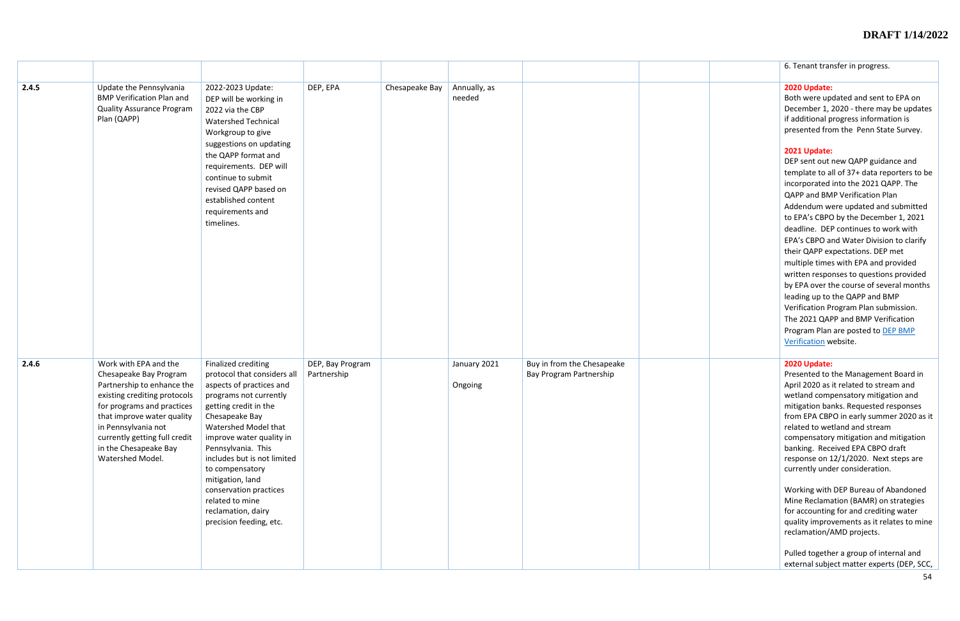|       |                                                                                                                                                                                                                                                                                |                                                                                                                                                                                                                                                                                                                                                                                                   |                                 |                |                         |                                                       | 6. Tenant transfer in progress.                                                                                                                                                                                                                                                                                                                                                                                                                                                                                                                                                                                                                                                                                                                                                                                                                                                         |
|-------|--------------------------------------------------------------------------------------------------------------------------------------------------------------------------------------------------------------------------------------------------------------------------------|---------------------------------------------------------------------------------------------------------------------------------------------------------------------------------------------------------------------------------------------------------------------------------------------------------------------------------------------------------------------------------------------------|---------------------------------|----------------|-------------------------|-------------------------------------------------------|-----------------------------------------------------------------------------------------------------------------------------------------------------------------------------------------------------------------------------------------------------------------------------------------------------------------------------------------------------------------------------------------------------------------------------------------------------------------------------------------------------------------------------------------------------------------------------------------------------------------------------------------------------------------------------------------------------------------------------------------------------------------------------------------------------------------------------------------------------------------------------------------|
| 2.4.5 | Update the Pennsylvania<br><b>BMP Verification Plan and</b><br><b>Quality Assurance Program</b><br>Plan (QAPP)                                                                                                                                                                 | 2022-2023 Update:<br>DEP will be working in<br>2022 via the CBP<br><b>Watershed Technical</b><br>Workgroup to give<br>suggestions on updating<br>the QAPP format and<br>requirements. DEP will<br>continue to submit<br>revised QAPP based on<br>established content<br>requirements and<br>timelines.                                                                                            | DEP, EPA                        | Chesapeake Bay | Annually, as<br>needed  |                                                       | 2020 Update:<br>Both were updated and sent to EPA on<br>December 1, 2020 - there may be updates<br>if additional progress information is<br>presented from the Penn State Survey.<br>2021 Update:<br>DEP sent out new QAPP guidance and<br>template to all of 37+ data reporters to be<br>incorporated into the 2021 QAPP. The<br>QAPP and BMP Verification Plan<br>Addendum were updated and submitted<br>to EPA's CBPO by the December 1, 2021<br>deadline. DEP continues to work with<br>EPA's CBPO and Water Division to clarify<br>their QAPP expectations. DEP met<br>multiple times with EPA and provided<br>written responses to questions provided<br>by EPA over the course of several months<br>leading up to the QAPP and BMP<br>Verification Program Plan submission.<br>The 2021 QAPP and BMP Verification<br>Program Plan are posted to DEP BMP<br>Verification website. |
| 2.4.6 | Work with EPA and the<br>Chesapeake Bay Program<br>Partnership to enhance the<br>existing crediting protocols<br>for programs and practices<br>that improve water quality<br>in Pennsylvania not<br>currently getting full credit<br>in the Chesapeake Bay<br>Watershed Model. | Finalized crediting<br>protocol that considers all<br>aspects of practices and<br>programs not currently<br>getting credit in the<br>Chesapeake Bay<br>Watershed Model that<br>improve water quality in<br>Pennsylvania. This<br>includes but is not limited<br>to compensatory<br>mitigation, land<br>conservation practices<br>related to mine<br>reclamation, dairy<br>precision feeding, etc. | DEP, Bay Program<br>Partnership |                | January 2021<br>Ongoing | Buy in from the Chesapeake<br>Bay Program Partnership | 2020 Update:<br>Presented to the Management Board in<br>April 2020 as it related to stream and<br>wetland compensatory mitigation and<br>mitigation banks. Requested responses<br>from EPA CBPO in early summer 2020 as it<br>related to wetland and stream<br>compensatory mitigation and mitigation<br>banking. Received EPA CBPO draft<br>response on 12/1/2020. Next steps are<br>currently under consideration.<br>Working with DEP Bureau of Abandoned<br>Mine Reclamation (BAMR) on strategies<br>for accounting for and crediting water<br>quality improvements as it relates to mine<br>reclamation/AMD projects.<br>Pulled together a group of internal and<br>external subject matter experts (DEP, SCC,                                                                                                                                                                     |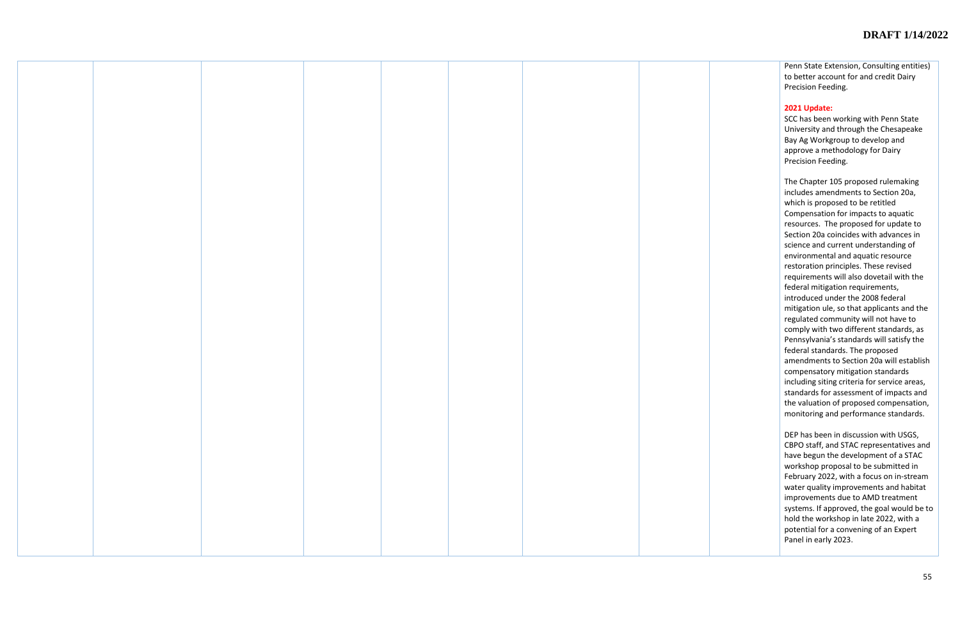Penn State Extension, Consulting entities) to better account for and credit Dairy Precision Feeding.

#### **2021 Update:**

SCC has been working with Penn State University and through the Chesapeake Bay Ag Workgroup to develop and approve a methodology for Dairy Precision Feeding.

The Chapter 105 proposed rulemaking includes amendments to Section 20a, which is proposed to be retitled Compensation for impacts to aquatic resources. The proposed for update to Section 20a coincides with advances in science and current understanding of environmental and aquatic resource restoration principles. These revised requirements will also dovetail with the federal mitigation requirements, introduced under the 2008 federal mitigation ule, so that applicants and the regulated community will not have to comply with two different standards, as Pennsylvania's standards will satisfy the federal standards. The proposed amendments to Section 20a will establish compensatory mitigation standards including siting criteria for service areas, standards for assessment of impacts and the valuation of proposed compensation, monitoring and performance standards.

DEP has been in discussion with USGS, CBPO staff, and STAC representatives and have begun the development of a STAC workshop proposal to be submitted in February 2022, with a focus on in-stream water quality improvements and habitat improvements due to AMD treatment systems. If approved, the goal would be to hold the workshop in late 2022, with a potential for a convening of an Expert Panel in early 2023.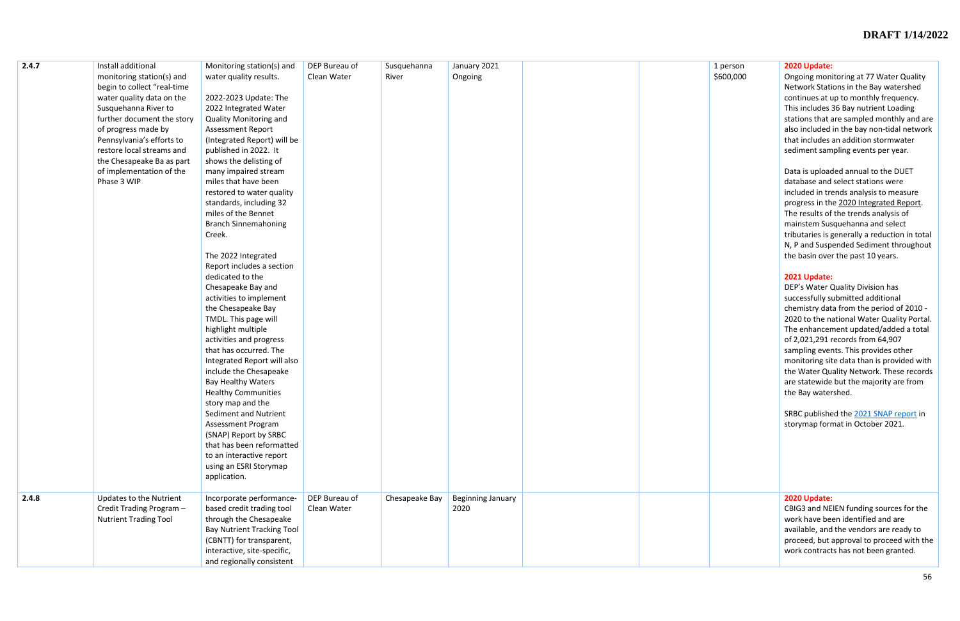| 2.4.7 | Install additional           | Monitoring station(s) and         | DEP Bureau of | Susquehanna    | January 2021      |  |
|-------|------------------------------|-----------------------------------|---------------|----------------|-------------------|--|
|       | monitoring station(s) and    | water quality results.            | Clean Water   | River          | Ongoing           |  |
|       | begin to collect "real-time  |                                   |               |                |                   |  |
|       | water quality data on the    | 2022-2023 Update: The             |               |                |                   |  |
|       | Susquehanna River to         | 2022 Integrated Water             |               |                |                   |  |
|       | further document the story   | <b>Quality Monitoring and</b>     |               |                |                   |  |
|       | of progress made by          | <b>Assessment Report</b>          |               |                |                   |  |
|       | Pennsylvania's efforts to    | (Integrated Report) will be       |               |                |                   |  |
|       | restore local streams and    | published in 2022. It             |               |                |                   |  |
|       | the Chesapeake Ba as part    | shows the delisting of            |               |                |                   |  |
|       | of implementation of the     | many impaired stream              |               |                |                   |  |
|       | Phase 3 WIP                  | miles that have been              |               |                |                   |  |
|       |                              | restored to water quality         |               |                |                   |  |
|       |                              | standards, including 32           |               |                |                   |  |
|       |                              | miles of the Bennet               |               |                |                   |  |
|       |                              | <b>Branch Sinnemahoning</b>       |               |                |                   |  |
|       |                              | Creek.                            |               |                |                   |  |
|       |                              |                                   |               |                |                   |  |
|       |                              | The 2022 Integrated               |               |                |                   |  |
|       |                              | Report includes a section         |               |                |                   |  |
|       |                              | dedicated to the                  |               |                |                   |  |
|       |                              | Chesapeake Bay and                |               |                |                   |  |
|       |                              | activities to implement           |               |                |                   |  |
|       |                              | the Chesapeake Bay                |               |                |                   |  |
|       |                              | TMDL. This page will              |               |                |                   |  |
|       |                              | highlight multiple                |               |                |                   |  |
|       |                              | activities and progress           |               |                |                   |  |
|       |                              | that has occurred. The            |               |                |                   |  |
|       |                              | Integrated Report will also       |               |                |                   |  |
|       |                              | include the Chesapeake            |               |                |                   |  |
|       |                              | <b>Bay Healthy Waters</b>         |               |                |                   |  |
|       |                              | <b>Healthy Communities</b>        |               |                |                   |  |
|       |                              | story map and the                 |               |                |                   |  |
|       |                              | Sediment and Nutrient             |               |                |                   |  |
|       |                              | <b>Assessment Program</b>         |               |                |                   |  |
|       |                              | (SNAP) Report by SRBC             |               |                |                   |  |
|       |                              | that has been reformatted         |               |                |                   |  |
|       |                              | to an interactive report          |               |                |                   |  |
|       |                              | using an ESRI Storymap            |               |                |                   |  |
|       |                              | application.                      |               |                |                   |  |
|       |                              |                                   |               |                |                   |  |
| 2.4.8 | Updates to the Nutrient      | Incorporate performance-          | DEP Bureau of | Chesapeake Bay | Beginning January |  |
|       | Credit Trading Program -     | based credit trading tool         | Clean Water   |                | 2020              |  |
|       | <b>Nutrient Trading Tool</b> | through the Chesapeake            |               |                |                   |  |
|       |                              | <b>Bay Nutrient Tracking Tool</b> |               |                |                   |  |
|       |                              | (CBNTT) for transparent,          |               |                |                   |  |
|       |                              | interactive, site-specific,       |               |                |                   |  |
|       |                              | and regionally consistent         |               |                |                   |  |

| 1 person<br>\$600,000 | 2020 Update:<br>Ongoing monitoring at 77 Water Quality<br>Network Stations in the Bay watershed<br>continues at up to monthly frequency.<br>This includes 36 Bay nutrient Loading<br>stations that are sampled monthly and are<br>also included in the bay non-tidal network<br>that includes an addition stormwater<br>sediment sampling events per year.<br>Data is uploaded annual to the DUET<br>database and select stations were<br>included in trends analysis to measure<br>progress in the 2020 Integrated Report.<br>The results of the trends analysis of<br>mainstem Susquehanna and select<br>tributaries is generally a reduction in total<br>N, P and Suspended Sediment throughout<br>the basin over the past 10 years.<br>2021 Update:<br>DEP's Water Quality Division has<br>successfully submitted additional<br>chemistry data from the period of 2010 -<br>2020 to the national Water Quality Portal.<br>The enhancement updated/added a total<br>of 2,021,291 records from 64,907<br>sampling events. This provides other<br>monitoring site data than is provided with<br>the Water Quality Network. These records<br>are statewide but the majority are from<br>the Bay watershed.<br>SRBC published the 2021 SNAP report in<br>storymap format in October 2021. |
|-----------------------|------------------------------------------------------------------------------------------------------------------------------------------------------------------------------------------------------------------------------------------------------------------------------------------------------------------------------------------------------------------------------------------------------------------------------------------------------------------------------------------------------------------------------------------------------------------------------------------------------------------------------------------------------------------------------------------------------------------------------------------------------------------------------------------------------------------------------------------------------------------------------------------------------------------------------------------------------------------------------------------------------------------------------------------------------------------------------------------------------------------------------------------------------------------------------------------------------------------------------------------------------------------------------------------|
|                       | 2020 Update:<br>CBIG3 and NEIEN funding sources for the<br>work have been identified and are<br>available, and the vendors are ready to<br>proceed, but approval to proceed with the<br>work contracts has not been granted.                                                                                                                                                                                                                                                                                                                                                                                                                                                                                                                                                                                                                                                                                                                                                                                                                                                                                                                                                                                                                                                             |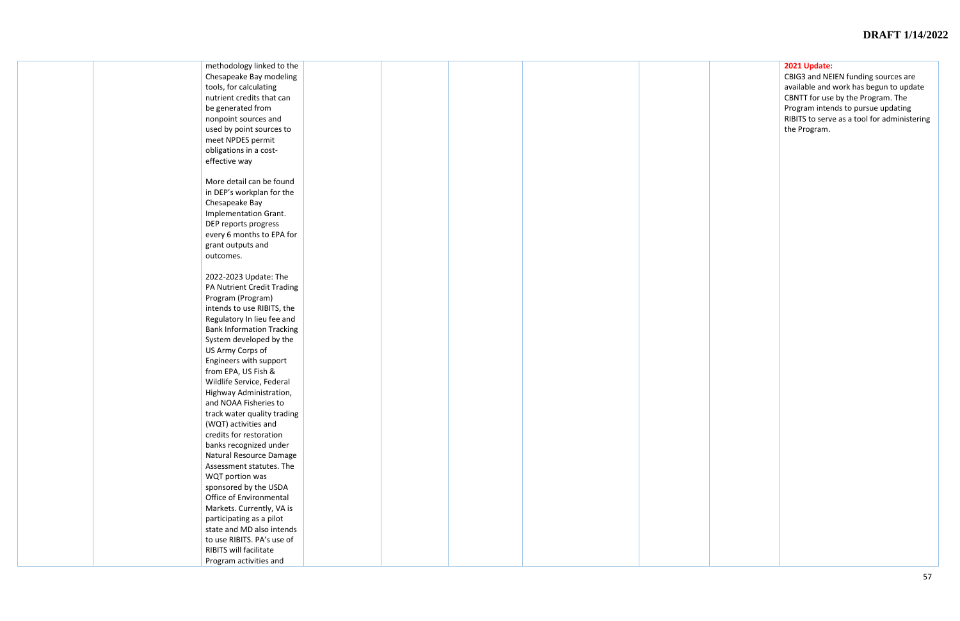|  | methodology linked to the        |  |  |  |
|--|----------------------------------|--|--|--|
|  | Chesapeake Bay modeling          |  |  |  |
|  | tools, for calculating           |  |  |  |
|  | nutrient credits that can        |  |  |  |
|  |                                  |  |  |  |
|  | be generated from                |  |  |  |
|  | nonpoint sources and             |  |  |  |
|  | used by point sources to         |  |  |  |
|  | meet NPDES permit                |  |  |  |
|  | obligations in a cost-           |  |  |  |
|  | effective way                    |  |  |  |
|  |                                  |  |  |  |
|  | More detail can be found         |  |  |  |
|  | in DEP's workplan for the        |  |  |  |
|  | Chesapeake Bay                   |  |  |  |
|  |                                  |  |  |  |
|  | Implementation Grant.            |  |  |  |
|  | DEP reports progress             |  |  |  |
|  | every 6 months to EPA for        |  |  |  |
|  | grant outputs and                |  |  |  |
|  | outcomes.                        |  |  |  |
|  |                                  |  |  |  |
|  | 2022-2023 Update: The            |  |  |  |
|  | PA Nutrient Credit Trading       |  |  |  |
|  | Program (Program)                |  |  |  |
|  | intends to use RIBITS, the       |  |  |  |
|  | Regulatory In lieu fee and       |  |  |  |
|  | <b>Bank Information Tracking</b> |  |  |  |
|  | System developed by the          |  |  |  |
|  |                                  |  |  |  |
|  | US Army Corps of                 |  |  |  |
|  | Engineers with support           |  |  |  |
|  | from EPA, US Fish &              |  |  |  |
|  | Wildlife Service, Federal        |  |  |  |
|  | Highway Administration,          |  |  |  |
|  | and NOAA Fisheries to            |  |  |  |
|  | track water quality trading      |  |  |  |
|  | (WQT) activities and             |  |  |  |
|  | credits for restoration          |  |  |  |
|  | banks recognized under           |  |  |  |
|  | Natural Resource Damage          |  |  |  |
|  | Assessment statutes. The         |  |  |  |
|  | WQT portion was                  |  |  |  |
|  | sponsored by the USDA            |  |  |  |
|  |                                  |  |  |  |
|  | Office of Environmental          |  |  |  |
|  | Markets. Currently, VA is        |  |  |  |
|  | participating as a pilot         |  |  |  |
|  | state and MD also intends        |  |  |  |
|  | to use RIBITS. PA's use of       |  |  |  |
|  | RIBITS will facilitate           |  |  |  |
|  | Program activities and           |  |  |  |

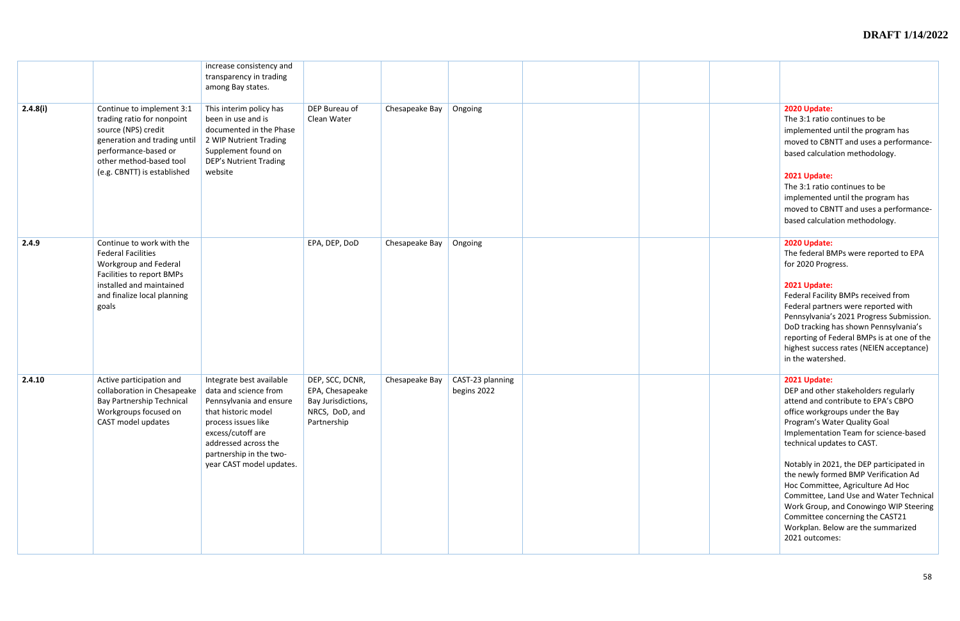|          |                                                                                                                                                                                                  | increase consistency and<br>transparency in trading<br>among Bay states.                                                                                                                                                       |                                                                                           |                |                                 |  |                                                                                                                                                                                                                                                |
|----------|--------------------------------------------------------------------------------------------------------------------------------------------------------------------------------------------------|--------------------------------------------------------------------------------------------------------------------------------------------------------------------------------------------------------------------------------|-------------------------------------------------------------------------------------------|----------------|---------------------------------|--|------------------------------------------------------------------------------------------------------------------------------------------------------------------------------------------------------------------------------------------------|
| 2.4.8(i) | Continue to implement 3:1<br>trading ratio for nonpoint<br>source (NPS) credit<br>generation and trading until<br>performance-based or<br>other method-based tool<br>(e.g. CBNTT) is established | This interim policy has<br>been in use and is<br>documented in the Phase<br>2 WIP Nutrient Trading<br>Supplement found on<br><b>DEP's Nutrient Trading</b><br>website                                                          | DEP Bureau of<br>Clean Water                                                              | Chesapeake Bay | Ongoing                         |  | 2020 Update:<br>The 3:1 ratio<br>implemented<br>moved to CBN<br>based calcula<br>2021 Update:<br>The 3:1 ratio<br>implemented<br>moved to CBN<br>based calcula                                                                                 |
| 2.4.9    | Continue to work with the<br><b>Federal Facilities</b><br>Workgroup and Federal<br>Facilities to report BMPs<br>installed and maintained<br>and finalize local planning<br>goals                 |                                                                                                                                                                                                                                | EPA, DEP, DoD                                                                             | Chesapeake Bay | Ongoing                         |  | 2020 Update:<br>The federal B<br>for 2020 Prog<br>2021 Update:<br><b>Federal Facilit</b><br>Federal partn<br>Pennsylvania'<br>DoD tracking<br>reporting of F<br>highest succe<br>in the watersl                                                |
| 2.4.10   | Active participation and<br>collaboration in Chesapeake<br><b>Bay Partnership Technical</b><br>Workgroups focused on<br>CAST model updates                                                       | Integrate best available<br>data and science from<br>Pennsylvania and ensure<br>that historic model<br>process issues like<br>excess/cutoff are<br>addressed across the<br>partnership in the two-<br>year CAST model updates. | DEP, SCC, DCNR,<br>EPA, Chesapeake<br>Bay Jurisdictions,<br>NRCS, DoD, and<br>Partnership | Chesapeake Bay | CAST-23 planning<br>begins 2022 |  | 2021 Update:<br>DEP and othe<br>attend and co<br>office workgr<br>Program's Wa<br>Implementati<br>technical upd<br>Notably in 20<br>the newly for<br>Hoc Committ<br>Committee, L<br>Work Group,<br>Committee co<br>Workplan. Be<br>2021 outcom |

| 2020 Update:<br>The 3:1 ratio continues to be<br>implemented until the program has<br>moved to CBNTT and uses a performance-<br>based calculation methodology.                                                                                                                                        |
|-------------------------------------------------------------------------------------------------------------------------------------------------------------------------------------------------------------------------------------------------------------------------------------------------------|
| 2021 Update:<br>The 3:1 ratio continues to be<br>implemented until the program has<br>moved to CBNTT and uses a performance-<br>based calculation methodology.                                                                                                                                        |
| 2020 Update:<br>The federal BMPs were reported to EPA<br>for 2020 Progress.                                                                                                                                                                                                                           |
| 2021 Update:<br>Federal Facility BMPs received from<br>Federal partners were reported with<br>Pennsylvania's 2021 Progress Submission.<br>DoD tracking has shown Pennsylvania's<br>reporting of Federal BMPs is at one of the<br>highest success rates (NEIEN acceptance)<br>in the watershed.        |
| 2021 Update:<br>DEP and other stakeholders regularly<br>attend and contribute to EPA's CBPO<br>office workgroups under the Bay<br>Program's Water Quality Goal<br>Implementation Team for science-based<br>technical updates to CAST.                                                                 |
| Notably in 2021, the DEP participated in<br>the newly formed BMP Verification Ad<br>Hoc Committee, Agriculture Ad Hoc<br>Committee, Land Use and Water Technical<br>Work Group, and Conowingo WIP Steering<br>Committee concerning the CAST21<br>Workplan. Below are the summarized<br>2021 outcomes: |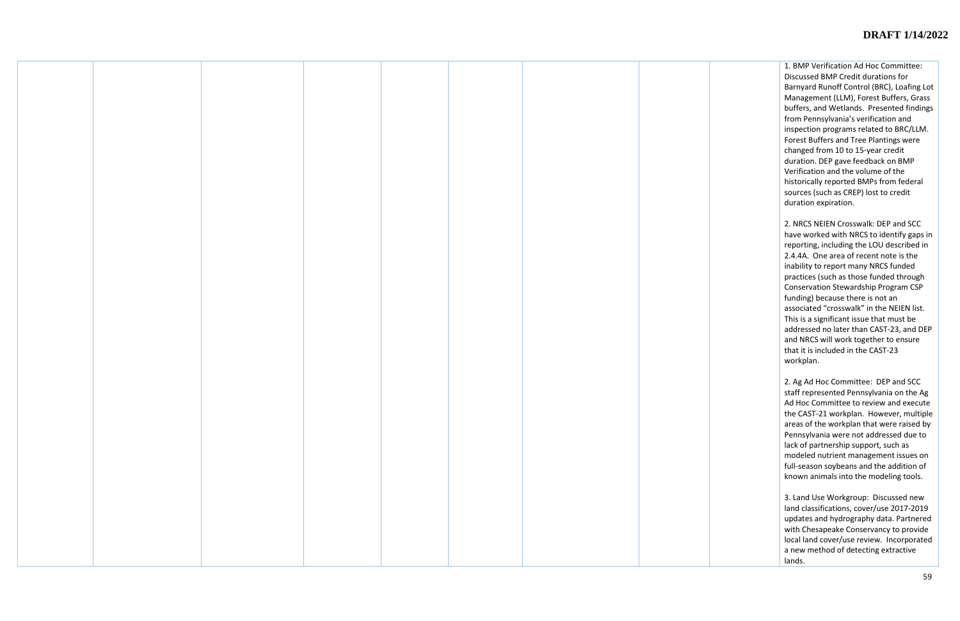1. BMP Verification Ad Hoc Committee: Discussed BMP Credit durations for Barnyard Runoff Control (BRC), Loafing Lot Management (LLM), Forest Buffers, Grass buffers, and Wetlands. Presented findings from Pennsylvania's verification and inspection programs related to BRC/LLM. Forest Buffers and Tree Plantings were changed from 10 to 15-year credit duration. DEP gave feedback on BMP Verification and the volume of the historically reported BMPs from federal sources (such as CREP) lost to credit duration expiration.

2. NRCS NEIEN Crosswalk: DEP and SCC have worked with NRCS to identify gaps in reporting, including the LOU described in 2.4.4A. One area of recent note is the inability to report many NRCS funded practices (such as those funded through Conservation Stewardship Program CSP funding) because there is not an associated "crosswalk" in the NEIEN list. This is a significant issue that must be addressed no later than CAST-23, and DEP and NRCS will work together to ensure that it is included in the CAST-23 workplan.

2. Ag Ad Hoc Committee: DEP and SCC staff represented Pennsylvania on the Ag Ad Hoc Committee to review and execute the CAST-21 workplan. However, multiple areas of the workplan that were raised by Pennsylvania were not addressed due to lack of partnership support, such as modeled nutrient management issues on full-season soybeans and the addition of known animals into the modeling tools.

3. Land Use Workgroup: Discussed new land classifications, cover/use 2017-2019 updates and hydrography data. Partnered with Chesapeake Conservancy to provide local land cover/use review. Incorporated a new method of detecting extractive lands.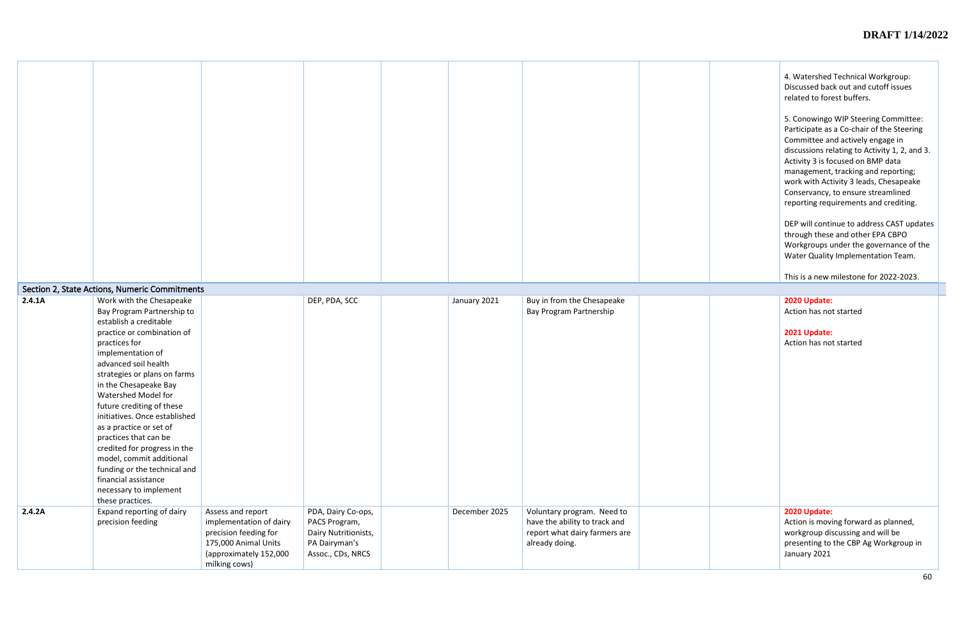| 4. Watershed Technical Workgroup:    |
|--------------------------------------|
| Discussed back out and cutoff issues |
| related to forest buffers.           |

5. Conowingo WIP Steering Committee: Participate as a Co-chair of the Steering Committee and actively engage in discussions relating to Activity 1, 2, and 3. Activity 3 is focused on BMP data management, tracking and reporting; work with Activity 3 leads, Chesapeake Conservancy, to ensure streamlined reporting requirements and crediting.

DEP will continue to address CAST updates through these and other EPA CBPO Workgroups under the governance of the Water Quality Implementation Team.

This is a new milestone for 2022-2023.

| 2.4.1A | Section 2, State Actions, Numeric Commitments<br>Work with the Chesapeake                                                                                                                                                                                                                                                                                                                                                                                                                                            |                                                                                                                                          | DEP, PDA, SCC                                                                                     | January 2021  | Buy in from the Chesapeake                                                                                     |  |
|--------|----------------------------------------------------------------------------------------------------------------------------------------------------------------------------------------------------------------------------------------------------------------------------------------------------------------------------------------------------------------------------------------------------------------------------------------------------------------------------------------------------------------------|------------------------------------------------------------------------------------------------------------------------------------------|---------------------------------------------------------------------------------------------------|---------------|----------------------------------------------------------------------------------------------------------------|--|
|        | Bay Program Partnership to<br>establish a creditable<br>practice or combination of<br>practices for<br>implementation of<br>advanced soil health<br>strategies or plans on farms<br>in the Chesapeake Bay<br>Watershed Model for<br>future crediting of these<br>initiatives. Once established<br>as a practice or set of<br>practices that can be<br>credited for progress in the<br>model, commit additional<br>funding or the technical and<br>financial assistance<br>necessary to implement<br>these practices. |                                                                                                                                          |                                                                                                   |               | Bay Program Partnership                                                                                        |  |
| 2.4.2A | Expand reporting of dairy<br>precision feeding                                                                                                                                                                                                                                                                                                                                                                                                                                                                       | Assess and report<br>implementation of dairy<br>precision feeding for<br>175,000 Animal Units<br>(approximately 152,000<br>milking cows) | PDA, Dairy Co-ops,<br>PACS Program,<br>Dairy Nutritionists,<br>PA Dairyman's<br>Assoc., CDs, NRCS | December 2025 | Voluntary program. Need to<br>have the ability to track and<br>report what dairy farmers are<br>already doing. |  |

| 2020 Update:                                                                                                                                      |  |
|---------------------------------------------------------------------------------------------------------------------------------------------------|--|
| Action has not started                                                                                                                            |  |
|                                                                                                                                                   |  |
| 2021 Update:                                                                                                                                      |  |
| Action has not started                                                                                                                            |  |
|                                                                                                                                                   |  |
|                                                                                                                                                   |  |
|                                                                                                                                                   |  |
|                                                                                                                                                   |  |
|                                                                                                                                                   |  |
|                                                                                                                                                   |  |
|                                                                                                                                                   |  |
|                                                                                                                                                   |  |
|                                                                                                                                                   |  |
|                                                                                                                                                   |  |
|                                                                                                                                                   |  |
|                                                                                                                                                   |  |
|                                                                                                                                                   |  |
|                                                                                                                                                   |  |
|                                                                                                                                                   |  |
|                                                                                                                                                   |  |
|                                                                                                                                                   |  |
|                                                                                                                                                   |  |
|                                                                                                                                                   |  |
|                                                                                                                                                   |  |
| 2020 Update:<br>Action is moving forward as planned,<br>workgroup discussing and will be<br>presenting to the CBP Ag Workgroup in<br>January 2021 |  |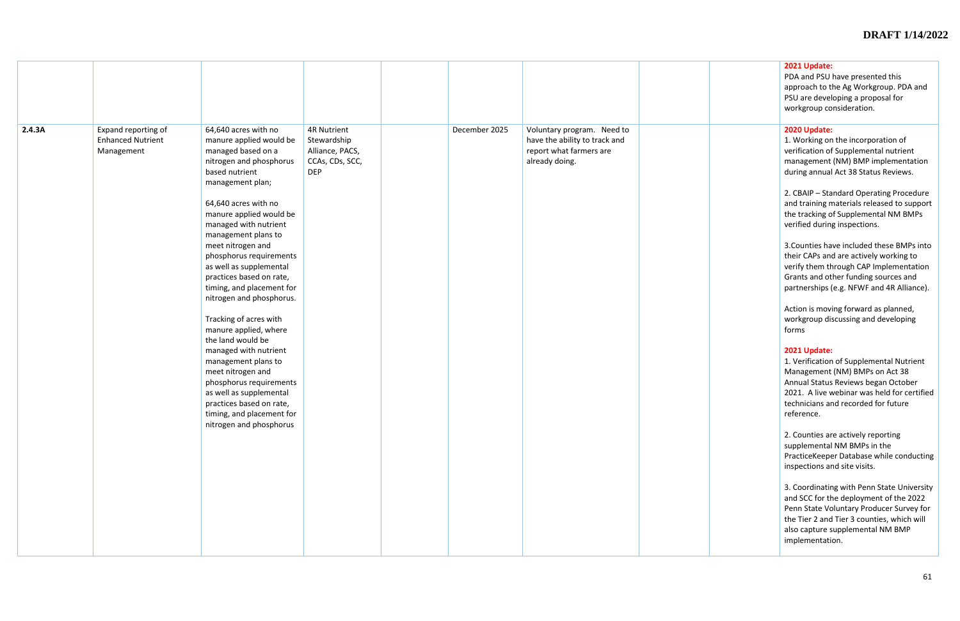| 2.4.3A | Expand reporting of<br><b>Enhanced Nutrient</b><br>Management | 64,640 acres with no<br>manure applied would be<br>managed based on a<br>nitrogen and phosphorus<br>based nutrient<br>management plan;<br>64,640 acres with no<br>manure applied would be<br>managed with nutrient<br>management plans to<br>meet nitrogen and<br>phosphorus requirements<br>as well as supplemental<br>practices based on rate,<br>timing, and placement for<br>nitrogen and phosphorus.<br>Tracking of acres with<br>manure applied, where<br>the land would be<br>managed with nutrient<br>management plans to<br>meet nitrogen and<br>phosphorus requirements<br>as well as supplemental<br>practices based on rate,<br>timing, and placement for<br>nitrogen and phosphorus | <b>4R Nutrient</b><br>Stewardship<br>Alliance, PACS,<br>CCAs, CDs, SCC,<br><b>DEP</b> | December 2025 | Voluntary program. Need to<br>have the ability to track and<br>report what farmers are<br>already doing. |  |
|--------|---------------------------------------------------------------|--------------------------------------------------------------------------------------------------------------------------------------------------------------------------------------------------------------------------------------------------------------------------------------------------------------------------------------------------------------------------------------------------------------------------------------------------------------------------------------------------------------------------------------------------------------------------------------------------------------------------------------------------------------------------------------------------|---------------------------------------------------------------------------------------|---------------|----------------------------------------------------------------------------------------------------------|--|

|  | 2021 Update:<br>PDA and PSU have presented this<br>approach to the Ag Workgroup. PDA and<br>PSU are developing a proposal for<br>workgroup consideration.                                                                             |  |
|--|---------------------------------------------------------------------------------------------------------------------------------------------------------------------------------------------------------------------------------------|--|
|  | 2020 Update:<br>1. Working on the incorporation of<br>verification of Supplemental nutrient<br>management (NM) BMP implementation<br>during annual Act 38 Status Reviews.                                                             |  |
|  | 2. CBAIP - Standard Operating Procedure<br>and training materials released to support<br>the tracking of Supplemental NM BMPs<br>verified during inspections.                                                                         |  |
|  | 3. Counties have included these BMPs into<br>their CAPs and are actively working to<br>verify them through CAP Implementation<br>Grants and other funding sources and<br>partnerships (e.g. NFWF and 4R Alliance).                    |  |
|  | Action is moving forward as planned,<br>workgroup discussing and developing<br>forms                                                                                                                                                  |  |
|  | 2021 Update:<br>1. Verification of Supplemental Nutrient<br>Management (NM) BMPs on Act 38<br>Annual Status Reviews began October<br>2021. A live webinar was held for certified<br>technicians and recorded for future<br>reference. |  |
|  | 2. Counties are actively reporting<br>supplemental NM BMPs in the<br>PracticeKeeper Database while conducting<br>inspections and site visits.                                                                                         |  |
|  | 3. Coordinating with Penn State University<br>and SCC for the deployment of the 2022<br>Penn State Voluntary Producer Survey for<br>the Tier 2 and Tier 3 counties, which will<br>also capture supplemental NM BMP<br>implementation. |  |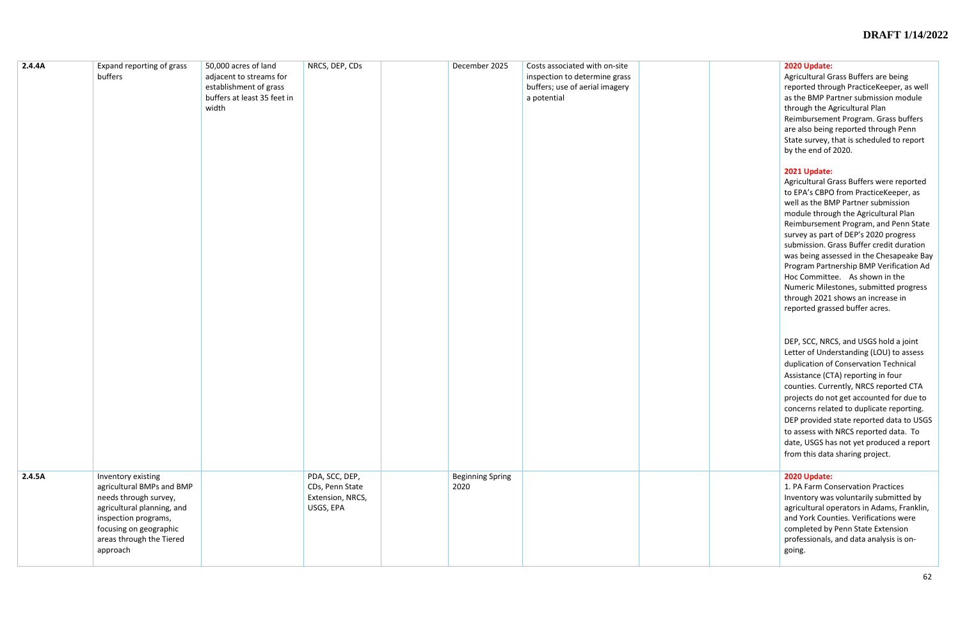#### **2020 Update:**

Agricultural Grass Buffers are being reported through PracticeKeeper, as well as the BMP Partner submission module through the Agricultural Plan Reimbursement Program. Grass buffers are also being reported through Penn State survey, that is scheduled to report by the end of 2020.

#### **2021 Update:**

Agricultural Grass Buffers were reported to EPA's CBPO from PracticeKeeper, as well as the BMP Partner submission module through the Agricultural Plan Reimbursement Program, and Penn State survey as part of DEP's 2020 progress submission. Grass Buffer credit duration was being assessed in the Chesapeake Bay Program Partnership BMP Verification Ad Hoc Committee. As shown in the Numeric Milestones, submitted progress through 2021 shows an increase in reported grassed buffer acres.

| 2.4.4A | Expand reporting of grass<br>buffers                                                                                                                                                             | 50,000 acres of land<br>adjacent to streams for<br>establishment of grass<br>buffers at least 35 feet in<br>width | NRCS, DEP, CDs                                                     | December 2025                   | Costs associated with on-site<br>inspection to determine grass<br>buffers; use of aerial imagery<br>a potential |  |
|--------|--------------------------------------------------------------------------------------------------------------------------------------------------------------------------------------------------|-------------------------------------------------------------------------------------------------------------------|--------------------------------------------------------------------|---------------------------------|-----------------------------------------------------------------------------------------------------------------|--|
| 2.4.5A | Inventory existing<br>agricultural BMPs and BMP<br>needs through survey,<br>agricultural planning, and<br>inspection programs,<br>focusing on geographic<br>areas through the Tiered<br>approach |                                                                                                                   | PDA, SCC, DEP,<br>CDs, Penn State<br>Extension, NRCS,<br>USGS, EPA | <b>Beginning Spring</b><br>2020 |                                                                                                                 |  |

DEP, SCC, NRCS, and USGS hold a joint Letter of Understanding (LOU) to assess duplication of Conservation Technical Assistance (CTA) reporting in four counties. Currently, NRCS reported CTA projects do not get accounted for due to concerns related to duplicate reporting. DEP provided state reported data to USGS to assess with NRCS reported data. To date, USGS has not yet produced a report from this data sharing project.

#### **2020 Update:**

1. PA Farm Conservation Practices Inventory was voluntarily submitted by agricultural operators in Adams, Franklin, and York Counties. Verifications were completed by Penn State Extension professionals, and data analysis is ongoing.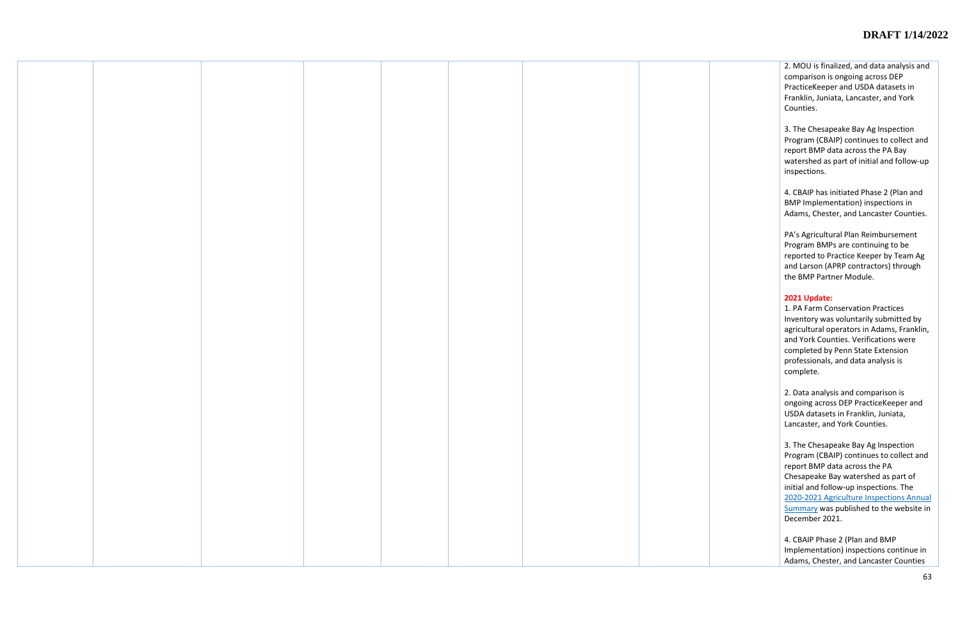2. MOU is finalized, and data analysis and comparison is ongoing across DEP PracticeKeeper and USDA datasets in Franklin, Juniata, Lancaster, and York Counties.

3. The Chesapeake Bay Ag Inspection Program (CBAIP) continues to collect and report BMP data across the PA Bay watershed as part of initial and follow-up inspections.

4. CBAIP has initiated Phase 2 (Plan and BMP Implementation) inspections in Adams, Chester, and Lancaster Counties.

PA's Agricultural Plan Reimbursement Program BMPs are continuing to be reported to Practice Keeper by Team Ag and Larson (APRP contractors) through the BMP Partner Module.

### **2021 Update:**

1. PA Farm Conservation Practices Inventory was voluntarily submitted by agricultural operators in Adams, Franklin, and York Counties. Verifications were completed by Penn State Extension professionals, and data analysis is complete.

2. Data analysis and comparison is ongoing across DEP PracticeKeeper and USDA datasets in Franklin, Juniata, Lancaster, and York Counties.

3. The Chesapeake Bay Ag Inspection Program (CBAIP) continues to collect and report BMP data across the PA Chesapeake Bay watershed as part of initial and follow-up inspections. The [2020-2021 Agriculture Inspections Annual](https://files.dep.state.pa.us/Water/ChesapeakeBayOffice/FINAL_CBAIP_AnnualSummary_2021.pdf)  [Summary](https://files.dep.state.pa.us/Water/ChesapeakeBayOffice/FINAL_CBAIP_AnnualSummary_2021.pdf) was published to the website in December 2021.

4. CBAIP Phase 2 (Plan and BMP Implementation) inspections continue in Adams, Chester, and Lancaster Counties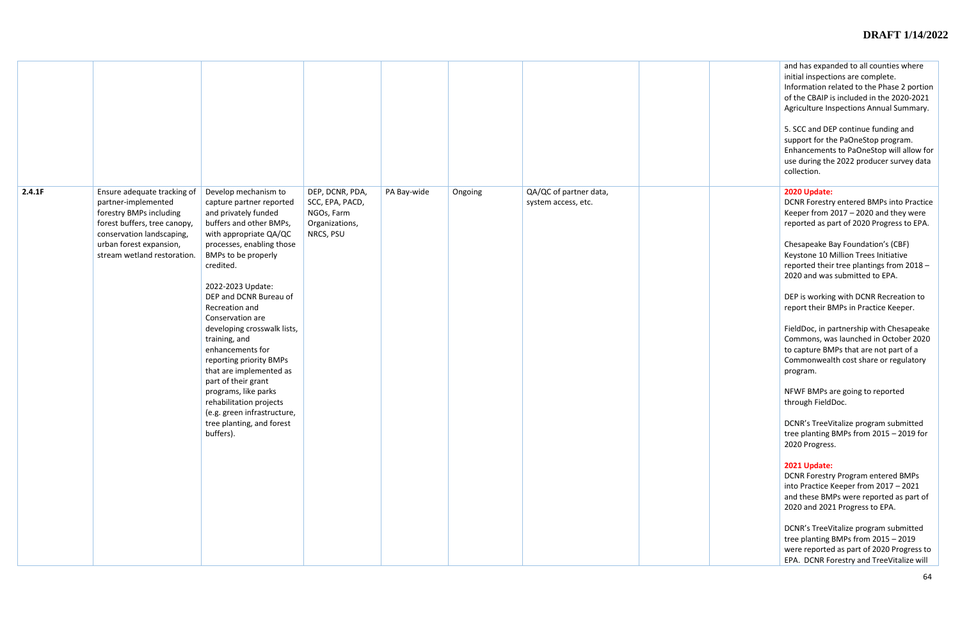| 2.4.1F | Ensure adequate tracking of<br>partner-implemented<br>forestry BMPs including<br>forest buffers, tree canopy,<br>conservation landscaping,<br>urban forest expansion,<br>stream wetland restoration. | Develop mechanism to<br>capture partner reported<br>and privately funded<br>buffers and other BMPs,<br>with appropriate QA/QC<br>processes, enabling those<br>BMPs to be properly<br>credited.<br>2022-2023 Update:<br>DEP and DCNR Bureau of<br>Recreation and<br>Conservation are<br>developing crosswalk lists,<br>training, and<br>enhancements for<br>reporting priority BMPs<br>that are implemented as<br>part of their grant<br>programs, like parks<br>rehabilitation projects<br>(e.g. green infrastructure,<br>tree planting, and forest<br>buffers). | DEP, DCNR, PDA,<br>SCC, EPA, PACD,<br>NGOs, Farm<br>Organizations,<br>NRCS, PSU | PA Bay-wide | Ongoing | QA/QC of partner data,<br>system access, etc. |  |
|--------|------------------------------------------------------------------------------------------------------------------------------------------------------------------------------------------------------|------------------------------------------------------------------------------------------------------------------------------------------------------------------------------------------------------------------------------------------------------------------------------------------------------------------------------------------------------------------------------------------------------------------------------------------------------------------------------------------------------------------------------------------------------------------|---------------------------------------------------------------------------------|-------------|---------|-----------------------------------------------|--|

| and has expanded to all counties where<br>initial inspections are complete.<br>Information related to the Phase 2 portion<br>of the CBAIP is included in the 2020-2021<br>Agriculture Inspections Annual Summary. |
|-------------------------------------------------------------------------------------------------------------------------------------------------------------------------------------------------------------------|
| 5. SCC and DEP continue funding and<br>support for the PaOneStop program.<br>Enhancements to PaOneStop will allow for<br>use during the 2022 producer survey data<br>collection.                                  |
| 2020 Update:<br>DCNR Forestry entered BMPs into Practice<br>Keeper from 2017 - 2020 and they were<br>reported as part of 2020 Progress to EPA.                                                                    |
| Chesapeake Bay Foundation's (CBF)<br>Keystone 10 Million Trees Initiative<br>reported their tree plantings from 2018 -<br>2020 and was submitted to EPA.                                                          |
| DEP is working with DCNR Recreation to<br>report their BMPs in Practice Keeper.                                                                                                                                   |
| FieldDoc, in partnership with Chesapeake<br>Commons, was launched in October 2020<br>to capture BMPs that are not part of a<br>Commonwealth cost share or regulatory<br>program.                                  |
| NFWF BMPs are going to reported<br>through FieldDoc.                                                                                                                                                              |
| DCNR's TreeVitalize program submitted<br>tree planting BMPs from 2015 - 2019 for<br>2020 Progress.                                                                                                                |
| 2021 Update:<br><b>DCNR Forestry Program entered BMPs</b><br>into Practice Keeper from 2017 - 2021<br>and these BMPs were reported as part of<br>2020 and 2021 Progress to EPA.                                   |
| DCNR's TreeVitalize program submitted<br>tree planting BMPs from 2015 - 2019<br>were reported as part of 2020 Progress to<br>EPA. DCNR Forestry and TreeVitalize will                                             |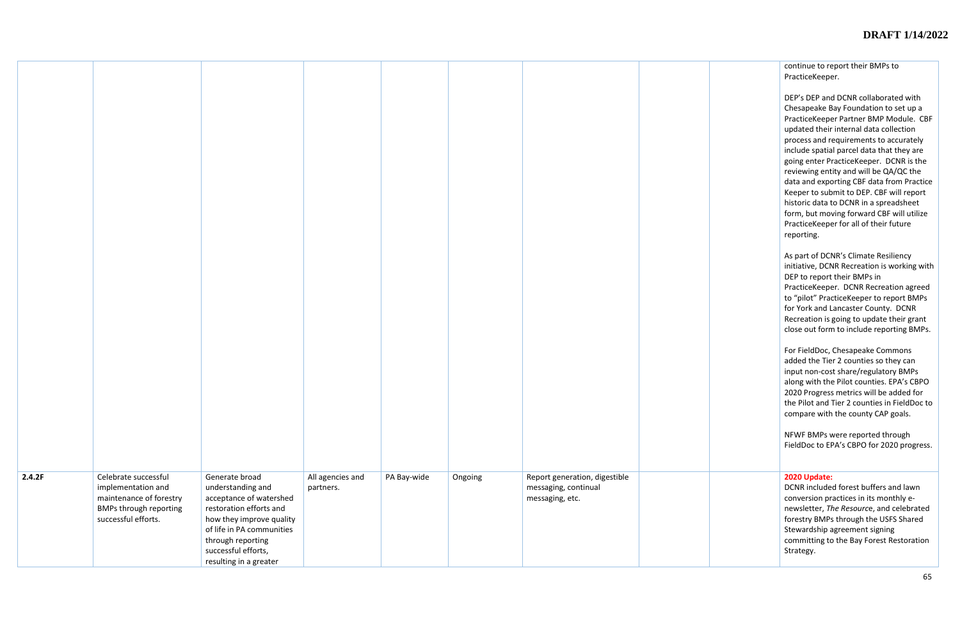continue to report their BMPs to PracticeKeeper.

DEP's DEP and DCNR collaborated with Chesapeake Bay Foundation to set up a PracticeKeeper Partner BMP Module. CBF updated their internal data collection process and requirements to accurately include spatial parcel data that they are going enter PracticeKeeper. DCNR is the reviewing entity and will be QA/QC the data and exporting CBF data from Practice Keeper to submit to DEP. CBF will report historic data to DCNR in a spreadsheet form, but moving forward CBF will utilize PracticeKeeper for all of their future reporting.

As part of DCNR's Climate Resiliency initiative, DCNR Recreation is working with DEP to report their BMPs in PracticeKeeper. DCNR Recreation agreed to "pilot" PracticeKeeper to report BMPs for York and Lancaster County. DCNR Recreation is going to update their grant close out form to include reporting BMPs.

For FieldDoc, Chesapeake Commons added the Tier 2 counties so they can input non-cost share/regulatory BMPs along with the Pilot counties. EPA's CBPO 2020 Progress metrics will be added for the Pilot and Tier 2 counties in FieldDoc to compare with the county CAP goals.

NFWF BMPs were reported through FieldDoc to EPA's CBPO for 2020 progress.

| 2.4.2F | Celebrate successful<br>implementation and<br>maintenance of forestry<br><b>BMPs through reporting</b><br>successful efforts. | Generate broad<br>understanding and<br>acceptance of watershed<br>restoration efforts and<br>how they improve quality<br>of life in PA communities<br>through reporting<br>successful efforts,<br>resulting in a greater | All agencies and<br>partners. | PA Bay-wide | Ongoing | Report generation, digestible<br>messaging, continual<br>messaging, etc. |  |
|--------|-------------------------------------------------------------------------------------------------------------------------------|--------------------------------------------------------------------------------------------------------------------------------------------------------------------------------------------------------------------------|-------------------------------|-------------|---------|--------------------------------------------------------------------------|--|

#### **2020 Update:**

DCNR included forest buffers and lawn conversion practices in its monthly enewsletter, *The Resourc*e, and celebrated forestry BMPs through the USFS Shared Stewardship agreement signing committing to the Bay Forest Restoration Strategy.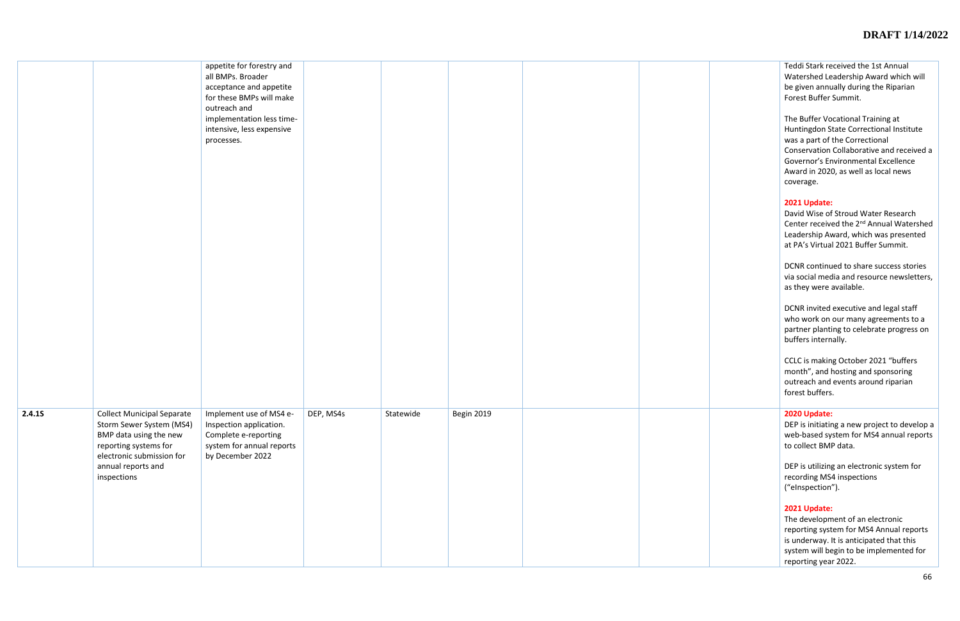Teddi Stark received the 1st Annual Watershed Leadership Award which will be given annually during the Riparian Forest Buffer Summit.

The Buffer Vocational Training at Huntingdon State Correctional Institute was a part of the Correctional Conservation Collaborative and received a Governor's Environmental Excellence Award in 2020, as well as local news coverage.

### **2021 Update:**

David Wise of Stroud Water Research Center received the 2<sup>nd</sup> Annual Watershed Leadership Award, which was presented at PA's Virtual 2021 Buffer Summit.

|        |                                                                                                                                               | appetite for forestry and<br>all BMPs. Broader<br>acceptance and appetite<br>for these BMPs will make<br>outreach and       |           |           |            |  | Teddi Stark re<br>Watershed Le<br>be given annu<br>Forest Buffer                                  |
|--------|-----------------------------------------------------------------------------------------------------------------------------------------------|-----------------------------------------------------------------------------------------------------------------------------|-----------|-----------|------------|--|---------------------------------------------------------------------------------------------------|
|        |                                                                                                                                               | implementation less time-<br>intensive, less expensive<br>processes.                                                        |           |           |            |  | The Buffer Vo<br>Huntingdon S<br>was a part of<br>Conservation<br>Governor's Er                   |
|        |                                                                                                                                               |                                                                                                                             |           |           |            |  | Award in 202<br>coverage.<br>2021 Update:                                                         |
|        |                                                                                                                                               |                                                                                                                             |           |           |            |  | David Wise of<br>Center receiv<br>Leadership Av<br>at PA's Virtua                                 |
|        |                                                                                                                                               |                                                                                                                             |           |           |            |  | DCNR continu<br>via social med<br>as they were                                                    |
|        |                                                                                                                                               |                                                                                                                             |           |           |            |  | <b>DCNR</b> invited<br>who work on<br>partner planti<br>buffers intern                            |
|        |                                                                                                                                               |                                                                                                                             |           |           |            |  | CCLC is makin<br>month", and I<br>outreach and<br>forest buffers                                  |
| 2.4.15 | <b>Collect Municipal Separate</b><br>Storm Sewer System (MS4)<br>BMP data using the new<br>reporting systems for<br>electronic submission for | Implement use of MS4 e-<br>Inspection application.<br>Complete e-reporting<br>system for annual reports<br>by December 2022 | DEP, MS4s | Statewide | Begin 2019 |  | 2020 Update:<br>DEP is initiatir<br>web-based sy<br>to collect BMI                                |
|        | annual reports and<br>inspections                                                                                                             |                                                                                                                             |           |           |            |  | DEP is utilizing<br>recording MS<br>("eInspection                                                 |
|        |                                                                                                                                               |                                                                                                                             |           |           |            |  | 2021 Update:<br>The developm<br>reporting syst<br>is underway.<br>system will be<br>reporting yea |

DCNR continued to share success stories via social media and resource newsletters, as they were available.

DCNR invited executive and legal staff who work on our many agreements to a partner planting to celebrate progress on buffers internally.

CCLC is making October 2021 "buffers month", and hosting and sponsoring outreach and events around riparian forest buffers.

DEP is initiating a new project to develop a web -based system for MS4 annual reports to collect BMP data.

DEP is utilizing an electronic system for recording MS4 inspections ("eInspection").

#### **2021 Update:**

The development of an electronic reporting system for MS4 Annual reports is underway. It is anticipated that this system will begin to be implemented for reporting year 2022.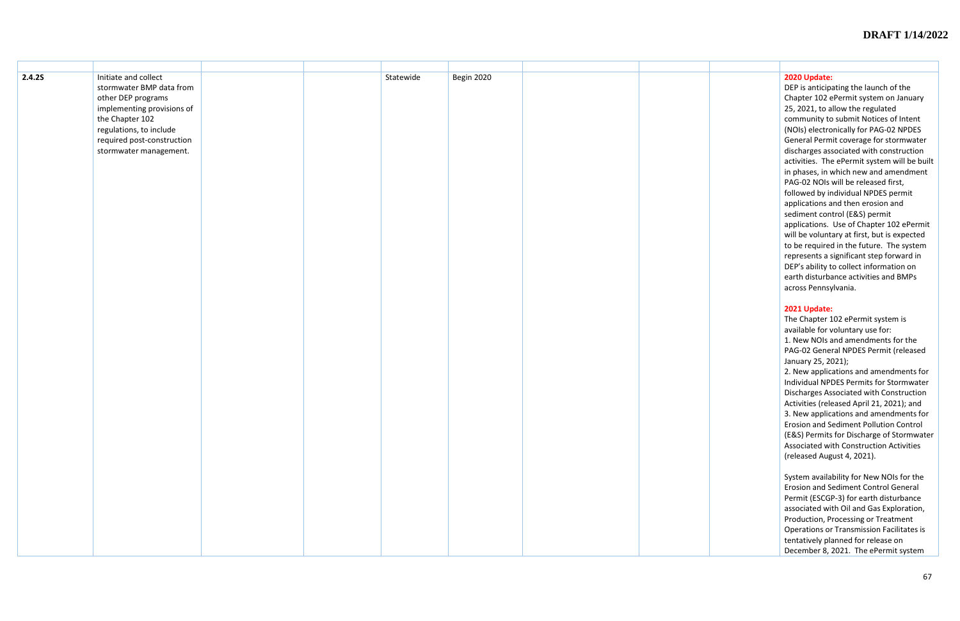| 2.4.2S | Initiate and collect<br>stormwater BMP data from<br>other DEP programs<br>implementing provisions of<br>the Chapter 102<br>regulations, to include<br>required post-construction<br>stormwater management. | Statewide | Begin 2020 |  | 2020 Update:<br>DEP is anticip<br>Chapter 102 6<br>25, 2021, to a<br>community to<br>(NOIs) electro<br><b>General Perm</b><br>discharges as:<br>activities. The<br>in phases, in v<br>PAG-02 NOIs<br>followed by ir<br>applications a<br>sediment con<br>applications.<br>will be volunt<br>to be required<br>represents a s<br>DEP's ability t<br>earth disturba<br>across Pennsy<br>2021 Update:<br>The Chapter 1<br>available for v<br>1. New NOIs a<br>PAG-02 Gene<br>January 25, 20<br>2. New applic<br>Individual NPI<br>Discharges As |
|--------|------------------------------------------------------------------------------------------------------------------------------------------------------------------------------------------------------------|-----------|------------|--|----------------------------------------------------------------------------------------------------------------------------------------------------------------------------------------------------------------------------------------------------------------------------------------------------------------------------------------------------------------------------------------------------------------------------------------------------------------------------------------------------------------------------------------------|
|        |                                                                                                                                                                                                            |           |            |  | Activities (rele<br>3. New applic<br>Erosion and S<br>(E&S) Permits<br>Associated wi<br>(released Aug                                                                                                                                                                                                                                                                                                                                                                                                                                        |
|        |                                                                                                                                                                                                            |           |            |  | System availa<br>Erosion and S<br>Permit (ESCGI<br>associated wi<br>Production, P<br>Operations or<br>tentatively pla<br>December 8,                                                                                                                                                                                                                                                                                                                                                                                                         |

DEP is anticipating the launch of the Chapter 102 ePermit system on January 25, 2021, to allow the regulated community to submit Notices of Intent (NOIs) electronically for PAG -02 NPDES General Permit coverage for stormwater discharges associated with construction activities. The ePermit system will be built in phases, in which new and amendment PAG -02 NOIs will be released first, followed by individual NPDES permit applications and then erosion and sediment control (E&S) permit applications. Use of Chapter 102 ePermit will be voluntary at first, but is expected to be required in the future. The system represents a significant step forward in DEP's ability to collect information on earth disturbance activities and BMPs across Pennsylvania.

#### **2021 Update:**

The Chapter 102 ePermit system is available for voluntary use for: 1. New NOIs and amendments for the PAG -02 General NPDES Permit (released January 25, 2021);

2. New applications and amendments for Individual NPDES Permits for Stormwater Discharges Associated with Construction Activities (released April 21, 2021); and 3. New applications and amendments for Erosion and Sediment Pollution Control (E&S) Permits for Discharge of Stormwater Associated with Construction Activities (released August 4, 2021).

System availability for New NOIs for the Erosion and Sediment Control General Permit (ESCGP -3) for earth disturbance associated with Oil and Gas Exploration, Production, Processing or Treatment Operations or Transmission Facilitates is tentatively planned for release on December 8, 2021. The ePermit system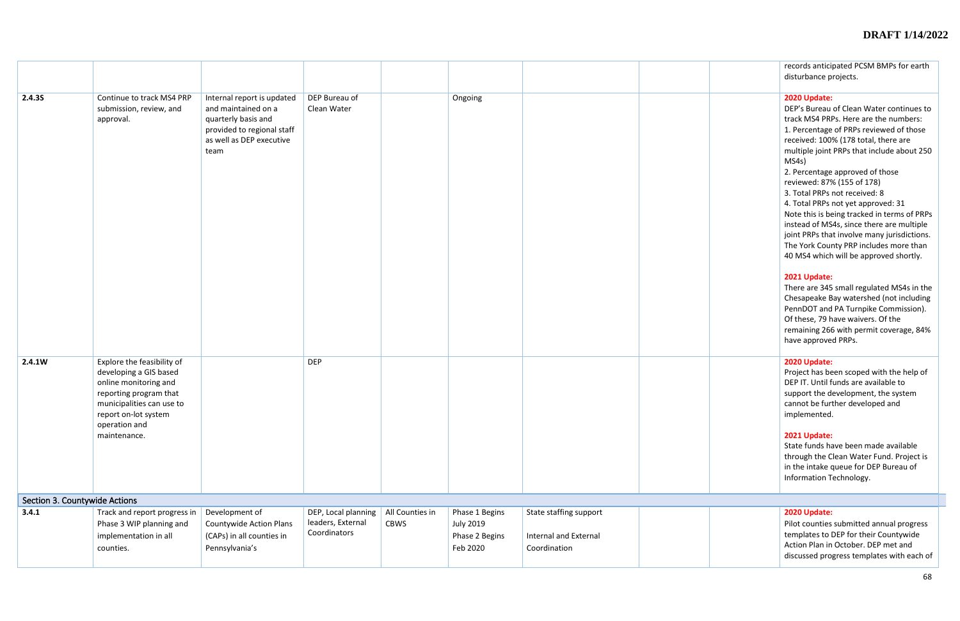|                               |                                                                                                                                                                                               |                                                                                                                                            |                                   |                 |                                                |                                              | records anticipated PCSM BMPs for earth                                                                                                                                                                                                                                                                                                                                                                                                                                                                                                                                                                                                                                                                                                                                                                                                                                   |
|-------------------------------|-----------------------------------------------------------------------------------------------------------------------------------------------------------------------------------------------|--------------------------------------------------------------------------------------------------------------------------------------------|-----------------------------------|-----------------|------------------------------------------------|----------------------------------------------|---------------------------------------------------------------------------------------------------------------------------------------------------------------------------------------------------------------------------------------------------------------------------------------------------------------------------------------------------------------------------------------------------------------------------------------------------------------------------------------------------------------------------------------------------------------------------------------------------------------------------------------------------------------------------------------------------------------------------------------------------------------------------------------------------------------------------------------------------------------------------|
|                               |                                                                                                                                                                                               |                                                                                                                                            |                                   |                 |                                                |                                              | disturbance projects.                                                                                                                                                                                                                                                                                                                                                                                                                                                                                                                                                                                                                                                                                                                                                                                                                                                     |
| 2.4.35                        | Continue to track MS4 PRP<br>submission, review, and<br>approval.                                                                                                                             | Internal report is updated<br>and maintained on a<br>quarterly basis and<br>provided to regional staff<br>as well as DEP executive<br>team | DEP Bureau of<br>Clean Water      |                 | Ongoing                                        |                                              | 2020 Update:<br>DEP's Bureau of Clean Water continues to<br>track MS4 PRPs. Here are the numbers:<br>1. Percentage of PRPs reviewed of those<br>received: 100% (178 total, there are<br>multiple joint PRPs that include about 250<br>MS4s)<br>2. Percentage approved of those<br>reviewed: 87% (155 of 178)<br>3. Total PRPs not received: 8<br>4. Total PRPs not yet approved: 31<br>Note this is being tracked in terms of PRPs<br>instead of MS4s, since there are multiple<br>joint PRPs that involve many jurisdictions.<br>The York County PRP includes more than<br>40 MS4 which will be approved shortly.<br>2021 Update:<br>There are 345 small regulated MS4s in the<br>Chesapeake Bay watershed (not including<br>PennDOT and PA Turnpike Commission).<br>Of these, 79 have waivers. Of the<br>remaining 266 with permit coverage, 84%<br>have approved PRPs. |
| 2.4.1W                        | Explore the feasibility of<br>developing a GIS based<br>online monitoring and<br>reporting program that<br>municipalities can use to<br>report on-lot system<br>operation and<br>maintenance. |                                                                                                                                            | <b>DEP</b>                        |                 |                                                |                                              | 2020 Update:<br>Project has been scoped with the help of<br>DEP IT. Until funds are available to<br>support the development, the system<br>cannot be further developed and<br>implemented.<br>2021 Update:<br>State funds have been made available<br>through the Clean Water Fund. Project is<br>in the intake queue for DEP Bureau of<br>Information Technology.                                                                                                                                                                                                                                                                                                                                                                                                                                                                                                        |
| Section 3. Countywide Actions |                                                                                                                                                                                               |                                                                                                                                            |                                   |                 |                                                |                                              |                                                                                                                                                                                                                                                                                                                                                                                                                                                                                                                                                                                                                                                                                                                                                                                                                                                                           |
| 3.4.1                         | Track and report progress in                                                                                                                                                                  | Development of                                                                                                                             | DEP, Local planning               | All Counties in | Phase 1 Begins                                 | State staffing support                       | 2020 Update:                                                                                                                                                                                                                                                                                                                                                                                                                                                                                                                                                                                                                                                                                                                                                                                                                                                              |
|                               | Phase 3 WIP planning and<br>implementation in all<br>counties.                                                                                                                                | <b>Countywide Action Plans</b><br>(CAPs) in all counties in<br>Pennsylvania's                                                              | leaders, External<br>Coordinators | <b>CBWS</b>     | <b>July 2019</b><br>Phase 2 Begins<br>Feb 2020 | <b>Internal and External</b><br>Coordination | Pilot counties submitted annual progress<br>templates to DEP for their Countywide<br>Action Plan in October. DEP met and<br>discussed progress templates with each of                                                                                                                                                                                                                                                                                                                                                                                                                                                                                                                                                                                                                                                                                                     |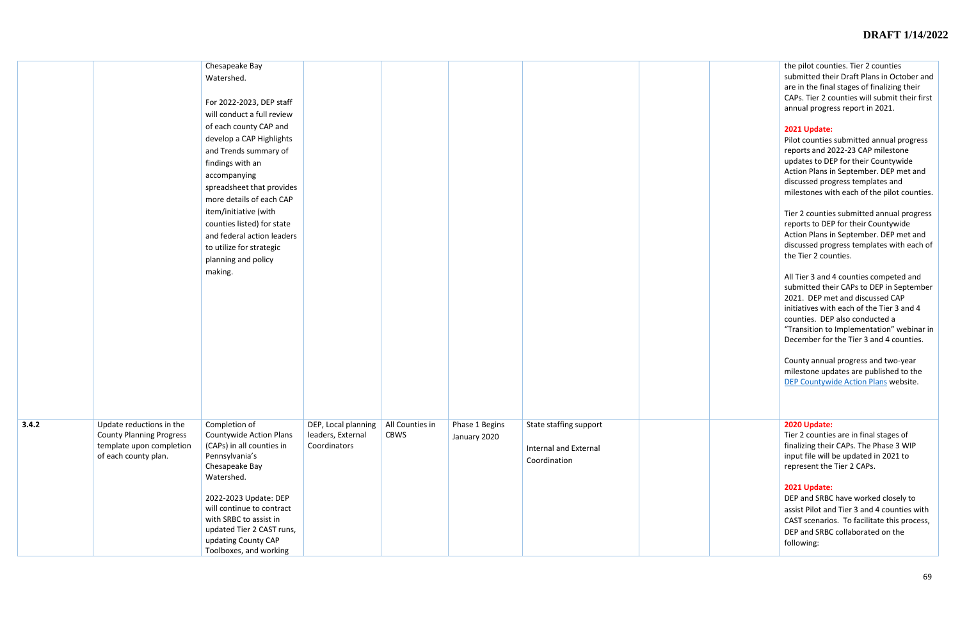the pilot counties. Tier 2 counties submitted their Draft Plans in October and are in the final stages of finalizing their CAPs. Tier 2 counties will submit their first annual progress report in 2021.

### **2021 Update:**

County annual progress and two-year milestone updates are published to the [DEP Countywide Action Plans](https://www.dep.pa.gov/Business/Water/Pennsylvania%E2%80%99s%20Chesapeake%20Bay%20Program%20Office/WIP3/GetInvolved/Pages/Countywide-Action-Plans.aspx) website.

Pilot counties submitted annual progress reports and 2022-23 CAP milestone updates to DEP for their Countywide Action Plans in September. DEP met and discussed progress templates and milestones with each of the pilot counties.

Tier 2 counties submitted annual progress reports to DEP for their Countywide Action Plans in September. DEP met and discussed progress templates with each of the Tier 2 counties.

|       |                                                                                                                 | Chesapeake Bay<br>Watershed.<br>For 2022-2023, DEP staff<br>will conduct a full review<br>of each county CAP and<br>develop a CAP Highlights<br>and Trends summary of<br>findings with an<br>accompanying<br>spreadsheet that provides<br>more details of each CAP<br>item/initiative (with<br>counties listed) for state<br>and federal action leaders<br>to utilize for strategic<br>planning and policy<br>making. |                                                          |                                |                                |                                                                 |  |
|-------|-----------------------------------------------------------------------------------------------------------------|-----------------------------------------------------------------------------------------------------------------------------------------------------------------------------------------------------------------------------------------------------------------------------------------------------------------------------------------------------------------------------------------------------------------------|----------------------------------------------------------|--------------------------------|--------------------------------|-----------------------------------------------------------------|--|
| 3.4.2 | Update reductions in the<br><b>County Planning Progress</b><br>template upon completion<br>of each county plan. | Completion of<br><b>Countywide Action Plans</b><br>(CAPs) in all counties in<br>Pennsylvania's<br>Chesapeake Bay<br>Watershed.<br>2022-2023 Update: DEP<br>will continue to contract<br>with SRBC to assist in<br>updated Tier 2 CAST runs,<br>updating County CAP<br>Toolboxes, and working                                                                                                                          | DEP, Local planning<br>leaders, External<br>Coordinators | All Counties in<br><b>CBWS</b> | Phase 1 Begins<br>January 2020 | State staffing support<br>Internal and External<br>Coordination |  |

All Tier 3 and 4 counties competed and submitted their CAPs to DEP in September 2021. DEP met and discussed CAP initiatives with each of the Tier 3 and 4 counties. DEP also conducted a "Transition to Implementation" webinar in December for the Tier 3 and 4 counties.

#### **2020 Update:**

Tier 2 counties are in final stages of finalizing their CAPs. The Phase 3 WIP input file will be updated in 2021 to represent the Tier 2 CAPs.

#### **2021 Update:**

DEP and SRBC have worked closely to assist Pilot and Tier 3 and 4 counties with CAST scenarios. To facilitate this process, DEP and SRBC collaborated on the following: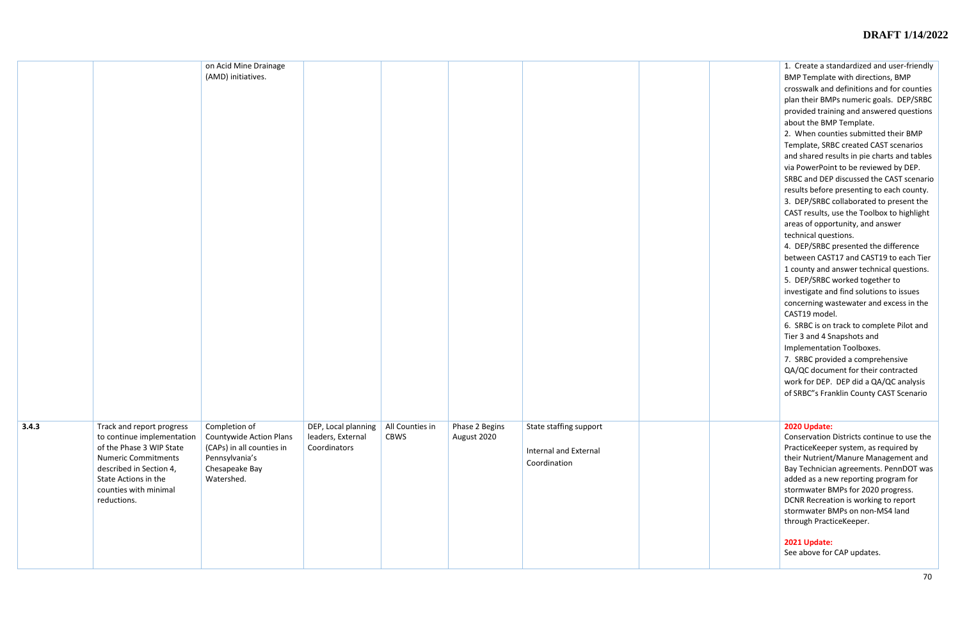|       |                                                         | on Acid Mine Drainage<br>(AMD) initiatives.     |                                          |                         |                               |                                       |  |
|-------|---------------------------------------------------------|-------------------------------------------------|------------------------------------------|-------------------------|-------------------------------|---------------------------------------|--|
|       |                                                         |                                                 |                                          |                         |                               |                                       |  |
|       |                                                         |                                                 |                                          |                         |                               |                                       |  |
|       |                                                         |                                                 |                                          |                         |                               |                                       |  |
|       |                                                         |                                                 |                                          |                         |                               |                                       |  |
|       |                                                         |                                                 |                                          |                         |                               |                                       |  |
|       |                                                         |                                                 |                                          |                         |                               |                                       |  |
|       |                                                         |                                                 |                                          |                         |                               |                                       |  |
|       |                                                         |                                                 |                                          |                         |                               |                                       |  |
|       |                                                         |                                                 |                                          |                         |                               |                                       |  |
|       |                                                         |                                                 |                                          |                         |                               |                                       |  |
|       |                                                         |                                                 |                                          |                         |                               |                                       |  |
|       |                                                         |                                                 |                                          |                         |                               |                                       |  |
|       |                                                         |                                                 |                                          |                         |                               |                                       |  |
|       |                                                         |                                                 |                                          |                         |                               |                                       |  |
|       |                                                         |                                                 |                                          |                         |                               |                                       |  |
|       |                                                         |                                                 |                                          |                         |                               |                                       |  |
|       |                                                         |                                                 |                                          |                         |                               |                                       |  |
|       |                                                         |                                                 |                                          |                         |                               |                                       |  |
| 3.4.3 | Track and report progress<br>to continue implementation | Completion of<br><b>Countywide Action Plans</b> | DEP, Local planning<br>leaders, External | All Counties in<br>CBWS | Phase 2 Begins<br>August 2020 | State staffing support                |  |
|       | of the Phase 3 WIP State<br><b>Numeric Commitments</b>  | (CAPs) in all counties in<br>Pennsylvania's     | Coordinators                             |                         |                               | Internal and External<br>Coordination |  |
|       | described in Section 4,<br>State Actions in the         | Chesapeake Bay<br>Watershed.                    |                                          |                         |                               |                                       |  |
|       | counties with minimal<br>reductions.                    |                                                 |                                          |                         |                               |                                       |  |
|       |                                                         |                                                 |                                          |                         |                               |                                       |  |
|       |                                                         |                                                 |                                          |                         |                               |                                       |  |
|       |                                                         |                                                 |                                          |                         |                               |                                       |  |
|       |                                                         |                                                 |                                          |                         |                               |                                       |  |

| 2020 Update:<br>Conservation Districts continue to use the<br>PracticeKeeper system, as required by<br>their Nutrient/Manure Management and<br>Bay Technician agreements. PennDOT was<br>added as a new reporting program for<br>stormwater BMPs for 2020 progress.<br>DCNR Recreation is working to report<br>stormwater BMPs on non-MS4 land<br>through PracticeKeeper.<br>2021 Update:<br>See above for CAP updates. | 1. Create a standardized and user-friendly<br>BMP Template with directions, BMP<br>crosswalk and definitions and for counties<br>plan their BMPs numeric goals. DEP/SRBC<br>provided training and answered questions<br>about the BMP Template.<br>2. When counties submitted their BMP<br>Template, SRBC created CAST scenarios<br>and shared results in pie charts and tables<br>via PowerPoint to be reviewed by DEP.<br>SRBC and DEP discussed the CAST scenario<br>results before presenting to each county.<br>3. DEP/SRBC collaborated to present the<br>CAST results, use the Toolbox to highlight<br>areas of opportunity, and answer<br>technical questions.<br>4. DEP/SRBC presented the difference<br>between CAST17 and CAST19 to each Tier<br>1 county and answer technical questions.<br>5. DEP/SRBC worked together to<br>investigate and find solutions to issues<br>concerning wastewater and excess in the<br>CAST19 model.<br>6. SRBC is on track to complete Pilot and<br>Tier 3 and 4 Snapshots and<br><b>Implementation Toolboxes.</b><br>7. SRBC provided a comprehensive<br>QA/QC document for their contracted<br>work for DEP. DEP did a QA/QC analysis<br>of SRBC"s Franklin County CAST Scenario |
|-------------------------------------------------------------------------------------------------------------------------------------------------------------------------------------------------------------------------------------------------------------------------------------------------------------------------------------------------------------------------------------------------------------------------|-------------------------------------------------------------------------------------------------------------------------------------------------------------------------------------------------------------------------------------------------------------------------------------------------------------------------------------------------------------------------------------------------------------------------------------------------------------------------------------------------------------------------------------------------------------------------------------------------------------------------------------------------------------------------------------------------------------------------------------------------------------------------------------------------------------------------------------------------------------------------------------------------------------------------------------------------------------------------------------------------------------------------------------------------------------------------------------------------------------------------------------------------------------------------------------------------------------------------------|
|                                                                                                                                                                                                                                                                                                                                                                                                                         |                                                                                                                                                                                                                                                                                                                                                                                                                                                                                                                                                                                                                                                                                                                                                                                                                                                                                                                                                                                                                                                                                                                                                                                                                               |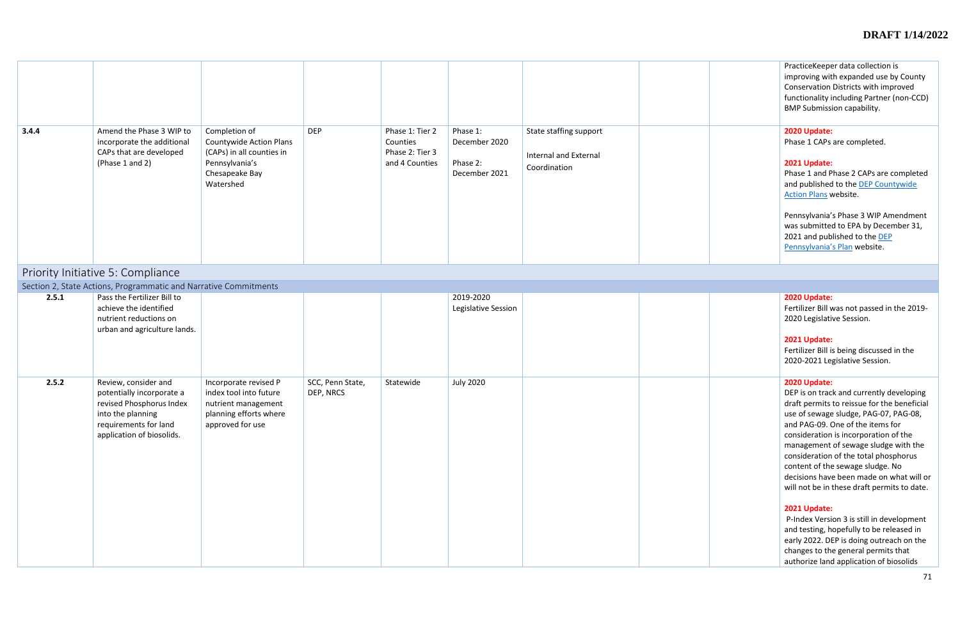|       |                                                                                                                                                          |                                                                                                                        |                               |                                                                  |                                                        |                                                                        | PracticeKeeper data collection is<br>improving with expanded use by County<br>Conservation Districts with improved<br>functionality including Partner (non-CCD)<br><b>BMP Submission capability.</b>                                                                                                                                                                                                                                                                                                                                                                                                                                                                                 |
|-------|----------------------------------------------------------------------------------------------------------------------------------------------------------|------------------------------------------------------------------------------------------------------------------------|-------------------------------|------------------------------------------------------------------|--------------------------------------------------------|------------------------------------------------------------------------|--------------------------------------------------------------------------------------------------------------------------------------------------------------------------------------------------------------------------------------------------------------------------------------------------------------------------------------------------------------------------------------------------------------------------------------------------------------------------------------------------------------------------------------------------------------------------------------------------------------------------------------------------------------------------------------|
| 3.4.4 | Amend the Phase 3 WIP to<br>incorporate the additional<br>CAPs that are developed<br>(Phase 1 and 2)                                                     | Completion of<br>Countywide Action Plans<br>(CAPs) in all counties in<br>Pennsylvania's<br>Chesapeake Bay<br>Watershed | <b>DEP</b>                    | Phase 1: Tier 2<br>Counties<br>Phase 2: Tier 3<br>and 4 Counties | Phase 1:<br>December 2020<br>Phase 2:<br>December 2021 | State staffing support<br><b>Internal and External</b><br>Coordination | 2020 Update:<br>Phase 1 CAPs are completed.<br>2021 Update:<br>Phase 1 and Phase 2 CAPs are completed<br>and published to the DEP Countywide<br>Action Plans website.<br>Pennsylvania's Phase 3 WIP Amendment<br>was submitted to EPA by December 31,<br>2021 and published to the DEP<br>Pennsylvania's Plan website.                                                                                                                                                                                                                                                                                                                                                               |
|       | Priority Initiative 5: Compliance                                                                                                                        |                                                                                                                        |                               |                                                                  |                                                        |                                                                        |                                                                                                                                                                                                                                                                                                                                                                                                                                                                                                                                                                                                                                                                                      |
|       | Section 2, State Actions, Programmatic and Narrative Commitments                                                                                         |                                                                                                                        |                               |                                                                  |                                                        |                                                                        |                                                                                                                                                                                                                                                                                                                                                                                                                                                                                                                                                                                                                                                                                      |
| 2.5.1 | Pass the Fertilizer Bill to<br>achieve the identified<br>nutrient reductions on<br>urban and agriculture lands.                                          |                                                                                                                        |                               |                                                                  | 2019-2020<br>Legislative Session                       |                                                                        | 2020 Update:<br>Fertilizer Bill was not passed in the 2019-<br>2020 Legislative Session.<br>2021 Update:<br>Fertilizer Bill is being discussed in the<br>2020-2021 Legislative Session.                                                                                                                                                                                                                                                                                                                                                                                                                                                                                              |
| 2.5.2 | Review, consider and<br>potentially incorporate a<br>revised Phosphorus Index<br>into the planning<br>requirements for land<br>application of biosolids. | Incorporate revised P<br>index tool into future<br>nutrient management<br>planning efforts where<br>approved for use   | SCC, Penn State,<br>DEP, NRCS | Statewide                                                        | <b>July 2020</b>                                       |                                                                        | 2020 Update:<br>DEP is on track and currently developing<br>draft permits to reissue for the beneficial<br>use of sewage sludge, PAG-07, PAG-08,<br>and PAG-09. One of the items for<br>consideration is incorporation of the<br>management of sewage sludge with the<br>consideration of the total phosphorus<br>content of the sewage sludge. No<br>decisions have been made on what will or<br>will not be in these draft permits to date.<br>2021 Update:<br>P-Index Version 3 is still in development<br>and testing, hopefully to be released in<br>early 2022. DEP is doing outreach on the<br>changes to the general permits that<br>authorize land application of biosolids |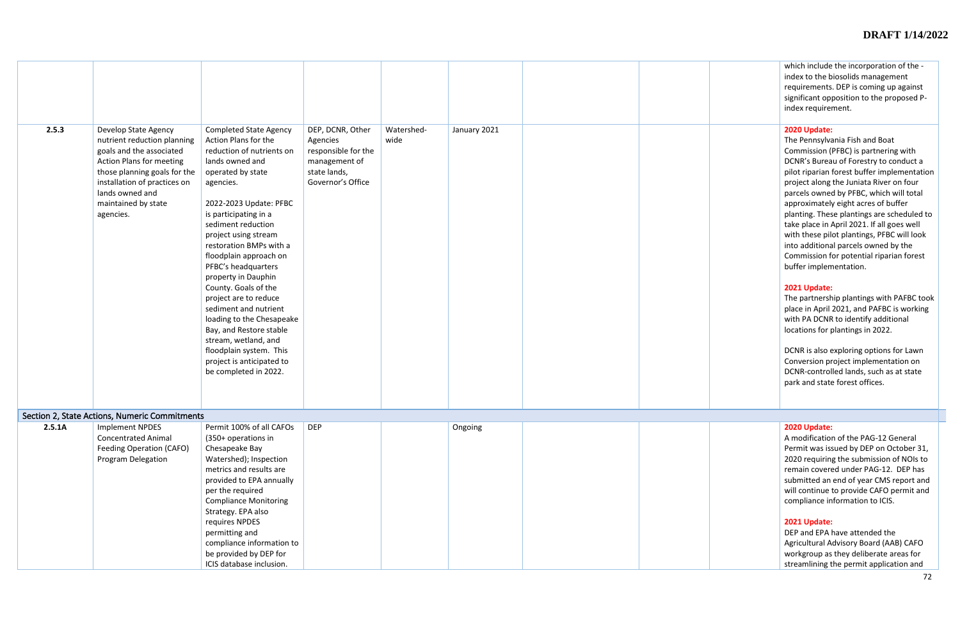|        |                                                                                                                                                                                                                                    |                                                                                                                                                                                                                                                                                                                                                                                                                                                                                                                                                                                        |                                                                                                                                 |              | which include the incorporation of the -<br>index to the biosolids management<br>requirements. DEP is coming up against<br>significant opposition to the proposed P-<br>index requirement.                                                                                                                                                                                                                                                                                                                                                                                                                                                                                                                                                                                                                                                                                                                                |  |
|--------|------------------------------------------------------------------------------------------------------------------------------------------------------------------------------------------------------------------------------------|----------------------------------------------------------------------------------------------------------------------------------------------------------------------------------------------------------------------------------------------------------------------------------------------------------------------------------------------------------------------------------------------------------------------------------------------------------------------------------------------------------------------------------------------------------------------------------------|---------------------------------------------------------------------------------------------------------------------------------|--------------|---------------------------------------------------------------------------------------------------------------------------------------------------------------------------------------------------------------------------------------------------------------------------------------------------------------------------------------------------------------------------------------------------------------------------------------------------------------------------------------------------------------------------------------------------------------------------------------------------------------------------------------------------------------------------------------------------------------------------------------------------------------------------------------------------------------------------------------------------------------------------------------------------------------------------|--|
| 2.5.3  | Develop State Agency<br>nutrient reduction planning<br>goals and the associated<br>Action Plans for meeting<br>those planning goals for the<br>installation of practices on<br>lands owned and<br>maintained by state<br>agencies. | <b>Completed State Agency</b><br>Action Plans for the<br>reduction of nutrients on<br>lands owned and<br>operated by state<br>agencies.<br>2022-2023 Update: PFBC<br>is participating in a<br>sediment reduction<br>project using stream<br>restoration BMPs with a<br>floodplain approach on<br>PFBC's headquarters<br>property in Dauphin<br>County. Goals of the<br>project are to reduce<br>sediment and nutrient<br>loading to the Chesapeake<br>Bay, and Restore stable<br>stream, wetland, and<br>floodplain system. This<br>project is anticipated to<br>be completed in 2022. | Watershed-<br>DEP, DCNR, Other<br>wide<br>Agencies<br>responsible for the<br>management of<br>state lands,<br>Governor's Office | January 2021 | 2020 Update:<br>The Pennsylvania Fish and Boat<br>Commission (PFBC) is partnering with<br>DCNR's Bureau of Forestry to conduct a<br>pilot riparian forest buffer implementation<br>project along the Juniata River on four<br>parcels owned by PFBC, which will total<br>approximately eight acres of buffer<br>planting. These plantings are scheduled to<br>take place in April 2021. If all goes well<br>with these pilot plantings, PFBC will look<br>into additional parcels owned by the<br>Commission for potential riparian forest<br>buffer implementation.<br>2021 Update:<br>The partnership plantings with PAFBC took<br>place in April 2021, and PAFBC is working<br>with PA DCNR to identify additional<br>locations for plantings in 2022.<br>DCNR is also exploring options for Lawn<br>Conversion project implementation on<br>DCNR-controlled lands, such as at state<br>park and state forest offices. |  |
|        | Section 2, State Actions, Numeric Commitments                                                                                                                                                                                      |                                                                                                                                                                                                                                                                                                                                                                                                                                                                                                                                                                                        |                                                                                                                                 |              |                                                                                                                                                                                                                                                                                                                                                                                                                                                                                                                                                                                                                                                                                                                                                                                                                                                                                                                           |  |
| 2.5.1A | <b>Implement NPDES</b><br><b>Concentrated Animal</b><br>Feeding Operation (CAFO)<br><b>Program Delegation</b>                                                                                                                      | Permit 100% of all CAFOs<br>(350+ operations in<br>Chesapeake Bay<br>Watershed); Inspection<br>metrics and results are<br>provided to EPA annually<br>per the required<br><b>Compliance Monitoring</b><br>Strategy. EPA also<br>requires NPDES<br>permitting and<br>compliance information to<br>be provided by DEP for<br>ICIS database inclusion.                                                                                                                                                                                                                                    | <b>DEP</b>                                                                                                                      | Ongoing      | 2020 Update:<br>A modification of the PAG-12 General<br>Permit was issued by DEP on October 31,<br>2020 requiring the submission of NOIs to<br>remain covered under PAG-12. DEP has<br>submitted an end of year CMS report and<br>will continue to provide CAFO permit and<br>compliance information to ICIS.<br>2021 Update:<br>DEP and EPA have attended the<br>Agricultural Advisory Board (AAB) CAFO<br>workgroup as they deliberate areas for<br>streamlining the permit application and                                                                                                                                                                                                                                                                                                                                                                                                                             |  |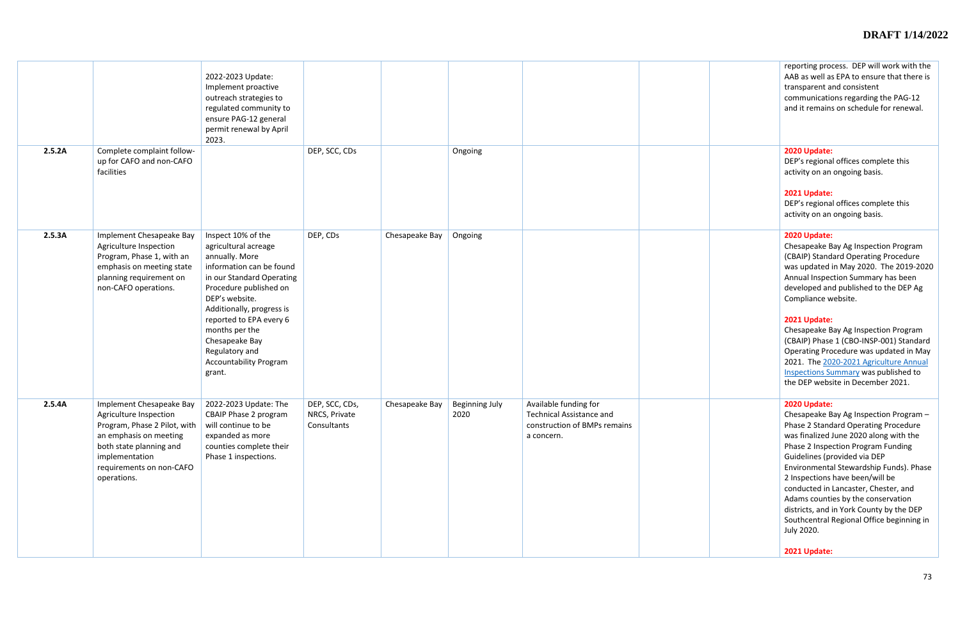|        |                                                                                                                                                                                                      | 2022-2023 Update:<br>Implement proactive<br>outreach strategies to<br>regulated community to<br>ensure PAG-12 general<br>permit renewal by April<br>2023.                                                                                                                                                                  |                                                |                |                               |                                                                                                        | reporting pro<br>AAB as well as<br>transparent a<br>communicatio<br>and it remain:                                                                                                                                                              |
|--------|------------------------------------------------------------------------------------------------------------------------------------------------------------------------------------------------------|----------------------------------------------------------------------------------------------------------------------------------------------------------------------------------------------------------------------------------------------------------------------------------------------------------------------------|------------------------------------------------|----------------|-------------------------------|--------------------------------------------------------------------------------------------------------|-------------------------------------------------------------------------------------------------------------------------------------------------------------------------------------------------------------------------------------------------|
| 2.5.2A | Complete complaint follow-<br>up for CAFO and non-CAFO<br>facilities                                                                                                                                 |                                                                                                                                                                                                                                                                                                                            | DEP, SCC, CDs                                  |                | Ongoing                       |                                                                                                        | 2020 Update:<br>DEP's regiona<br>activity on an<br>2021 Update:<br>DEP's regiona<br>activity on an                                                                                                                                              |
| 2.5.3A | Implement Chesapeake Bay<br>Agriculture Inspection<br>Program, Phase 1, with an<br>emphasis on meeting state<br>planning requirement on<br>non-CAFO operations.                                      | Inspect 10% of the<br>agricultural acreage<br>annually. More<br>information can be found<br>in our Standard Operating<br>Procedure published on<br>DEP's website.<br>Additionally, progress is<br>reported to EPA every 6<br>months per the<br>Chesapeake Bay<br>Regulatory and<br><b>Accountability Program</b><br>grant. | DEP, CDs                                       | Chesapeake Bay | Ongoing                       |                                                                                                        | 2020 Update:<br>Chesapeake B<br>(CBAIP) Stand<br>was updated<br>Annual Insper<br>developed an<br>Compliance w<br>2021 Update:<br>Chesapeake B<br>(CBAIP) Phase<br><b>Operating Pro</b><br>2021. The 20<br><b>Inspections St</b><br>the DEP webs |
| 2.5.4A | Implement Chesapeake Bay<br>Agriculture Inspection<br>Program, Phase 2 Pilot, with<br>an emphasis on meeting<br>both state planning and<br>implementation<br>requirements on non-CAFO<br>operations. | 2022-2023 Update: The<br>CBAIP Phase 2 program<br>will continue to be<br>expanded as more<br>counties complete their<br>Phase 1 inspections.                                                                                                                                                                               | DEP, SCC, CDs,<br>NRCS, Private<br>Consultants | Chesapeake Bay | <b>Beginning July</b><br>2020 | Available funding for<br><b>Technical Assistance and</b><br>construction of BMPs remains<br>a concern. | 2020 Update:<br>Chesapeake B<br>Phase 2 Stand<br>was finalized.<br>Phase 2 Inspe<br>Guidelines (pi<br>Environmenta<br>2 Inspections<br>conducted in<br>Adams counti<br>districts, and<br>Southcentral<br>July 2020.<br>2021 Update:             |

|  | reporting process. DEP will work with the<br>AAB as well as EPA to ensure that there is<br>transparent and consistent<br>communications regarding the PAG-12<br>and it remains on schedule for renewal.                                                                                                                                                                                                                                                                                  |
|--|------------------------------------------------------------------------------------------------------------------------------------------------------------------------------------------------------------------------------------------------------------------------------------------------------------------------------------------------------------------------------------------------------------------------------------------------------------------------------------------|
|  | 2020 Update:<br>DEP's regional offices complete this<br>activity on an ongoing basis.<br>2021 Update:<br>DEP's regional offices complete this<br>activity on an ongoing basis.                                                                                                                                                                                                                                                                                                           |
|  | 2020 Update:<br>Chesapeake Bay Ag Inspection Program<br>(CBAIP) Standard Operating Procedure<br>was updated in May 2020. The 2019-2020<br>Annual Inspection Summary has been<br>developed and published to the DEP Ag<br>Compliance website.                                                                                                                                                                                                                                             |
|  | 2021 Update:<br>Chesapeake Bay Ag Inspection Program<br>(CBAIP) Phase 1 (CBO-INSP-001) Standard<br>Operating Procedure was updated in May<br>2021. The 2020-2021 Agriculture Annual<br><b>Inspections Summary was published to</b><br>the DEP website in December 2021.                                                                                                                                                                                                                  |
|  | 2020 Update:<br>Chesapeake Bay Ag Inspection Program -<br>Phase 2 Standard Operating Procedure<br>was finalized June 2020 along with the<br>Phase 2 Inspection Program Funding<br>Guidelines (provided via DEP<br>Environmental Stewardship Funds). Phase<br>2 Inspections have been/will be<br>conducted in Lancaster, Chester, and<br>Adams counties by the conservation<br>districts, and in York County by the DEP<br>Southcentral Regional Office beginning in<br><b>July 2020.</b> |
|  | 2021 Update:                                                                                                                                                                                                                                                                                                                                                                                                                                                                             |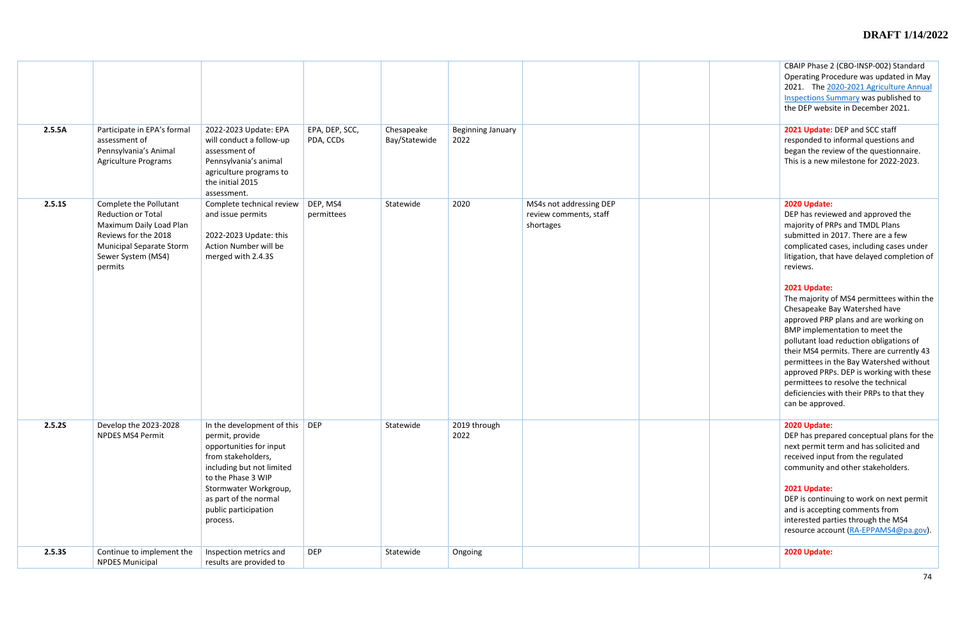|  | CBAIP Phase 2 (CBO-INSP-002) Standard<br>Operating Procedure was updated in May<br>The 2020-2021 Agriculture Annual<br>2021.<br><b>Inspections Summary was published to</b><br>the DEP website in December 2021.                                                                                                                                                                                                                                             |
|--|--------------------------------------------------------------------------------------------------------------------------------------------------------------------------------------------------------------------------------------------------------------------------------------------------------------------------------------------------------------------------------------------------------------------------------------------------------------|
|  | 2021 Update: DEP and SCC staff<br>responded to informal questions and<br>began the review of the questionnaire.<br>This is a new milestone for 2022-2023.                                                                                                                                                                                                                                                                                                    |
|  | 2020 Update:<br>DEP has reviewed and approved the<br>majority of PRPs and TMDL Plans<br>submitted in 2017. There are a few<br>complicated cases, including cases under<br>litigation, that have delayed completion of<br>reviews.                                                                                                                                                                                                                            |
|  | 2021 Update:<br>The majority of MS4 permittees within the<br>Chesapeake Bay Watershed have<br>approved PRP plans and are working on<br>BMP implementation to meet the<br>pollutant load reduction obligations of<br>their MS4 permits. There are currently 43<br>permittees in the Bay Watershed without<br>approved PRPs. DEP is working with these<br>permittees to resolve the technical<br>deficiencies with their PRPs to that they<br>can be approved. |
|  | 2020 Update:<br>DEP has prepared conceptual plans for the<br>next permit term and has solicited and<br>received input from the regulated<br>community and other stakeholders.                                                                                                                                                                                                                                                                                |
|  | 2021 Update:<br>DEP is continuing to work on next permit<br>and is accepting comments from<br>interested parties through the MS4<br>resource account (RA-EPPAMS4@pa.gov).                                                                                                                                                                                                                                                                                    |
|  | 2020 Update:                                                                                                                                                                                                                                                                                                                                                                                                                                                 |

|        |                                                                                                                                                                            |                                                                                                                                                                                                                                         |                             |                             |                                  |                                                                | <b>CBAIP Phase 2</b><br><b>Operating Pro</b><br>2021. The 2<br><b>Inspections Su</b><br>the DEP webs                                                                                                                                                                                                                             |
|--------|----------------------------------------------------------------------------------------------------------------------------------------------------------------------------|-----------------------------------------------------------------------------------------------------------------------------------------------------------------------------------------------------------------------------------------|-----------------------------|-----------------------------|----------------------------------|----------------------------------------------------------------|----------------------------------------------------------------------------------------------------------------------------------------------------------------------------------------------------------------------------------------------------------------------------------------------------------------------------------|
| 2.5.5A | Participate in EPA's formal<br>assessment of<br>Pennsylvania's Animal<br>Agriculture Programs                                                                              | 2022-2023 Update: EPA<br>will conduct a follow-up<br>assessment of<br>Pennsylvania's animal<br>agriculture programs to<br>the initial 2015<br>assessment.                                                                               | EPA, DEP, SCC,<br>PDA, CCDs | Chesapeake<br>Bay/Statewide | <b>Beginning January</b><br>2022 |                                                                | 2021 Update:<br>responded to<br>began the rev<br>This is a new                                                                                                                                                                                                                                                                   |
| 2.5.15 | Complete the Pollutant<br><b>Reduction or Total</b><br>Maximum Daily Load Plan<br>Reviews for the 2018<br><b>Municipal Separate Storm</b><br>Sewer System (MS4)<br>permits | Complete technical review<br>and issue permits<br>2022-2023 Update: this<br>Action Number will be<br>merged with 2.4.3S                                                                                                                 | DEP, MS4<br>permittees      | Statewide                   | 2020                             | MS4s not addressing DEP<br>review comments, staff<br>shortages | 2020 Update:<br>DEP has revie<br>majority of PF<br>submitted in 2<br>complicated o<br>litigation, that<br>reviews.<br>2021 Update:<br>The majority<br>Chesapeake B<br>approved PRF<br><b>BMP</b> impleme<br>pollutant load<br>their MS4 per<br>permittees in<br>approved PRF<br>permittees to<br>deficiencies w<br>can be approv |
| 2.5.2S | Develop the 2023-2028<br>NPDES MS4 Permit                                                                                                                                  | In the development of this<br>permit, provide<br>opportunities for input<br>from stakeholders,<br>including but not limited<br>to the Phase 3 WIP<br>Stormwater Workgroup,<br>as part of the normal<br>public participation<br>process. | <b>DEP</b>                  | Statewide                   | 2019 through<br>2022             |                                                                | 2020 Update:<br>DEP has prepa<br>next permit to<br>received inpu<br>community ar<br>2021 Update:<br>DEP is continu<br>and is accepti<br>interested pa<br>resource acco                                                                                                                                                           |
| 2.5.35 | Continue to implement the<br><b>NPDES Municipal</b>                                                                                                                        | Inspection metrics and<br>results are provided to                                                                                                                                                                                       | <b>DEP</b>                  | Statewide                   | Ongoing                          |                                                                | 2020 Update:                                                                                                                                                                                                                                                                                                                     |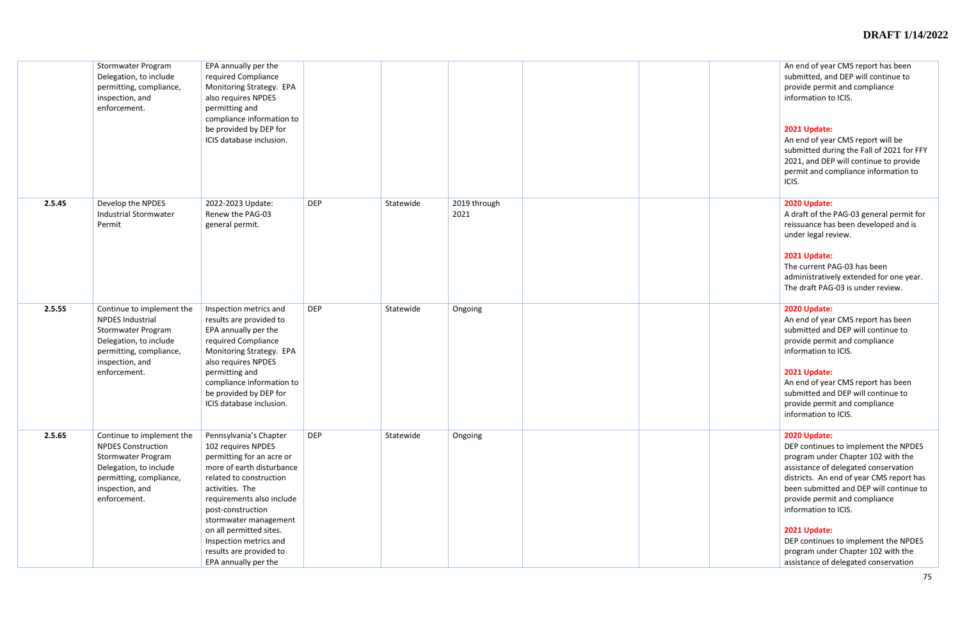|        | Stormwater Program<br>Delegation, to include<br>permitting, compliance,<br>inspection, and<br>enforcement.                                                           | EPA annually per the<br>required Compliance<br>Monitoring Strategy. EPA<br>also requires NPDES<br>permitting and<br>compliance information to<br>be provided by DEP for<br>ICIS database inclusion.                                                                                                                                     |            |           |                      |  | An end of yea<br>submitted, an<br>provide perm<br>information to<br>2021 Update:<br>An end of yea<br>submitted du<br>2021, and DEI<br>permit and co<br>ICIS.                                        |
|--------|----------------------------------------------------------------------------------------------------------------------------------------------------------------------|-----------------------------------------------------------------------------------------------------------------------------------------------------------------------------------------------------------------------------------------------------------------------------------------------------------------------------------------|------------|-----------|----------------------|--|-----------------------------------------------------------------------------------------------------------------------------------------------------------------------------------------------------|
| 2.5.4S | Develop the NPDES<br><b>Industrial Stormwater</b><br>Permit                                                                                                          | 2022-2023 Update:<br>Renew the PAG-03<br>general permit.                                                                                                                                                                                                                                                                                | <b>DEP</b> | Statewide | 2019 through<br>2021 |  | 2020 Update:<br>A draft of the<br>reissuance ha<br>under legal re<br>2021 Update:<br>The current P<br>administrativ<br>The draft PAC                                                                |
| 2.5.5S | Continue to implement the<br><b>NPDES Industrial</b><br>Stormwater Program<br>Delegation, to include<br>permitting, compliance,<br>inspection, and<br>enforcement.   | Inspection metrics and<br>results are provided to<br>EPA annually per the<br>required Compliance<br>Monitoring Strategy. EPA<br>also requires NPDES<br>permitting and<br>compliance information to<br>be provided by DEP for<br>ICIS database inclusion.                                                                                | <b>DEP</b> | Statewide | Ongoing              |  | 2020 Update:<br>An end of yea<br>submitted and<br>provide perm<br>information to<br>2021 Update:<br>An end of yea<br>submitted and<br>provide perm<br>information to                                |
| 2.5.6S | Continue to implement the<br><b>NPDES Construction</b><br>Stormwater Program<br>Delegation, to include<br>permitting, compliance,<br>inspection, and<br>enforcement. | Pennsylvania's Chapter<br>102 requires NPDES<br>permitting for an acre or<br>more of earth disturbance<br>related to construction<br>activities. The<br>requirements also include<br>post-construction<br>stormwater management<br>on all permitted sites.<br>Inspection metrics and<br>results are provided to<br>EPA annually per the | <b>DEP</b> | Statewide | Ongoing              |  | 2020 Update:<br>DEP continues<br>program und<br>assistance of<br>districts. An e<br>been submitt<br>provide perm<br>information to<br>2021 Update:<br>DEP continues<br>program und<br>assistance of |

|  | An end of year CMS report has been<br>submitted, and DEP will continue to<br>provide permit and compliance<br>information to ICIS.                                                                                                                                                 |
|--|------------------------------------------------------------------------------------------------------------------------------------------------------------------------------------------------------------------------------------------------------------------------------------|
|  | 2021 Update:<br>An end of year CMS report will be<br>submitted during the Fall of 2021 for FFY<br>2021, and DEP will continue to provide<br>permit and compliance information to<br>ICIS.                                                                                          |
|  | 2020 Update:<br>A draft of the PAG-03 general permit for<br>reissuance has been developed and is<br>under legal review.                                                                                                                                                            |
|  | 2021 Update:<br>The current PAG-03 has been<br>administratively extended for one year.<br>The draft PAG-03 is under review.                                                                                                                                                        |
|  | 2020 Update:<br>An end of year CMS report has been<br>submitted and DEP will continue to<br>provide permit and compliance<br>information to ICIS.                                                                                                                                  |
|  | 2021 Update:<br>An end of year CMS report has been<br>submitted and DEP will continue to<br>provide permit and compliance<br>information to ICIS.                                                                                                                                  |
|  | 2020 Update:<br>DEP continues to implement the NPDES<br>program under Chapter 102 with the<br>assistance of delegated conservation<br>districts. An end of year CMS report has<br>been submitted and DEP will continue to<br>provide permit and compliance<br>information to ICIS. |
|  | 2021 Update:<br>DEP continues to implement the NPDES<br>program under Chapter 102 with the<br>assistance of delegated conservation                                                                                                                                                 |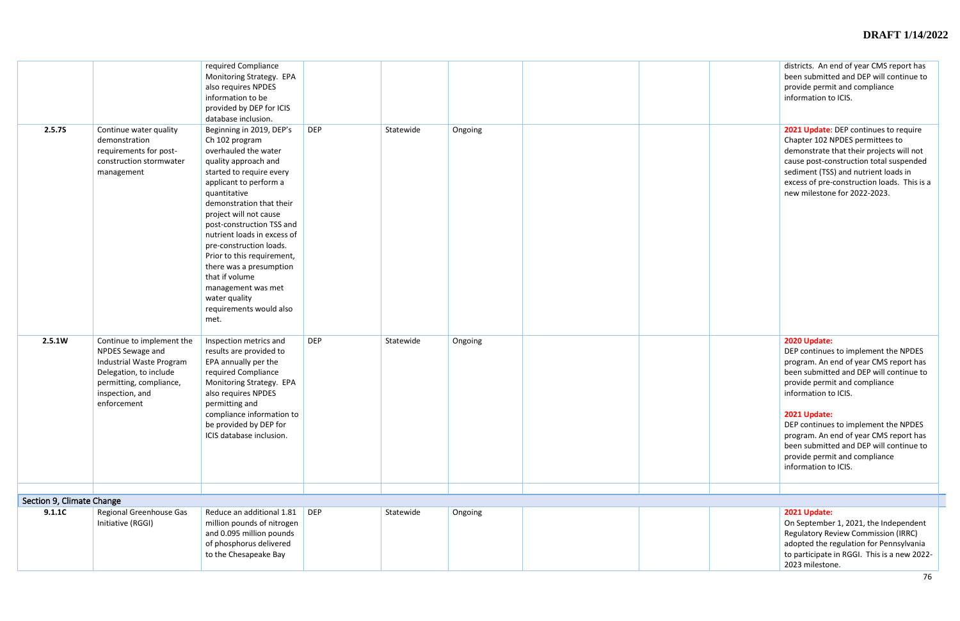|                           |                                                                                                                                                                  | required Compliance<br>Monitoring Strategy. EPA<br>also requires NPDES<br>information to be<br>provided by DEP for ICIS<br>database inclusion.                                                                                                                                                                                                                                                                                                                     |            |           |         |  | districts. An e<br>been submitt<br>provide perm<br>information to                                                                                                                              |
|---------------------------|------------------------------------------------------------------------------------------------------------------------------------------------------------------|--------------------------------------------------------------------------------------------------------------------------------------------------------------------------------------------------------------------------------------------------------------------------------------------------------------------------------------------------------------------------------------------------------------------------------------------------------------------|------------|-----------|---------|--|------------------------------------------------------------------------------------------------------------------------------------------------------------------------------------------------|
| 2.5.7S                    | Continue water quality<br>demonstration<br>requirements for post-<br>construction stormwater<br>management                                                       | Beginning in 2019, DEP's<br>Ch 102 program<br>overhauled the water<br>quality approach and<br>started to require every<br>applicant to perform a<br>quantitative<br>demonstration that their<br>project will not cause<br>post-construction TSS and<br>nutrient loads in excess of<br>pre-construction loads.<br>Prior to this requirement,<br>there was a presumption<br>that if volume<br>management was met<br>water quality<br>requirements would also<br>met. | <b>DEP</b> | Statewide | Ongoing |  | 2021 Update:<br>Chapter 102 M<br>demonstrate<br>cause post-co<br>sediment (TSS<br>excess of pre-<br>new mileston                                                                               |
| 2.5.1W                    | Continue to implement the<br>NPDES Sewage and<br>Industrial Waste Program<br>Delegation, to include<br>permitting, compliance,<br>inspection, and<br>enforcement | Inspection metrics and<br>results are provided to<br>EPA annually per the<br>required Compliance<br>Monitoring Strategy. EPA<br>also requires NPDES<br>permitting and<br>compliance information to<br>be provided by DEP for<br>ICIS database inclusion.                                                                                                                                                                                                           | <b>DEP</b> | Statewide | Ongoing |  | 2020 Update:<br>DEP continue<br>program. An<br>been submitt<br>provide perm<br>information to<br>2021 Update:<br>DEP continue<br>program. An<br>been submitt<br>provide perm<br>information to |
| Section 9, Climate Change |                                                                                                                                                                  |                                                                                                                                                                                                                                                                                                                                                                                                                                                                    |            |           |         |  |                                                                                                                                                                                                |
| 9.1.1C                    | Regional Greenhouse Gas<br>Initiative (RGGI)                                                                                                                     | Reduce an additional 1.81<br>million pounds of nitrogen<br>and 0.095 million pounds<br>of phosphorus delivered<br>to the Chesapeake Bay                                                                                                                                                                                                                                                                                                                            | <b>DEP</b> | Statewide | Ongoing |  | 2021 Update:<br>On Septembe<br>Regulatory Re<br>adopted the r<br>to participate<br>$2022$ milostor                                                                                             |

|  | districts. An end of year CMS report has<br>been submitted and DEP will continue to<br>provide permit and compliance<br>information to ICIS.                                                                                                                                                                                                                                                             |
|--|----------------------------------------------------------------------------------------------------------------------------------------------------------------------------------------------------------------------------------------------------------------------------------------------------------------------------------------------------------------------------------------------------------|
|  | 2021 Update: DEP continues to require<br>Chapter 102 NPDES permittees to<br>demonstrate that their projects will not<br>cause post-construction total suspended<br>sediment (TSS) and nutrient loads in<br>excess of pre-construction loads. This is a<br>new milestone for 2022-2023.                                                                                                                   |
|  | 2020 Update:<br>DEP continues to implement the NPDES<br>program. An end of year CMS report has<br>been submitted and DEP will continue to<br>provide permit and compliance<br>information to ICIS.<br>2021 Update:<br>DEP continues to implement the NPDES<br>program. An end of year CMS report has<br>been submitted and DEP will continue to<br>provide permit and compliance<br>information to ICIS. |
|  |                                                                                                                                                                                                                                                                                                                                                                                                          |
|  |                                                                                                                                                                                                                                                                                                                                                                                                          |
|  | 2021 Update:<br>On September 1, 2021, the Independent<br><b>Regulatory Review Commission (IRRC)</b><br>adopted the regulation for Pennsylvania<br>to participate in RGGI. This is a new 2022-                                                                                                                                                                                                            |

2023 milestone.